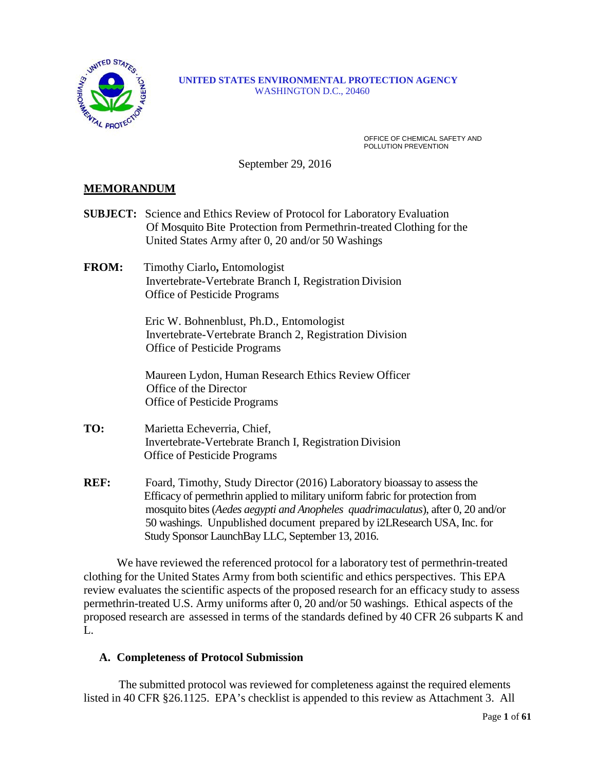

#### **UNITED STATES ENVIRONMENTAL PROTECTION AGENCY** WASHINGTON D.C., 20460

OFFICE OF CHEMICAL SAFETY AND POLLUTION PREVENTION

September 29, 2016

## **MEMORANDUM**

- **SUBJECT:** Science and Ethics Review of Protocol for Laboratory Evaluation Of Mosquito Bite Protection from Permethrin-treated Clothing for the United States Army after 0, 20 and/or 50 Washings
- **FROM:** Timothy Ciarlo**,** Entomologist Invertebrate-Vertebrate Branch I, Registration Division Office of Pesticide Programs

 Eric W. Bohnenblust, Ph.D., Entomologist Invertebrate-Vertebrate Branch 2, Registration Division Office of Pesticide Programs

 Maureen Lydon, Human Research Ethics Review Officer Office of the Director Office of Pesticide Programs

- **TO:** Marietta Echeverria, Chief, Invertebrate-Vertebrate Branch I, Registration Division Office of Pesticide Programs
- **REF:** Foard, Timothy, Study Director (2016) Laboratory bioassay to assess the Efficacy of permethrin applied to military uniform fabric for protection from mosquito bites (*Aedes aegypti and Anopheles quadrimaculatus*), after 0, 20 and/or 50 washings. Unpublished document prepared by i2LResearch USA, Inc. for Study Sponsor LaunchBay LLC, September 13, 2016.

We have reviewed the referenced protocol for a laboratory test of permethrin-treated clothing for the United States Army from both scientific and ethics perspectives. This EPA review evaluates the scientific aspects of the proposed research for an efficacy study to assess permethrin-treated U.S. Army uniforms after 0, 20 and/or 50 washings. Ethical aspects of the proposed research are assessed in terms of the standards defined by 40 CFR 26 subparts K and L.

## **A. Completeness of Protocol Submission**

The submitted protocol was reviewed for completeness against the required elements listed in 40 CFR §26.1125. EPA's checklist is appended to this review as Attachment 3. All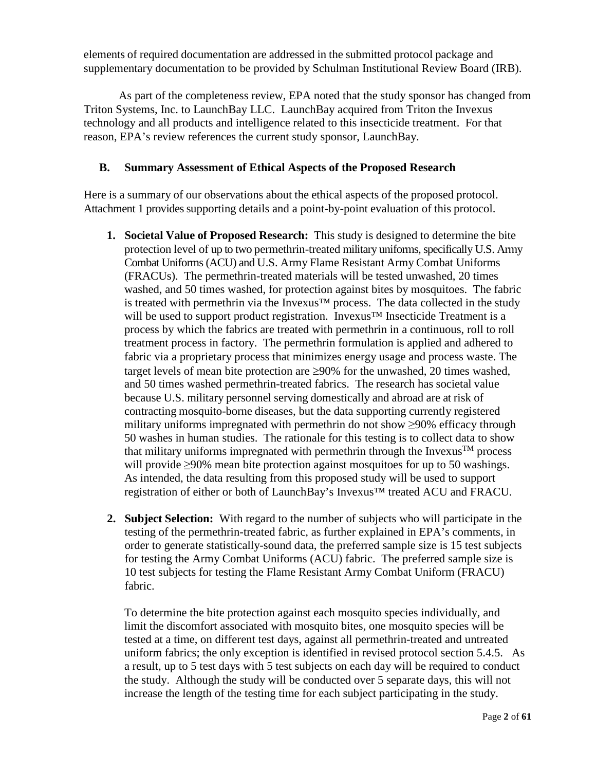elements of required documentation are addressed in the submitted protocol package and supplementary documentation to be provided by Schulman Institutional Review Board (IRB).

As part of the completeness review, EPA noted that the study sponsor has changed from Triton Systems, Inc. to LaunchBay LLC. LaunchBay acquired from Triton the Invexus technology and all products and intelligence related to this insecticide treatment. For that reason, EPA's review references the current study sponsor, LaunchBay.

# **B. Summary Assessment of Ethical Aspects of the Proposed Research**

Here is a summary of our observations about the ethical aspects of the proposed protocol. Attachment 1 provides supporting details and a point-by-point evaluation of this protocol.

- **1. Societal Value of Proposed Research:** This study is designed to determine the bite protection level of up to two permethrin-treated military uniforms, specifically U.S. Army Combat Uniforms (ACU) and U.S. Army Flame Resistant Army Combat Uniforms (FRACUs). The permethrin-treated materials will be tested unwashed, 20 times washed, and 50 times washed, for protection against bites by mosquitoes. The fabric is treated with permethrin via the Invexus<sup>TM</sup> process. The data collected in the study will be used to support product registration. Invexus™ Insecticide Treatment is a process by which the fabrics are treated with permethrin in a continuous, roll to roll treatment process in factory. The permethrin formulation is applied and adhered to fabric via a proprietary process that minimizes energy usage and process waste. The target levels of mean bite protection are  $\geq 90\%$  for the unwashed, 20 times washed, and 50 times washed permethrin-treated fabrics. The research has societal value because U.S. military personnel serving domestically and abroad are at risk of contracting mosquito-borne diseases, but the data supporting currently registered military uniforms impregnated with permethrin do not show ≥90% efficacy through 50 washes in human studies. The rationale for this testing is to collect data to show that military uniforms impregnated with permethrin through the Invexus<sup>TM</sup> process will provide ≥90% mean bite protection against mosquitoes for up to 50 washings. As intended, the data resulting from this proposed study will be used to support registration of either or both of LaunchBay's Invexus™ treated ACU and FRACU.
- **2. Subject Selection:** With regard to the number of subjects who will participate in the testing of the permethrin-treated fabric, as further explained in EPA's comments, in order to generate statistically-sound data, the preferred sample size is 15 test subjects for testing the Army Combat Uniforms (ACU) fabric. The preferred sample size is 10 test subjects for testing the Flame Resistant Army Combat Uniform (FRACU) fabric.

To determine the bite protection against each mosquito species individually, and limit the discomfort associated with mosquito bites, one mosquito species will be tested at a time, on different test days, against all permethrin-treated and untreated uniform fabrics; the only exception is identified in revised protocol section 5.4.5. As a result, up to 5 test days with 5 test subjects on each day will be required to conduct the study. Although the study will be conducted over 5 separate days, this will not increase the length of the testing time for each subject participating in the study.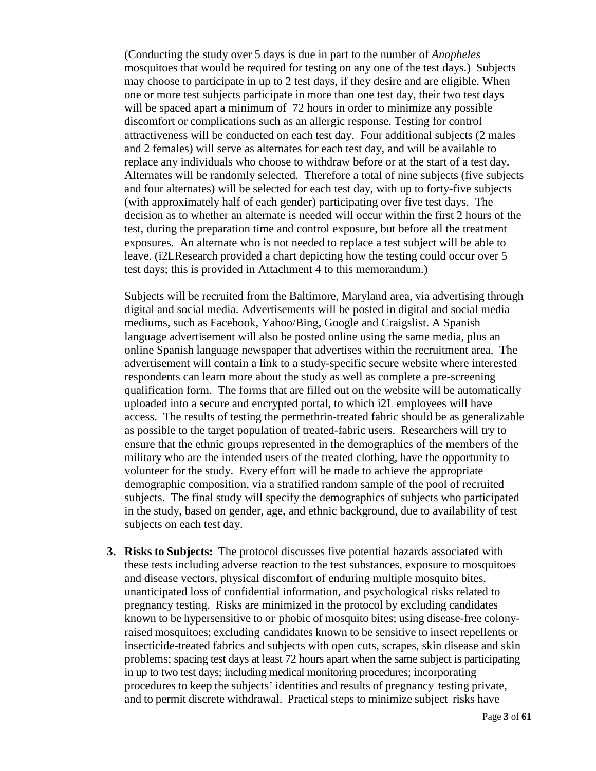(Conducting the study over 5 days is due in part to the number of *Anopheles* mosquitoes that would be required for testing on any one of the test days.) Subjects may choose to participate in up to 2 test days, if they desire and are eligible. When one or more test subjects participate in more than one test day, their two test days will be spaced apart a minimum of 72 hours in order to minimize any possible discomfort or complications such as an allergic response. Testing for control attractiveness will be conducted on each test day. Four additional subjects (2 males and 2 females) will serve as alternates for each test day, and will be available to replace any individuals who choose to withdraw before or at the start of a test day. Alternates will be randomly selected. Therefore a total of nine subjects (five subjects and four alternates) will be selected for each test day, with up to forty-five subjects (with approximately half of each gender) participating over five test days. The decision as to whether an alternate is needed will occur within the first 2 hours of the test, during the preparation time and control exposure, but before all the treatment exposures. An alternate who is not needed to replace a test subject will be able to leave. (i2LResearch provided a chart depicting how the testing could occur over 5 test days; this is provided in Attachment 4 to this memorandum.)

Subjects will be recruited from the Baltimore, Maryland area, via advertising through digital and social media. Advertisements will be posted in digital and social media mediums, such as Facebook, Yahoo/Bing, Google and Craigslist. A Spanish language advertisement will also be posted online using the same media, plus an online Spanish language newspaper that advertises within the recruitment area. The advertisement will contain a link to a study-specific secure website where interested respondents can learn more about the study as well as complete a pre-screening qualification form. The forms that are filled out on the website will be automatically uploaded into a secure and encrypted portal, to which i2L employees will have access. The results of testing the permethrin-treated fabric should be as generalizable as possible to the target population of treated-fabric users. Researchers will try to ensure that the ethnic groups represented in the demographics of the members of the military who are the intended users of the treated clothing, have the opportunity to volunteer for the study. Every effort will be made to achieve the appropriate demographic composition, via a stratified random sample of the pool of recruited subjects. The final study will specify the demographics of subjects who participated in the study, based on gender, age, and ethnic background, due to availability of test subjects on each test day.

**3. Risks to Subjects:** The protocol discusses five potential hazards associated with these tests including adverse reaction to the test substances, exposure to mosquitoes and disease vectors, physical discomfort of enduring multiple mosquito bites, unanticipated loss of confidential information, and psychological risks related to pregnancy testing. Risks are minimized in the protocol by excluding candidates known to be hypersensitive to or phobic of mosquito bites; using disease-free colonyraised mosquitoes; excluding candidates known to be sensitive to insect repellents or insecticide-treated fabrics and subjects with open cuts, scrapes, skin disease and skin problems; spacing test days at least 72 hours apart when the same subject is participating in up to two test days; including medical monitoring procedures; incorporating procedures to keep the subjects' identities and results of pregnancy testing private, and to permit discrete withdrawal. Practical steps to minimize subject risks have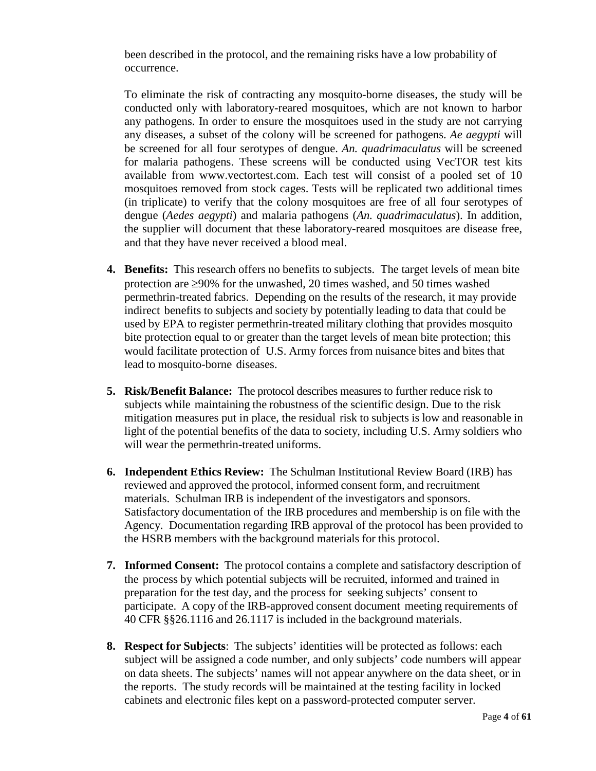been described in the protocol, and the remaining risks have a low probability of occurrence.

To eliminate the risk of contracting any mosquito-borne diseases, the study will be conducted only with laboratory-reared mosquitoes, which are not known to harbor any pathogens. In order to ensure the mosquitoes used in the study are not carrying any diseases, a subset of the colony will be screened for pathogens. *Ae aegypti* will be screened for all four serotypes of dengue. *An. quadrimaculatus* will be screened for malaria pathogens. These screens will be conducted using VecTOR test kits available from www.vectortest.com. Each test will consist of a pooled set of 10 mosquitoes removed from stock cages. Tests will be replicated two additional times (in triplicate) to verify that the colony mosquitoes are free of all four serotypes of dengue (*Aedes aegypti*) and malaria pathogens (*An. quadrimaculatus*). In addition, the supplier will document that these laboratory-reared mosquitoes are disease free, and that they have never received a blood meal.

- **4. Benefits:** This research offers no benefits to subjects. The target levels of mean bite protection are ≥90% for the unwashed, 20 times washed, and 50 times washed permethrin-treated fabrics. Depending on the results of the research, it may provide indirect benefits to subjects and society by potentially leading to data that could be used by EPA to register permethrin-treated military clothing that provides mosquito bite protection equal to or greater than the target levels of mean bite protection; this would facilitate protection of U.S. Army forces from nuisance bites and bites that lead to mosquito-borne diseases.
- **5. Risk/Benefit Balance:** The protocol describes measuresto further reduce risk to subjects while maintaining the robustness of the scientific design. Due to the risk mitigation measures put in place, the residual risk to subjects is low and reasonable in light of the potential benefits of the data to society, including U.S. Army soldiers who will wear the permethrin-treated uniforms.
- **6. Independent Ethics Review:** The Schulman Institutional Review Board (IRB) has reviewed and approved the protocol, informed consent form, and recruitment materials. Schulman IRB is independent of the investigators and sponsors. Satisfactory documentation of the IRB procedures and membership is on file with the Agency. Documentation regarding IRB approval of the protocol has been provided to the HSRB members with the background materials for this protocol.
- **7. Informed Consent:** The protocol contains a complete and satisfactory description of the process by which potential subjects will be recruited, informed and trained in preparation for the test day, and the process for seeking subjects' consent to participate. A copy of the IRB-approved consent document meeting requirements of 40 CFR §§26.1116 and 26.1117 is included in the background materials.
- **8. Respect for Subjects**: The subjects' identities will be protected as follows: each subject will be assigned a code number, and only subjects' code numbers will appear on data sheets. The subjects' names will not appear anywhere on the data sheet, or in the reports. The study records will be maintained at the testing facility in locked cabinets and electronic files kept on a password-protected computer server.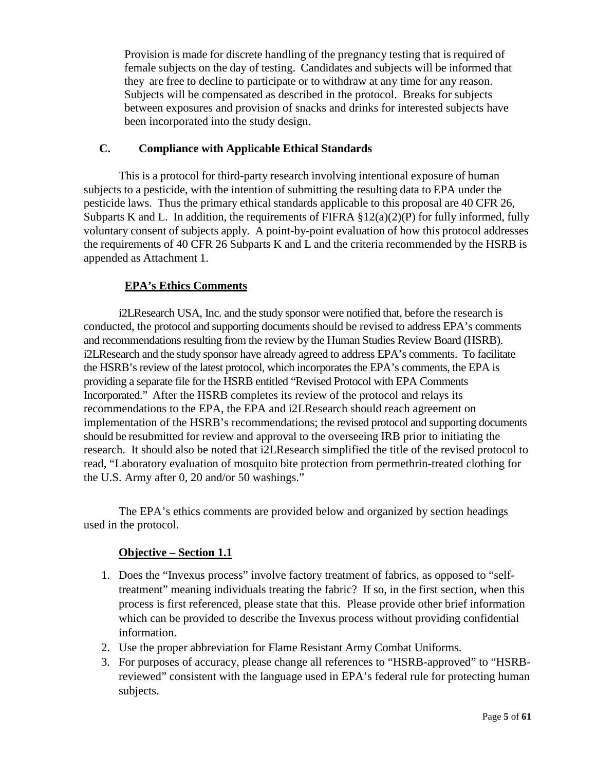Provision is made for discrete handling of the pregnancy testing that is required of female subjects on the day of testing. Candidates and subjects will be informed that they are free to decline to participate or to withdraw at any time for any reason. Subjects will be compensated as described in the protocol. Breaks for subjects between exposures and provision of snacks and drinks for interested subjects have been incorporated into the study design.

## **C. Compliance with Applicable Ethical Standards**

This is a protocol for third-party research involving intentional exposure of human subjects to a pesticide, with the intention of submitting the resulting data to EPA under the pesticide laws. Thus the primary ethical standards applicable to this proposal are 40 CFR 26, Subparts K and L. In addition, the requirements of FIFRA  $\S 12(a)(2)(P)$  for fully informed, fully voluntary consent of subjects apply. A point-by-point evaluation of how this protocol addresses the requirements of 40 CFR 26 Subparts K and L and the criteria recommended by the HSRB is appended as Attachment 1.

# **EPA's Ethics Comments**

i2LResearch USA, Inc. and the study sponsor were notified that, before the research is conducted, the protocol and supporting documents should be revised to address EPA's comments and recommendations resulting from the review by the Human Studies Review Board (HSRB). i2LResearch and the study sponsor have already agreed to address EPA's comments. To facilitate the HSRB's review of the latest protocol, which incorporates the EPA's comments, the EPA is providing a separate file for the HSRB entitled "Revised Protocol with EPA Comments Incorporated." After the HSRB completes its review of the protocol and relays its recommendations to the EPA, the EPA and i2LResearch should reach agreement on implementation of the HSRB's recommendations; the revised protocol and supporting documents should be resubmitted for review and approval to the overseeing IRB prior to initiating the research. It should also be noted that i2LResearch simplified the title of the revised protocol to read, "Laboratory evaluation of mosquito bite protection from permethrin-treated clothing for the U.S. Army after 0, 20 and/or 50 washings."

The EPA's ethics comments are provided below and organized by section headings used in the protocol.

## **Objective – Section 1.1**

- 1. Does the "Invexus process" involve factory treatment of fabrics, as opposed to "selftreatment" meaning individuals treating the fabric? If so, in the first section, when this process is first referenced, please state that this. Please provide other brief information which can be provided to describe the Invexus process without providing confidential information.
- 2. Use the proper abbreviation for Flame Resistant Army Combat Uniforms.
- 3. For purposes of accuracy, please change all references to "HSRB-approved" to "HSRBreviewed" consistent with the language used in EPA's federal rule for protecting human subjects.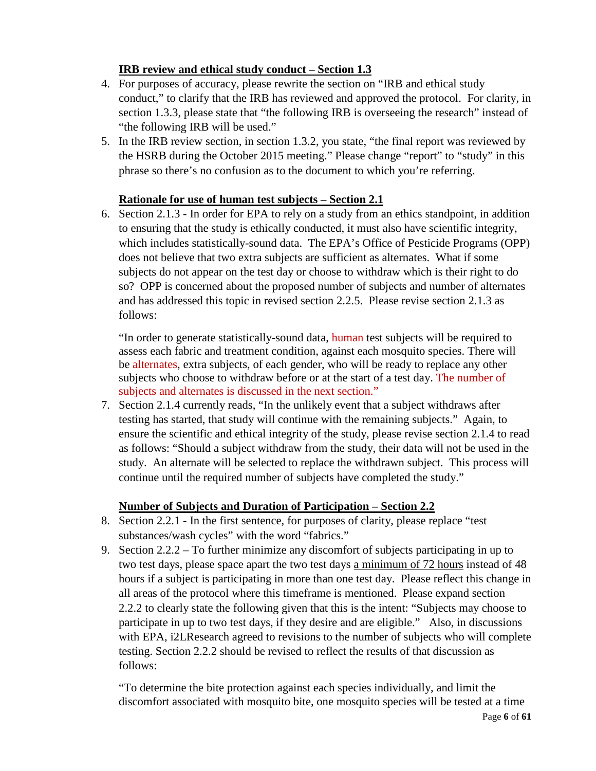# **IRB review and ethical study conduct – Section 1.3**

- 4. For purposes of accuracy, please rewrite the section on "IRB and ethical study conduct," to clarify that the IRB has reviewed and approved the protocol. For clarity, in section 1.3.3, please state that "the following IRB is overseeing the research" instead of "the following IRB will be used."
- 5. In the IRB review section, in section 1.3.2, you state, "the final report was reviewed by the HSRB during the October 2015 meeting." Please change "report" to "study" in this phrase so there's no confusion as to the document to which you're referring.

# **Rationale for use of human test subjects – Section 2.1**

6. Section 2.1.3 - In order for EPA to rely on a study from an ethics standpoint, in addition to ensuring that the study is ethically conducted, it must also have scientific integrity, which includes statistically-sound data. The EPA's Office of Pesticide Programs (OPP) does not believe that two extra subjects are sufficient as alternates. What if some subjects do not appear on the test day or choose to withdraw which is their right to do so? OPP is concerned about the proposed number of subjects and number of alternates and has addressed this topic in revised section 2.2.5. Please revise section 2.1.3 as follows:

"In order to generate statistically-sound data, human test subjects will be required to assess each fabric and treatment condition, against each mosquito species. There will be alternates, extra subjects, of each gender, who will be ready to replace any other subjects who choose to withdraw before or at the start of a test day. The number of subjects and alternates is discussed in the next section."

7. Section 2.1.4 currently reads, "In the unlikely event that a subject withdraws after testing has started, that study will continue with the remaining subjects." Again, to ensure the scientific and ethical integrity of the study, please revise section 2.1.4 to read as follows: "Should a subject withdraw from the study, their data will not be used in the study. An alternate will be selected to replace the withdrawn subject. This process will continue until the required number of subjects have completed the study."

# **Number of Subjects and Duration of Participation – Section 2.2**

- 8. Section 2.2.1 In the first sentence, for purposes of clarity, please replace "test substances/wash cycles" with the word "fabrics."
- 9. Section 2.2.2 To further minimize any discomfort of subjects participating in up to two test days, please space apart the two test days a minimum of 72 hours instead of 48 hours if a subject is participating in more than one test day. Please reflect this change in all areas of the protocol where this timeframe is mentioned. Please expand section 2.2.2 to clearly state the following given that this is the intent: "Subjects may choose to participate in up to two test days, if they desire and are eligible." Also, in discussions with EPA, i2LResearch agreed to revisions to the number of subjects who will complete testing. Section 2.2.2 should be revised to reflect the results of that discussion as follows:

"To determine the bite protection against each species individually, and limit the discomfort associated with mosquito bite, one mosquito species will be tested at a time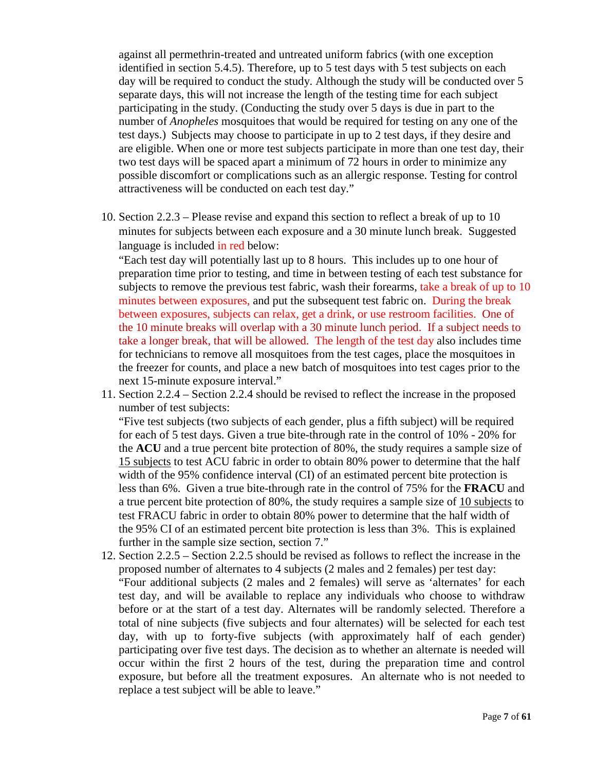against all permethrin-treated and untreated uniform fabrics (with one exception identified in section 5.4.5). Therefore, up to 5 test days with 5 test subjects on each day will be required to conduct the study. Although the study will be conducted over 5 separate days, this will not increase the length of the testing time for each subject participating in the study. (Conducting the study over 5 days is due in part to the number of *Anopheles* mosquitoes that would be required for testing on any one of the test days.) Subjects may choose to participate in up to 2 test days, if they desire and are eligible. When one or more test subjects participate in more than one test day, their two test days will be spaced apart a minimum of 72 hours in order to minimize any possible discomfort or complications such as an allergic response. Testing for control attractiveness will be conducted on each test day."

10. Section 2.2.3 – Please revise and expand this section to reflect a break of up to 10 minutes for subjects between each exposure and a 30 minute lunch break. Suggested language is included in red below:

"Each test day will potentially last up to 8 hours. This includes up to one hour of preparation time prior to testing, and time in between testing of each test substance for subjects to remove the previous test fabric, wash their forearms, take a break of up to 10 minutes between exposures, and put the subsequent test fabric on. During the break between exposures, subjects can relax, get a drink, or use restroom facilities. One of the 10 minute breaks will overlap with a 30 minute lunch period. If a subject needs to take a longer break, that will be allowed. The length of the test day also includes time for technicians to remove all mosquitoes from the test cages, place the mosquitoes in the freezer for counts, and place a new batch of mosquitoes into test cages prior to the next 15-minute exposure interval."

11. Section 2.2.4 – Section 2.2.4 should be revised to reflect the increase in the proposed number of test subjects:

"Five test subjects (two subjects of each gender, plus a fifth subject) will be required for each of 5 test days. Given a true bite-through rate in the control of 10% - 20% for the **ACU** and a true percent bite protection of 80%, the study requires a sample size of 15 subjects to test ACU fabric in order to obtain 80% power to determine that the half width of the 95% confidence interval (CI) of an estimated percent bite protection is less than 6%. Given a true bite-through rate in the control of 75% for the **FRACU** and a true percent bite protection of 80%, the study requires a sample size of 10 subjects to test FRACU fabric in order to obtain 80% power to determine that the half width of the 95% CI of an estimated percent bite protection is less than 3%. This is explained further in the sample size section, section 7."

12. Section 2.2.5 – Section 2.2.5 should be revised as follows to reflect the increase in the proposed number of alternates to 4 subjects (2 males and 2 females) per test day: "Four additional subjects (2 males and 2 females) will serve as 'alternates' for each test day, and will be available to replace any individuals who choose to withdraw before or at the start of a test day. Alternates will be randomly selected. Therefore a total of nine subjects (five subjects and four alternates) will be selected for each test day, with up to forty-five subjects (with approximately half of each gender) participating over five test days. The decision as to whether an alternate is needed will occur within the first 2 hours of the test, during the preparation time and control exposure, but before all the treatment exposures. An alternate who is not needed to replace a test subject will be able to leave."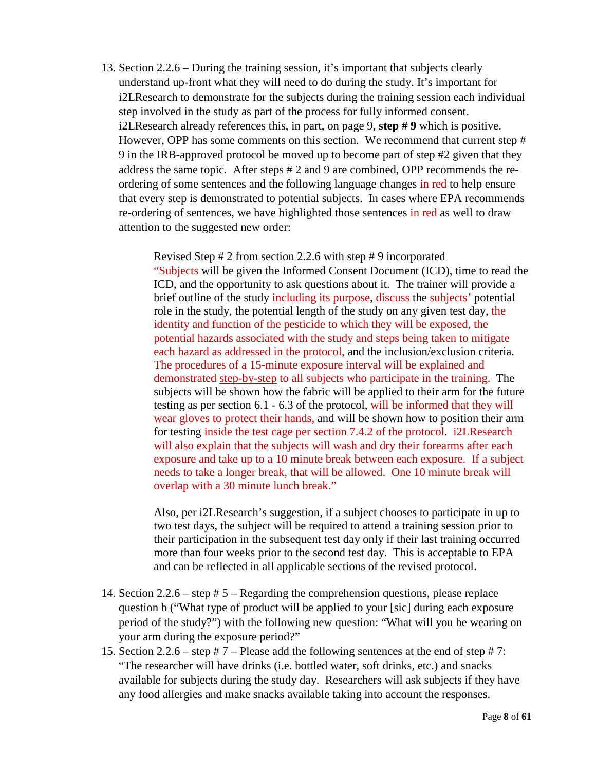13. Section 2.2.6 – During the training session, it's important that subjects clearly understand up-front what they will need to do during the study. It's important for i2LResearch to demonstrate for the subjects during the training session each individual step involved in the study as part of the process for fully informed consent. i2LResearch already references this, in part, on page 9, **step # 9** which is positive. However, OPP has some comments on this section. We recommend that current step # 9 in the IRB-approved protocol be moved up to become part of step #2 given that they address the same topic. After steps # 2 and 9 are combined, OPP recommends the reordering of some sentences and the following language changes in red to help ensure that every step is demonstrated to potential subjects. In cases where EPA recommends re-ordering of sentences, we have highlighted those sentences in red as well to draw attention to the suggested new order:

Revised Step # 2 from section 2.2.6 with step # 9 incorporated

"Subjects will be given the Informed Consent Document (ICD), time to read the ICD, and the opportunity to ask questions about it. The trainer will provide a brief outline of the study including its purpose, discuss the subjects' potential role in the study, the potential length of the study on any given test day, the identity and function of the pesticide to which they will be exposed, the potential hazards associated with the study and steps being taken to mitigate each hazard as addressed in the protocol, and the inclusion/exclusion criteria. The procedures of a 15-minute exposure interval will be explained and demonstrated step-by-step to all subjects who participate in the training. The subjects will be shown how the fabric will be applied to their arm for the future testing as per section 6.1 - 6.3 of the protocol, will be informed that they will wear gloves to protect their hands, and will be shown how to position their arm for testing inside the test cage per section 7.4.2 of the protocol. i2LResearch will also explain that the subjects will wash and dry their forearms after each exposure and take up to a 10 minute break between each exposure. If a subject needs to take a longer break, that will be allowed. One 10 minute break will overlap with a 30 minute lunch break."

Also, per i2LResearch's suggestion, if a subject chooses to participate in up to two test days, the subject will be required to attend a training session prior to their participation in the subsequent test day only if their last training occurred more than four weeks prior to the second test day. This is acceptable to EPA and can be reflected in all applicable sections of the revised protocol.

- 14. Section 2.2.6 step # 5 Regarding the comprehension questions, please replace question b ("What type of product will be applied to your [sic] during each exposure period of the study?") with the following new question: "What will you be wearing on your arm during the exposure period?"
- 15. Section 2.2.6 step  $# 7$  Please add the following sentences at the end of step  $# 7$ : "The researcher will have drinks (i.e. bottled water, soft drinks, etc.) and snacks available for subjects during the study day. Researchers will ask subjects if they have any food allergies and make snacks available taking into account the responses.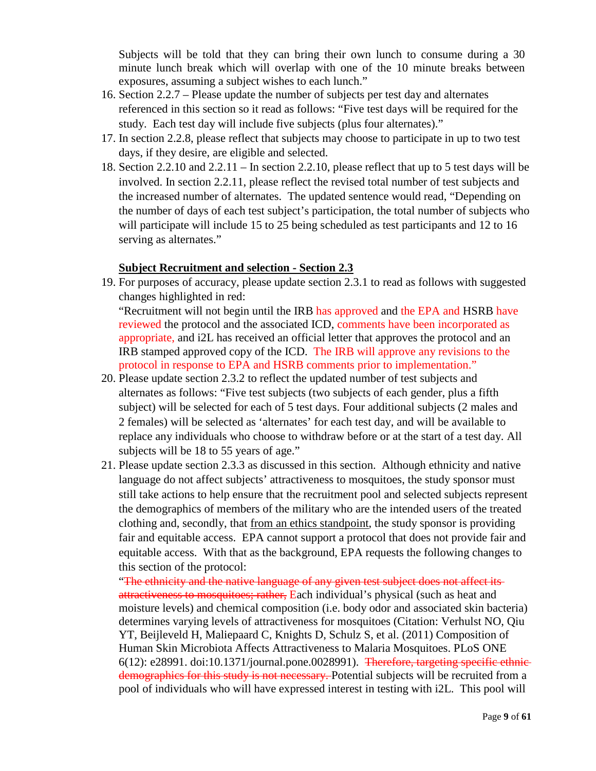Subjects will be told that they can bring their own lunch to consume during a 30 minute lunch break which will overlap with one of the 10 minute breaks between exposures, assuming a subject wishes to each lunch."

- 16. Section 2.2.7 Please update the number of subjects per test day and alternates referenced in this section so it read as follows: "Five test days will be required for the study. Each test day will include five subjects (plus four alternates)."
- 17. In section 2.2.8, please reflect that subjects may choose to participate in up to two test days, if they desire, are eligible and selected.
- 18. Section 2.2.10 and 2.2.11 In section 2.2.10, please reflect that up to 5 test days will be involved. In section 2.2.11, please reflect the revised total number of test subjects and the increased number of alternates. The updated sentence would read, "Depending on the number of days of each test subject's participation, the total number of subjects who will participate will include 15 to 25 being scheduled as test participants and 12 to 16 serving as alternates."

# **Subject Recruitment and selection - Section 2.3**

19. For purposes of accuracy, please update section 2.3.1 to read as follows with suggested changes highlighted in red:

"Recruitment will not begin until the IRB has approved and the EPA and HSRB have reviewed the protocol and the associated ICD, comments have been incorporated as appropriate, and i2L has received an official letter that approves the protocol and an IRB stamped approved copy of the ICD. The IRB will approve any revisions to the protocol in response to EPA and HSRB comments prior to implementation."

- 20. Please update section 2.3.2 to reflect the updated number of test subjects and alternates as follows: "Five test subjects (two subjects of each gender, plus a fifth subject) will be selected for each of 5 test days. Four additional subjects (2 males and 2 females) will be selected as 'alternates' for each test day, and will be available to replace any individuals who choose to withdraw before or at the start of a test day. All subjects will be 18 to 55 years of age."
- 21. Please update section 2.3.3 as discussed in this section. Although ethnicity and native language do not affect subjects' attractiveness to mosquitoes, the study sponsor must still take actions to help ensure that the recruitment pool and selected subjects represent the demographics of members of the military who are the intended users of the treated clothing and, secondly, that <u>from an ethics standpoint</u>, the study sponsor is providing fair and equitable access. EPA cannot support a protocol that does not provide fair and equitable access. With that as the background, EPA requests the following changes to this section of the protocol:

"The ethnicity and the native language of any given test subject does not affect its attractiveness to mosquitoes; rather, Each individual's physical (such as heat and moisture levels) and chemical composition (i.e. body odor and associated skin bacteria) determines varying levels of attractiveness for mosquitoes (Citation: Verhulst NO, Qiu YT, Beijleveld H, Maliepaard C, Knights D, Schulz S, et al. (2011) Composition of Human Skin Microbiota Affects Attractiveness to Malaria Mosquitoes. PLoS ONE  $6(12)$ : e28991. doi:10.1371/journal.pone.0028991). Therefore, targeting specific ethnicdemographics for this study is not necessary. Potential subjects will be recruited from a pool of individuals who will have expressed interest in testing with i2L. This pool will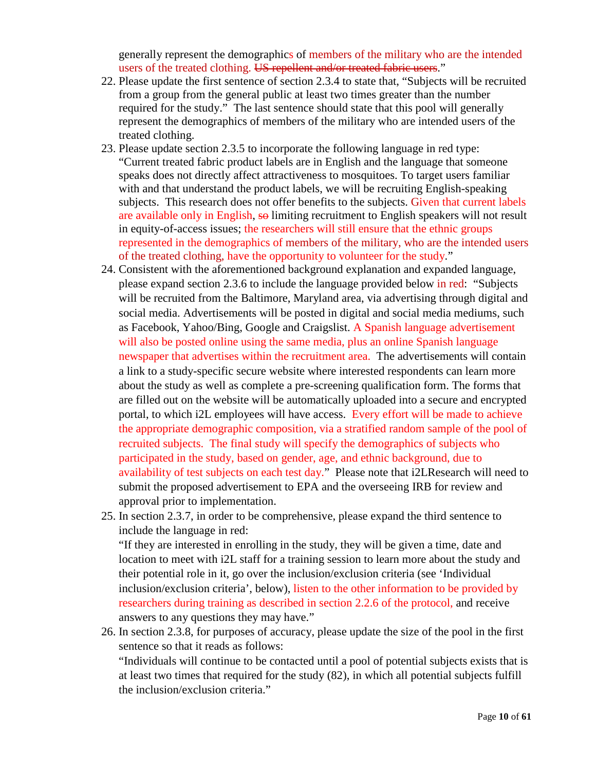generally represent the demographics of members of the military who are the intended users of the treated clothing. US repellent and/or treated fabric users."

- 22. Please update the first sentence of section 2.3.4 to state that, "Subjects will be recruited from a group from the general public at least two times greater than the number required for the study." The last sentence should state that this pool will generally represent the demographics of members of the military who are intended users of the treated clothing.
- 23. Please update section 2.3.5 to incorporate the following language in red type: "Current treated fabric product labels are in English and the language that someone speaks does not directly affect attractiveness to mosquitoes. To target users familiar with and that understand the product labels, we will be recruiting English-speaking subjects. This research does not offer benefits to the subjects. Given that current labels are available only in English, so limiting recruitment to English speakers will not result in equity-of-access issues; the researchers will still ensure that the ethnic groups represented in the demographics of members of the military, who are the intended users of the treated clothing, have the opportunity to volunteer for the study."
- 24. Consistent with the aforementioned background explanation and expanded language, please expand section 2.3.6 to include the language provided below in red: "Subjects will be recruited from the Baltimore, Maryland area, via advertising through digital and social media. Advertisements will be posted in digital and social media mediums, such as Facebook, Yahoo/Bing, Google and Craigslist. A Spanish language advertisement will also be posted online using the same media, plus an online Spanish language newspaper that advertises within the recruitment area. The advertisements will contain a link to a study-specific secure website where interested respondents can learn more about the study as well as complete a pre-screening qualification form. The forms that are filled out on the website will be automatically uploaded into a secure and encrypted portal, to which i2L employees will have access. Every effort will be made to achieve the appropriate demographic composition, via a stratified random sample of the pool of recruited subjects. The final study will specify the demographics of subjects who participated in the study, based on gender, age, and ethnic background, due to availability of test subjects on each test day." Please note that i2LResearch will need to submit the proposed advertisement to EPA and the overseeing IRB for review and approval prior to implementation.
- 25. In section 2.3.7, in order to be comprehensive, please expand the third sentence to include the language in red:

"If they are interested in enrolling in the study, they will be given a time, date and location to meet with i2L staff for a training session to learn more about the study and their potential role in it, go over the inclusion/exclusion criteria (see 'Individual inclusion/exclusion criteria', below), listen to the other information to be provided by researchers during training as described in section 2.2.6 of the protocol, and receive answers to any questions they may have."

26. In section 2.3.8, for purposes of accuracy, please update the size of the pool in the first sentence so that it reads as follows:

"Individuals will continue to be contacted until a pool of potential subjects exists that is at least two times that required for the study (82), in which all potential subjects fulfill the inclusion/exclusion criteria."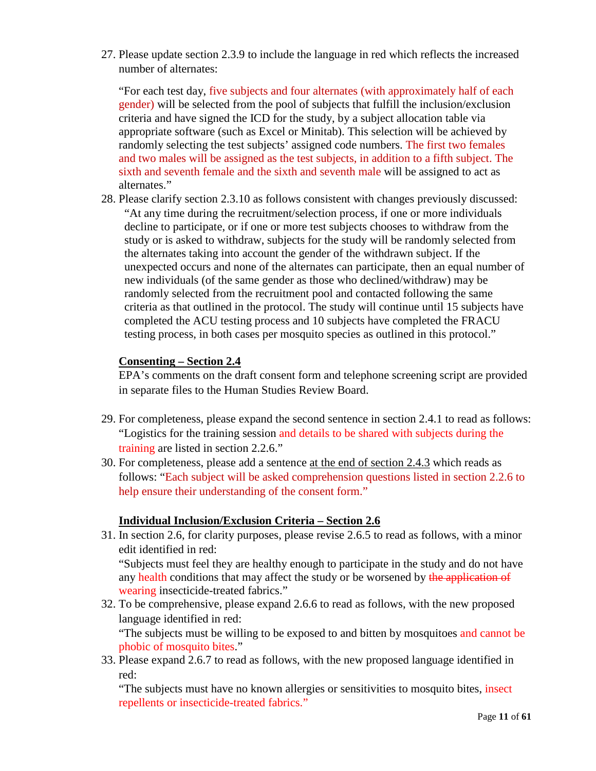27. Please update section 2.3.9 to include the language in red which reflects the increased number of alternates:

"For each test day, five subjects and four alternates (with approximately half of each gender) will be selected from the pool of subjects that fulfill the inclusion/exclusion criteria and have signed the ICD for the study, by a subject allocation table via appropriate software (such as Excel or Minitab). This selection will be achieved by randomly selecting the test subjects' assigned code numbers. The first two females and two males will be assigned as the test subjects, in addition to a fifth subject. The sixth and seventh female and the sixth and seventh male will be assigned to act as alternates."

28. Please clarify section 2.3.10 as follows consistent with changes previously discussed: "At any time during the recruitment/selection process, if one or more individuals decline to participate, or if one or more test subjects chooses to withdraw from the study or is asked to withdraw, subjects for the study will be randomly selected from the alternates taking into account the gender of the withdrawn subject. If the unexpected occurs and none of the alternates can participate, then an equal number of new individuals (of the same gender as those who declined/withdraw) may be randomly selected from the recruitment pool and contacted following the same criteria as that outlined in the protocol. The study will continue until 15 subjects have completed the ACU testing process and 10 subjects have completed the FRACU testing process, in both cases per mosquito species as outlined in this protocol."

# **Consenting – Section 2.4**

EPA's comments on the draft consent form and telephone screening script are provided in separate files to the Human Studies Review Board.

- 29. For completeness, please expand the second sentence in section 2.4.1 to read as follows: "Logistics for the training session and details to be shared with subjects during the training are listed in section 2.2.6."
- 30. For completeness, please add a sentence at the end of section 2.4.3 which reads as follows: "Each subject will be asked comprehension questions listed in section 2.2.6 to help ensure their understanding of the consent form."

# **Individual Inclusion/Exclusion Criteria – Section 2.6**

31. In section 2.6, for clarity purposes, please revise 2.6.5 to read as follows, with a minor edit identified in red: "Subjects must feel they are healthy enough to participate in the study and do not have

any health conditions that may affect the study or be worsened by the application of wearing insecticide-treated fabrics."

32. To be comprehensive, please expand 2.6.6 to read as follows, with the new proposed language identified in red:

"The subjects must be willing to be exposed to and bitten by mosquitoes and cannot be phobic of mosquito bites."

33. Please expand 2.6.7 to read as follows, with the new proposed language identified in red:

"The subjects must have no known allergies or sensitivities to mosquito bites, insect repellents or insecticide-treated fabrics."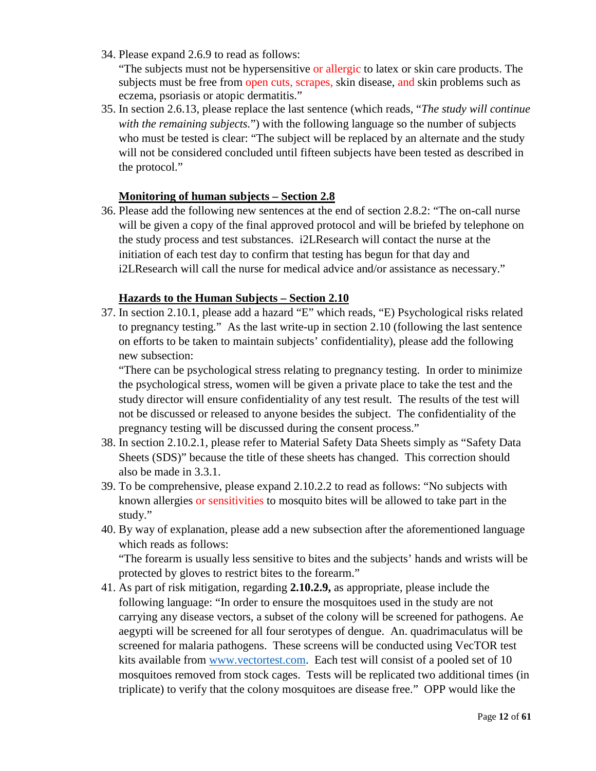34. Please expand 2.6.9 to read as follows:

"The subjects must not be hypersensitive or allergic to latex or skin care products. The subjects must be free from open cuts, scrapes, skin disease, and skin problems such as eczema, psoriasis or atopic dermatitis."

35. In section 2.6.13, please replace the last sentence (which reads, "*The study will continue with the remaining subjects.*") with the following language so the number of subjects who must be tested is clear: "The subject will be replaced by an alternate and the study will not be considered concluded until fifteen subjects have been tested as described in the protocol."

# **Monitoring of human subjects – Section 2.8**

36. Please add the following new sentences at the end of section 2.8.2: "The on-call nurse will be given a copy of the final approved protocol and will be briefed by telephone on the study process and test substances. i2LResearch will contact the nurse at the initiation of each test day to confirm that testing has begun for that day and i2LResearch will call the nurse for medical advice and/or assistance as necessary."

## **Hazards to the Human Subjects – Section 2.10**

37. In section 2.10.1, please add a hazard "E" which reads, "E) Psychological risks related to pregnancy testing." As the last write-up in section 2.10 (following the last sentence on efforts to be taken to maintain subjects' confidentiality), please add the following new subsection:

"There can be psychological stress relating to pregnancy testing. In order to minimize the psychological stress, women will be given a private place to take the test and the study director will ensure confidentiality of any test result. The results of the test will not be discussed or released to anyone besides the subject. The confidentiality of the pregnancy testing will be discussed during the consent process."

- 38. In section 2.10.2.1, please refer to Material Safety Data Sheets simply as "Safety Data Sheets (SDS)" because the title of these sheets has changed. This correction should also be made in 3.3.1.
- 39. To be comprehensive, please expand 2.10.2.2 to read as follows: "No subjects with known allergies or sensitivities to mosquito bites will be allowed to take part in the study."
- 40. By way of explanation, please add a new subsection after the aforementioned language which reads as follows: "The forearm is usually less sensitive to bites and the subjects' hands and wrists will be protected by gloves to restrict bites to the forearm."
- 41. As part of risk mitigation, regarding **2.10.2.9,** as appropriate, please include the following language: "In order to ensure the mosquitoes used in the study are not carrying any disease vectors, a subset of the colony will be screened for pathogens. Ae aegypti will be screened for all four serotypes of dengue. An. quadrimaculatus will be screened for malaria pathogens. These screens will be conducted using VecTOR test kits available from [www.vectortest.com.](http://www.vectortest.com/) Each test will consist of a pooled set of 10 mosquitoes removed from stock cages. Tests will be replicated two additional times (in triplicate) to verify that the colony mosquitoes are disease free." OPP would like the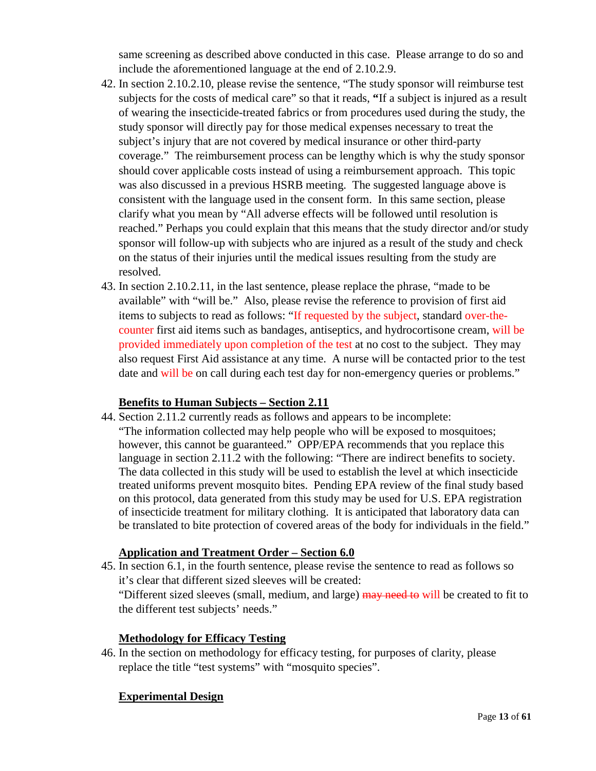same screening as described above conducted in this case. Please arrange to do so and include the aforementioned language at the end of 2.10.2.9.

- 42. In section 2.10.2.10, please revise the sentence, "The study sponsor will reimburse test subjects for the costs of medical care" so that it reads, **"**If a subject is injured as a result of wearing the insecticide-treated fabrics or from procedures used during the study, the study sponsor will directly pay for those medical expenses necessary to treat the subject's injury that are not covered by medical insurance or other third-party coverage." The reimbursement process can be lengthy which is why the study sponsor should cover applicable costs instead of using a reimbursement approach. This topic was also discussed in a previous HSRB meeting. The suggested language above is consistent with the language used in the consent form. In this same section, please clarify what you mean by "All adverse effects will be followed until resolution is reached." Perhaps you could explain that this means that the study director and/or study sponsor will follow-up with subjects who are injured as a result of the study and check on the status of their injuries until the medical issues resulting from the study are resolved.
- 43. In section 2.10.2.11, in the last sentence, please replace the phrase, "made to be available" with "will be." Also, please revise the reference to provision of first aid items to subjects to read as follows: "If requested by the subject, standard over-thecounter first aid items such as bandages, antiseptics, and hydrocortisone cream, will be provided immediately upon completion of the test at no cost to the subject. They may also request First Aid assistance at any time. A nurse will be contacted prior to the test date and will be on call during each test day for non-emergency queries or problems."

## **Benefits to Human Subjects – Section 2.11**

44. Section 2.11.2 currently reads as follows and appears to be incomplete: "The information collected may help people who will be exposed to mosquitoes; however, this cannot be guaranteed." OPP/EPA recommends that you replace this language in section 2.11.2 with the following: "There are indirect benefits to society. The data collected in this study will be used to establish the level at which insecticide treated uniforms prevent mosquito bites. Pending EPA review of the final study based on this protocol, data generated from this study may be used for U.S. EPA registration of insecticide treatment for military clothing. It is anticipated that laboratory data can be translated to bite protection of covered areas of the body for individuals in the field."

## **Application and Treatment Order – Section 6.0**

45. In section 6.1, in the fourth sentence, please revise the sentence to read as follows so it's clear that different sized sleeves will be created:

"Different sized sleeves (small, medium, and large) may need to will be created to fit to the different test subjects' needs."

## **Methodology for Efficacy Testing**

46. In the section on methodology for efficacy testing, for purposes of clarity, please replace the title "test systems" with "mosquito species".

## **Experimental Design**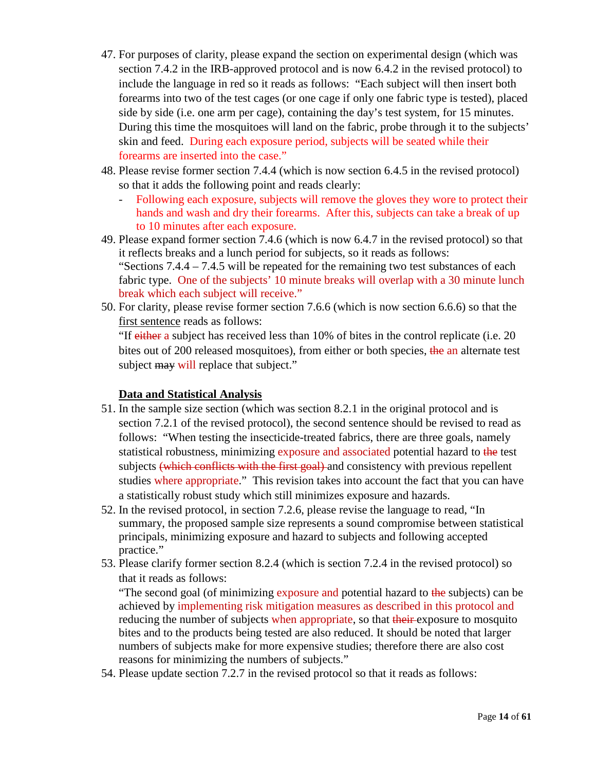- 47. For purposes of clarity, please expand the section on experimental design (which was section 7.4.2 in the IRB-approved protocol and is now 6.4.2 in the revised protocol) to include the language in red so it reads as follows: "Each subject will then insert both forearms into two of the test cages (or one cage if only one fabric type is tested), placed side by side (i.e. one arm per cage), containing the day's test system, for 15 minutes. During this time the mosquitoes will land on the fabric, probe through it to the subjects' skin and feed. During each exposure period, subjects will be seated while their forearms are inserted into the case."
- 48. Please revise former section 7.4.4 (which is now section 6.4.5 in the revised protocol) so that it adds the following point and reads clearly:
	- Following each exposure, subjects will remove the gloves they wore to protect their hands and wash and dry their forearms. After this, subjects can take a break of up to 10 minutes after each exposure.
- 49. Please expand former section 7.4.6 (which is now 6.4.7 in the revised protocol) so that it reflects breaks and a lunch period for subjects, so it reads as follows: "Sections 7.4.4 – 7.4.5 will be repeated for the remaining two test substances of each fabric type. One of the subjects' 10 minute breaks will overlap with a 30 minute lunch break which each subject will receive."
- 50. For clarity, please revise former section 7.6.6 (which is now section 6.6.6) so that the first sentence reads as follows:

"If either a subject has received less than 10% of bites in the control replicate (i.e. 20 bites out of 200 released mosquitoes), from either or both species, the an alternate test subject may will replace that subject."

# **Data and Statistical Analysis**

- 51. In the sample size section (which was section 8.2.1 in the original protocol and is section 7.2.1 of the revised protocol), the second sentence should be revised to read as follows: "When testing the insecticide-treated fabrics, there are three goals, namely statistical robustness, minimizing exposure and associated potential hazard to the test subjects (which conflicts with the first goal) and consistency with previous repellent studies where appropriate." This revision takes into account the fact that you can have a statistically robust study which still minimizes exposure and hazards.
- 52. In the revised protocol, in section 7.2.6, please revise the language to read, "In summary, the proposed sample size represents a sound compromise between statistical principals, minimizing exposure and hazard to subjects and following accepted practice."
- 53. Please clarify former section 8.2.4 (which is section 7.2.4 in the revised protocol) so that it reads as follows:

"The second goal (of minimizing exposure and potential hazard to the subjects) can be achieved by implementing risk mitigation measures as described in this protocol and reducing the number of subjects when appropriate, so that their exposure to mosquito bites and to the products being tested are also reduced. It should be noted that larger numbers of subjects make for more expensive studies; therefore there are also cost reasons for minimizing the numbers of subjects."

54. Please update section 7.2.7 in the revised protocol so that it reads as follows: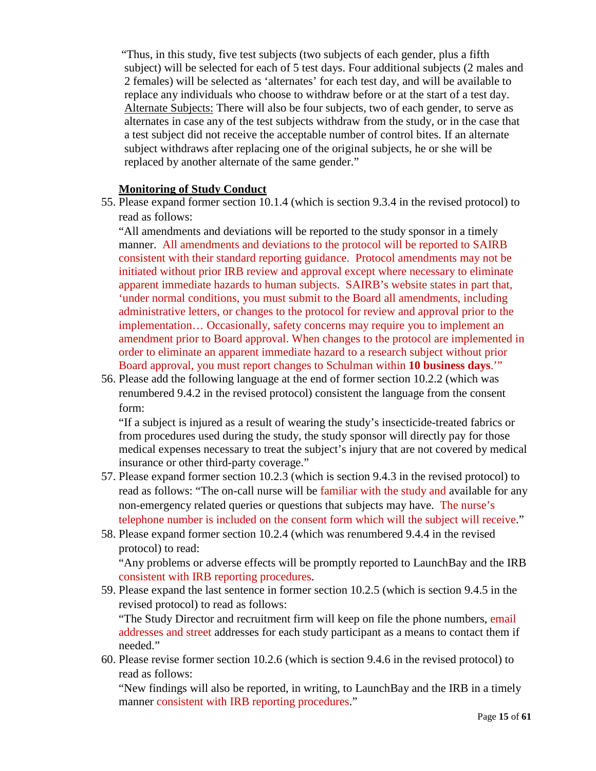"Thus, in this study, five test subjects (two subjects of each gender, plus a fifth subject) will be selected for each of 5 test days. Four additional subjects (2 males and 2 females) will be selected as 'alternates' for each test day, and will be available to replace any individuals who choose to withdraw before or at the start of a test day. Alternate Subjects: There will also be four subjects, two of each gender, to serve as alternates in case any of the test subjects withdraw from the study, or in the case that a test subject did not receive the acceptable number of control bites. If an alternate subject withdraws after replacing one of the original subjects, he or she will be replaced by another alternate of the same gender."

#### **Monitoring of Study Conduct**

55. Please expand former section 10.1.4 (which is section 9.3.4 in the revised protocol) to read as follows:

"All amendments and deviations will be reported to the study sponsor in a timely manner. All amendments and deviations to the protocol will be reported to SAIRB consistent with their standard reporting guidance. Protocol amendments may not be initiated without prior IRB review and approval except where necessary to eliminate apparent immediate hazards to human subjects. SAIRB's website states in part that, 'under normal conditions, you must submit to the Board all amendments, including administrative letters, or changes to the protocol for review and approval prior to the implementation… Occasionally, safety concerns may require you to implement an amendment prior to Board approval. When changes to the protocol are implemented in order to eliminate an apparent immediate hazard to a research subject without prior Board approval, you must report changes to Schulman within **10 business days**.'"

56. Please add the following language at the end of former section 10.2.2 (which was renumbered 9.4.2 in the revised protocol) consistent the language from the consent form:

"If a subject is injured as a result of wearing the study's insecticide-treated fabrics or from procedures used during the study, the study sponsor will directly pay for those medical expenses necessary to treat the subject's injury that are not covered by medical insurance or other third-party coverage."

- 57. Please expand former section 10.2.3 (which is section 9.4.3 in the revised protocol) to read as follows: "The on-call nurse will be familiar with the study and available for any non-emergency related queries or questions that subjects may have. The nurse's telephone number is included on the consent form which will the subject will receive."
- 58. Please expand former section 10.2.4 (which was renumbered 9.4.4 in the revised protocol) to read:

"Any problems or adverse effects will be promptly reported to LaunchBay and the IRB consistent with IRB reporting procedures.

59. Please expand the last sentence in former section 10.2.5 (which is section 9.4.5 in the revised protocol) to read as follows: "The Study Director and recruitment firm will keep on file the phone numbers, email

addresses and street addresses for each study participant as a means to contact them if needed."

60. Please revise former section 10.2.6 (which is section 9.4.6 in the revised protocol) to read as follows:

"New findings will also be reported, in writing, to LaunchBay and the IRB in a timely manner consistent with IRB reporting procedures."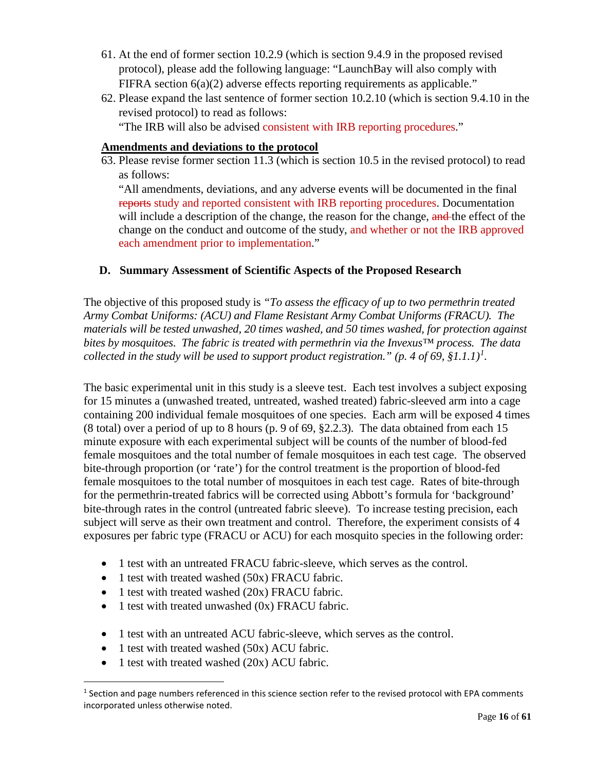- 61. At the end of former section 10.2.9 (which is section 9.4.9 in the proposed revised protocol), please add the following language: "LaunchBay will also comply with FIFRA section 6(a)(2) adverse effects reporting requirements as applicable."
- 62. Please expand the last sentence of former section 10.2.10 (which is section 9.4.10 in the revised protocol) to read as follows: "The IRB will also be advised consistent with IRB reporting procedures."

# **Amendments and deviations to the protocol**

63. Please revise former section 11.3 (which is section 10.5 in the revised protocol) to read as follows:

"All amendments, deviations, and any adverse events will be documented in the final reports study and reported consistent with IRB reporting procedures. Documentation will include a description of the change, the reason for the change, and the effect of the change on the conduct and outcome of the study, and whether or not the IRB approved each amendment prior to implementation."

# **D. Summary Assessment of Scientific Aspects of the Proposed Research**

The objective of this proposed study is *"To assess the efficacy of up to two permethrin treated Army Combat Uniforms: (ACU) and Flame Resistant Army Combat Uniforms (FRACU). The materials will be tested unwashed, 20 times washed, and 50 times washed, for protection against bites by mosquitoes. The fabric is treated with permethrin via the Invexus™ process. The data collected in the study will be used to support product registration." (p. 4 of 69, §1.1.1)[1](#page-15-0) .*

The basic experimental unit in this study is a sleeve test. Each test involves a subject exposing for 15 minutes a (unwashed treated, untreated, washed treated) fabric-sleeved arm into a cage containing 200 individual female mosquitoes of one species. Each arm will be exposed 4 times (8 total) over a period of up to 8 hours (p. 9 of 69, §2.2.3). The data obtained from each 15 minute exposure with each experimental subject will be counts of the number of blood-fed female mosquitoes and the total number of female mosquitoes in each test cage. The observed bite-through proportion (or 'rate') for the control treatment is the proportion of blood-fed female mosquitoes to the total number of mosquitoes in each test cage. Rates of bite-through for the permethrin-treated fabrics will be corrected using Abbott's formula for 'background' bite-through rates in the control (untreated fabric sleeve). To increase testing precision, each subject will serve as their own treatment and control. Therefore, the experiment consists of 4 exposures per fabric type (FRACU or ACU) for each mosquito species in the following order:

- 1 test with an untreated FRACU fabric-sleeve, which serves as the control.
- 1 test with treated washed (50x) FRACU fabric.
- 1 test with treated washed (20x) FRACU fabric.
- 1 test with treated unwashed (0x) FRACU fabric.
- 1 test with an untreated ACU fabric-sleeve, which serves as the control.
- 1 test with treated washed (50x) ACU fabric.
- 1 test with treated washed (20x) ACU fabric.

 $\overline{a}$ 

<span id="page-15-0"></span> $1$  Section and page numbers referenced in this science section refer to the revised protocol with EPA comments incorporated unless otherwise noted.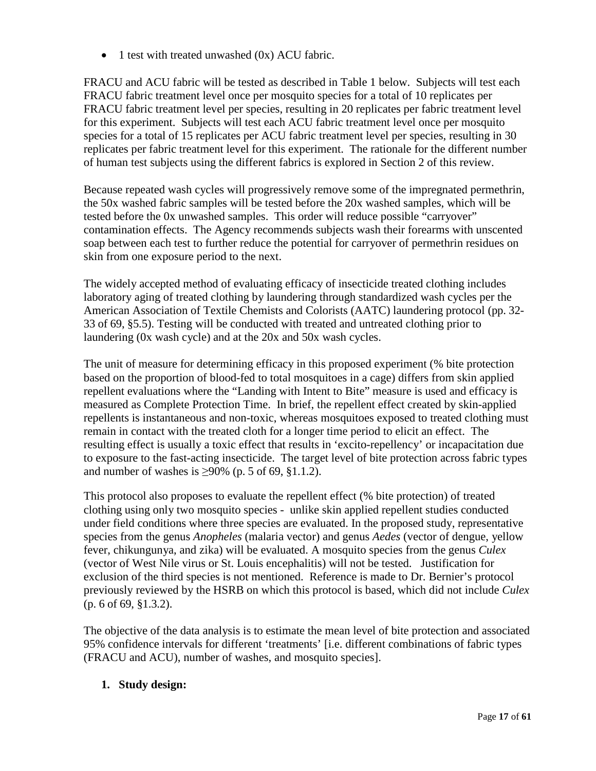• 1 test with treated unwashed (0x) ACU fabric.

FRACU and ACU fabric will be tested as described in Table 1 below. Subjects will test each FRACU fabric treatment level once per mosquito species for a total of 10 replicates per FRACU fabric treatment level per species, resulting in 20 replicates per fabric treatment level for this experiment. Subjects will test each ACU fabric treatment level once per mosquito species for a total of 15 replicates per ACU fabric treatment level per species, resulting in 30 replicates per fabric treatment level for this experiment. The rationale for the different number of human test subjects using the different fabrics is explored in Section 2 of this review.

Because repeated wash cycles will progressively remove some of the impregnated permethrin, the 50x washed fabric samples will be tested before the 20x washed samples, which will be tested before the 0x unwashed samples. This order will reduce possible "carryover" contamination effects. The Agency recommends subjects wash their forearms with unscented soap between each test to further reduce the potential for carryover of permethrin residues on skin from one exposure period to the next.

The widely accepted method of evaluating efficacy of insecticide treated clothing includes laboratory aging of treated clothing by laundering through standardized wash cycles per the American Association of Textile Chemists and Colorists (AATC) laundering protocol (pp. 32- 33 of 69, §5.5). Testing will be conducted with treated and untreated clothing prior to laundering (0x wash cycle) and at the 20x and 50x wash cycles.

The unit of measure for determining efficacy in this proposed experiment (% bite protection based on the proportion of blood-fed to total mosquitoes in a cage) differs from skin applied repellent evaluations where the "Landing with Intent to Bite" measure is used and efficacy is measured as Complete Protection Time. In brief, the repellent effect created by skin-applied repellents is instantaneous and non-toxic, whereas mosquitoes exposed to treated clothing must remain in contact with the treated cloth for a longer time period to elicit an effect. The resulting effect is usually a toxic effect that results in 'excito-repellency' or incapacitation due to exposure to the fast-acting insecticide. The target level of bite protection across fabric types and number of washes is  $\geq$ 90% (p. 5 of 69, §1.1.2).

This protocol also proposes to evaluate the repellent effect (% bite protection) of treated clothing using only two mosquito species - unlike skin applied repellent studies conducted under field conditions where three species are evaluated. In the proposed study, representative species from the genus *Anopheles* (malaria vector) and genus *Aedes* (vector of dengue, yellow fever, chikungunya, and zika) will be evaluated. A mosquito species from the genus *Culex* (vector of West Nile virus or St. Louis encephalitis) will not be tested. Justification for exclusion of the third species is not mentioned. Reference is made to Dr. Bernier's protocol previously reviewed by the HSRB on which this protocol is based, which did not include *Culex* (p. 6 of 69, §1.3.2).

The objective of the data analysis is to estimate the mean level of bite protection and associated 95% confidence intervals for different 'treatments' [i.e. different combinations of fabric types (FRACU and ACU), number of washes, and mosquito species].

## **1. Study design:**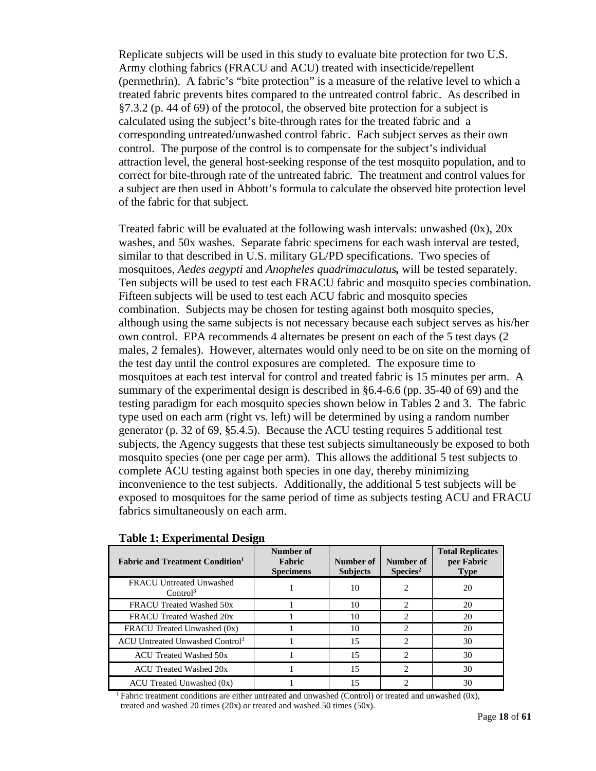Replicate subjects will be used in this study to evaluate bite protection for two U.S. Army clothing fabrics (FRACU and ACU) treated with insecticide/repellent (permethrin). A fabric's "bite protection" is a measure of the relative level to which a treated fabric prevents bites compared to the untreated control fabric. As described in §7.3.2 (p. 44 of 69) of the protocol, the observed bite protection for a subject is calculated using the subject's bite-through rates for the treated fabric and a corresponding untreated/unwashed control fabric. Each subject serves as their own control. The purpose of the control is to compensate for the subject's individual attraction level, the general host-seeking response of the test mosquito population, and to correct for bite-through rate of the untreated fabric. The treatment and control values for a subject are then used in Abbott's formula to calculate the observed bite protection level of the fabric for that subject.

Treated fabric will be evaluated at the following wash intervals: unwashed  $(0x)$ ,  $20x$ washes, and 50x washes. Separate fabric specimens for each wash interval are tested, similar to that described in U.S. military GL/PD specifications. Two species of mosquitoes, *Aedes aegypti* and *Anopheles quadrimaculatus,* will be tested separately. Ten subjects will be used to test each FRACU fabric and mosquito species combination. Fifteen subjects will be used to test each ACU fabric and mosquito species combination. Subjects may be chosen for testing against both mosquito species, although using the same subjects is not necessary because each subject serves as his/her own control. EPA recommends 4 alternates be present on each of the 5 test days (2 males, 2 females). However, alternates would only need to be on site on the morning of the test day until the control exposures are completed. The exposure time to mosquitoes at each test interval for control and treated fabric is 15 minutes per arm. A summary of the experimental design is described in §6.4-6.6 (pp. 35-40 of 69) and the testing paradigm for each mosquito species shown below in Tables 2 and 3. The fabric type used on each arm (right vs. left) will be determined by using a random number generator (p. 32 of 69, §5.4.5). Because the ACU testing requires 5 additional test subjects, the Agency suggests that these test subjects simultaneously be exposed to both mosquito species (one per cage per arm). This allows the additional 5 test subjects to complete ACU testing against both species in one day, thereby minimizing inconvenience to the test subjects. Additionally, the additional 5 test subjects will be exposed to mosquitoes for the same period of time as subjects testing ACU and FRACU fabrics simultaneously on each arm.

| <b>Fabric and Treatment Condition</b>            | Number of<br>Fabric<br><b>Specimens</b> | Number of<br><b>Subjects</b> | Number of<br>$S$ pecies <sup>2</sup> | <b>Total Replicates</b><br>per Fabric<br><b>Type</b> |
|--------------------------------------------------|-----------------------------------------|------------------------------|--------------------------------------|------------------------------------------------------|
| FRACU Untreated Unwashed<br>Control <sup>3</sup> |                                         | 10                           | 2                                    | 20                                                   |
| FRACU Treated Washed 50x                         |                                         | 10                           | 2                                    | 20                                                   |
| FRACU Treated Washed 20x                         |                                         | 10                           | 2                                    | 20                                                   |
| FRACU Treated Unwashed (0x)                      |                                         | 10                           | 2                                    | 20                                                   |
| ACU Untreated Unwashed Control <sup>3</sup>      |                                         | 15                           | 2                                    | 30                                                   |
| <b>ACU Treated Washed 50x</b>                    |                                         | 15                           | 2                                    | 30                                                   |
| ACU Treated Washed 20x                           |                                         | 15                           | 2                                    | 30                                                   |
| $ACU$ Treated Unwashed $(0x)$                    |                                         | 15                           | 2                                    | 30                                                   |

#### **Table 1: Experimental Design**

<sup>1</sup> Fabric treatment conditions are either untreated and unwashed (Control) or treated and unwashed (0x), treated and washed 20 times (20x) or treated and washed 50 times (50x).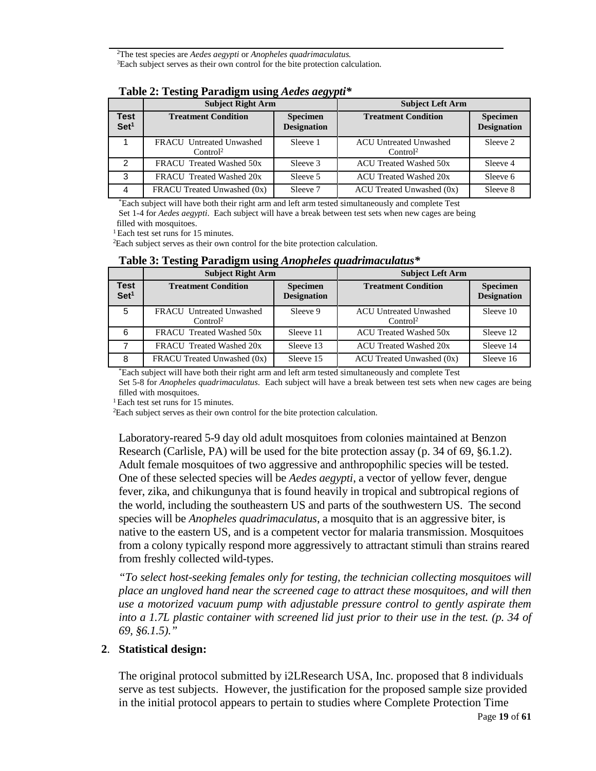2 The test species are *Aedes aegypti* or *Anopheles quadrimaculatus.*<sup>3</sup>Each subject serves as their own control for the bite protection calculation.

|                          | <b>Subject Right Arm</b>                                | $\sim$                                | <b>Subject Left Arm</b>                               |                                       |  |  |
|--------------------------|---------------------------------------------------------|---------------------------------------|-------------------------------------------------------|---------------------------------------|--|--|
| Test<br>Set <sup>1</sup> | <b>Treatment Condition</b>                              | <b>Specimen</b><br><b>Designation</b> | <b>Treatment Condition</b>                            | <b>Specimen</b><br><b>Designation</b> |  |  |
|                          | <b>FRACU</b> Untreated Unwashed<br>Control <sup>2</sup> | Sleeve 1                              | <b>ACU Untreated Unwashed</b><br>Control <sup>2</sup> | Sleeve 2                              |  |  |
| 2                        | FRACU Treated Washed 50x                                | Sleeve 3                              | ACU Treated Washed 50x                                | Sleeve 4                              |  |  |
| 3                        | FRACU Treated Washed 20x                                | Sleeve 5                              | ACU Treated Washed 20x                                | Sleeve 6                              |  |  |
| 4                        | FRACU Treated Unwashed (0x)                             | Sleeve 7                              | $ACU$ Treated Unwashed $(0x)$                         | Sleeve 8                              |  |  |

## **Table 2: Testing Paradigm using** *Aedes aegypti\**

\*Each subject will have both their right arm and left arm tested simultaneously and complete Test

Set 1-4 for *Aedes aegypti*. Each subject will have a break between test sets when new cages are being filled with mosquitoes.

<sup>1</sup> Each test set runs for 15 minutes.

Each subject serves as their own control for the bite protection calculation.

|                                 | <b>Subject Right Arm</b>                                |                                       | <b>Subject Left Arm</b>                               |                                       |  |  |
|---------------------------------|---------------------------------------------------------|---------------------------------------|-------------------------------------------------------|---------------------------------------|--|--|
| <b>Test</b><br>Set <sup>1</sup> | <b>Treatment Condition</b>                              | <b>Specimen</b><br><b>Designation</b> | <b>Treatment Condition</b>                            | <b>Specimen</b><br><b>Designation</b> |  |  |
| 5                               | <b>FRACU</b> Untreated Unwashed<br>Control <sup>2</sup> | Sleeve 9                              | <b>ACU Untreated Unwashed</b><br>Control <sup>2</sup> | Sleeve 10                             |  |  |
| 6                               | FRACU Treated Washed 50x                                | Sleeve 11                             | <b>ACU Treated Washed 50x</b>                         | Sleeve 12                             |  |  |
| 7                               | FRACU Treated Washed 20x                                | Sleeve 13                             | <b>ACU Treated Washed 20x</b>                         | Sleeve 14                             |  |  |
| 8                               | FRACU Treated Unwashed (0x)                             | Sleeve 15                             | $ACU$ Treated Unwashed $(0x)$                         | Sleeve 16                             |  |  |

## **Table 3: Testing Paradigm using** *Anopheles quadrimaculatus\**

\*Each subject will have both their right arm and left arm tested simultaneously and complete Test

Set 5-8 for *Anopheles quadrimaculatus*. Each subject will have a break between test sets when new cages are being filled with mosquitoes.

<sup>1</sup> Each test set runs for 15 minutes.

Each subject serves as their own control for the bite protection calculation.

Laboratory-reared 5-9 day old adult mosquitoes from colonies maintained at Benzon Research (Carlisle, PA) will be used for the bite protection assay (p. 34 of 69, §6.1.2). Adult female mosquitoes of two aggressive and anthropophilic species will be tested. One of these selected species will be *Aedes aegypti*, a vector of yellow fever, dengue fever, zika, and chikungunya that is found heavily in tropical and subtropical regions of the world, including the southeastern US and parts of the southwestern US. The second species will be *Anopheles quadrimaculatus*, a mosquito that is an aggressive biter, is native to the eastern US, and is a competent vector for malaria transmission. Mosquitoes from a colony typically respond more aggressively to attractant stimuli than strains reared from freshly collected wild-types.

*"To select host-seeking females only for testing, the technician collecting mosquitoes will place an ungloved hand near the screened cage to attract these mosquitoes, and will then use a motorized vacuum pump with adjustable pressure control to gently aspirate them into a 1.7L plastic container with screened lid just prior to their use in the test. (p. 34 of 69, §6.1.5)."*

## **2**. **Statistical design:**

The original protocol submitted by i2LResearch USA, Inc. proposed that 8 individuals serve as test subjects. However, the justification for the proposed sample size provided in the initial protocol appears to pertain to studies where Complete Protection Time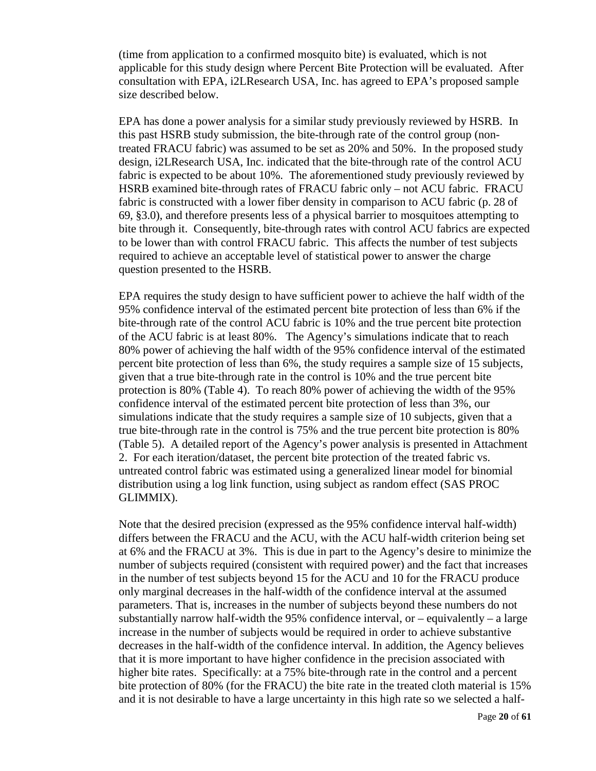(time from application to a confirmed mosquito bite) is evaluated, which is not applicable for this study design where Percent Bite Protection will be evaluated. After consultation with EPA, i2LResearch USA, Inc. has agreed to EPA's proposed sample size described below.

EPA has done a power analysis for a similar study previously reviewed by HSRB. In this past HSRB study submission, the bite-through rate of the control group (nontreated FRACU fabric) was assumed to be set as 20% and 50%. In the proposed study design, i2LResearch USA, Inc. indicated that the bite-through rate of the control ACU fabric is expected to be about 10%. The aforementioned study previously reviewed by HSRB examined bite-through rates of FRACU fabric only – not ACU fabric. FRACU fabric is constructed with a lower fiber density in comparison to ACU fabric (p. 28 of 69, §3.0), and therefore presents less of a physical barrier to mosquitoes attempting to bite through it. Consequently, bite-through rates with control ACU fabrics are expected to be lower than with control FRACU fabric. This affects the number of test subjects required to achieve an acceptable level of statistical power to answer the charge question presented to the HSRB.

EPA requires the study design to have sufficient power to achieve the half width of the 95% confidence interval of the estimated percent bite protection of less than 6% if the bite-through rate of the control ACU fabric is 10% and the true percent bite protection of the ACU fabric is at least 80%. The Agency's simulations indicate that to reach 80% power of achieving the half width of the 95% confidence interval of the estimated percent bite protection of less than 6%, the study requires a sample size of 15 subjects, given that a true bite-through rate in the control is 10% and the true percent bite protection is 80% (Table 4). To reach 80% power of achieving the width of the 95% confidence interval of the estimated percent bite protection of less than 3%, our simulations indicate that the study requires a sample size of 10 subjects, given that a true bite-through rate in the control is 75% and the true percent bite protection is 80% (Table 5). A detailed report of the Agency's power analysis is presented in Attachment 2. For each iteration/dataset, the percent bite protection of the treated fabric vs. untreated control fabric was estimated using a generalized linear model for binomial distribution using a log link function, using subject as random effect (SAS PROC GLIMMIX).

Note that the desired precision (expressed as the 95% confidence interval half-width) differs between the FRACU and the ACU, with the ACU half-width criterion being set at 6% and the FRACU at 3%. This is due in part to the Agency's desire to minimize the number of subjects required (consistent with required power) and the fact that increases in the number of test subjects beyond 15 for the ACU and 10 for the FRACU produce only marginal decreases in the half-width of the confidence interval at the assumed parameters. That is, increases in the number of subjects beyond these numbers do not substantially narrow half-width the  $95%$  confidence interval, or – equivalently – a large increase in the number of subjects would be required in order to achieve substantive decreases in the half-width of the confidence interval. In addition, the Agency believes that it is more important to have higher confidence in the precision associated with higher bite rates. Specifically: at a 75% bite-through rate in the control and a percent bite protection of 80% (for the FRACU) the bite rate in the treated cloth material is 15% and it is not desirable to have a large uncertainty in this high rate so we selected a half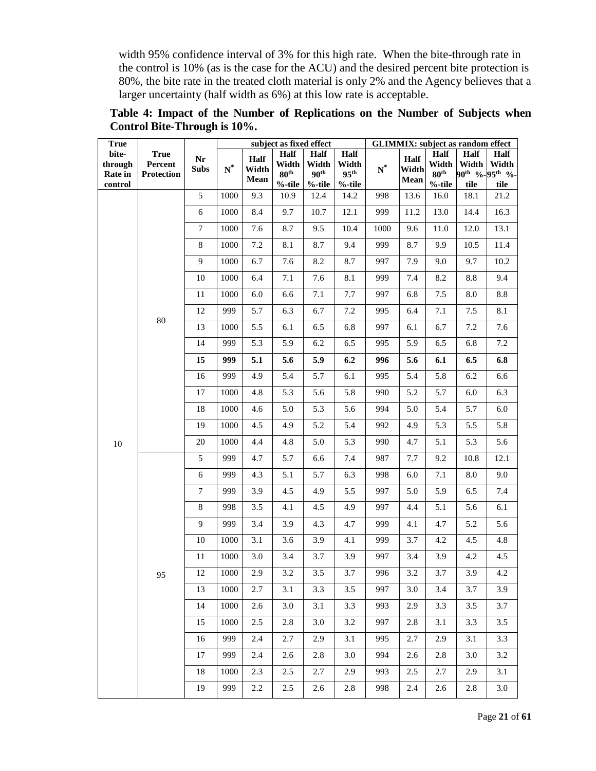width 95% confidence interval of 3% for this high rate. When the bite-through rate in the control is 10% (as is the case for the ACU) and the desired percent bite protection is 80%, the bite rate in the treated cloth material is only 2% and the Agency believes that a larger uncertainty (half width as 6%) at this low rate is acceptable.

**True bitethrough Rate in control True Percent Protection Nr Subs subject as fixed effect GLIMMIX: subject as random effect N\* Half Width Mean Half Width 80th %-tile Half Width 90th %-tile Half Width 95th %-tile N\* Half Width Mean Half Width 80th %-tile Half Width 90th % tile Half Width 95th % tile** 10 80 5 1000 9.3 10.9 12.4 14.2 998 13.6 16.0 18.1 21.2 6 1000 8.4 9.7 10.7 12.1 999 11.2 13.0 14.4 16.3 7 1000 7.6 8.7 9.5 10.4 1000 9.6 11.0 12.0 13.1 8 | 1000 | 7.2 | 8.1 | 8.7 | 9.4 | 999 | 8.7 | 9.9 | 10.5 | 11.4 9 | 1000 | 6.7 | 7.6 | 8.2 | 8.7 | 997 | 7.9 | 9.0 | 9.7 | 10.2 10 | 1000 | 6.4 | 7.1 | 7.6 | 8.1 | 999 | 7.4 | 8.2 | 8.8 | 9.4 11 | 1000 | 6.0 | 6.6 | 7.1 | 7.7 | 997 | 6.8 | 7.5 | 8.0 | 8.8 12 | 999 | 5.7 | 6.3 | 6.7 | 7.2 | 995 | 6.4 | 7.1 | 7.5 | 8.1 13 | 1000 | 5.5 | 6.1 | 6.5 | 6.8 | 997 | 6.1 | 6.7 | 7.2 | 7.6 14 | 999 | 5.3 | 5.9 | 6.2 | 6.5 | 995 | 5.9 | 6.5 | 6.8 | 7.2 **15 999 5.1 5.6 5.9 6.2 996 5.6 6.1 6.5 6.8** 16 | 999 | 4.9 | 5.4 | 5.7 | 6.1 | 995 | 5.4 | 5.8 | 6.2 | 6.6 17 | 1000 | 4.8 | 5.3 | 5.6 | 5.8 | 990 | 5.2 | 5.7 | 6.0 | 6.3 18 | 1000 | 4.6 | 5.0 | 5.3 | 5.6 | 994 | 5.0 | 5.4 | 5.7 | 6.0 19 | 1000 | 4.5 | 4.9 | 5.2 | 5.4 | 992 | 4.9 | 5.3 | 5.5 | 5.8 20 | 1000 | 4.4 | 4.8 | 5.0 | 5.3 | 990 | 4.7 | 5.1 | 5.3 | 5.6 95 5 999 4.7 5.7 6.6 7.4 987 7.7 9.2 10.8 12.1 6 | 999 | 4.3 | 5.1 | 5.7 | 6.3 | 998 | 6.0 | 7.1 | 8.0 | 9.0 7 999 3.9 4.5 4.9 5.5 997 5.0 5.9 6.5 7.4 8 | 998 | 3.5 | 4.1 | 4.5 | 4.9 | 997 | 4.4 | 5.1 | 5.6 | 6.1 9 | 999 | 3.4 | 3.9 | 4.3 | 4.7 | 999 | 4.1 | 4.7 | 5.2 | 5.6 10 | 1000 | 3.1 | 3.6 | 3.9 | 4.1 | 999 | 3.7 | 4.2 | 4.5 | 4.8 11 | 1000 | 3.0 | 3.4 | 3.7 | 3.9 | 997 | 3.4 | 3.9 | 4.2 | 4.5 12 | 1000 | 2.9 | 3.2 | 3.5 | 3.7 | 996 | 3.2 | 3.7 | 3.9 | 4.2 13 | 1000 | 2.7 | 3.1 | 3.3 | 3.5 | 997 | 3.0 | 3.4 | 3.7 | 3.9 14 | 1000 | 2.6 | 3.0 | 3.1 | 3.3 | 993 | 2.9 | 3.3 | 3.5 | 3.7 15 | 1000 | 2.5 | 2.8 | 3.0 | 3.2 | 997 | 2.8 | 3.1 | 3.3 | 3.5 16 | 999 | 2.4 | 2.7 | 2.9 | 3.1 | 995 | 2.7 | 2.9 | 3.1 | 3.3 17 | 999 | 2.4 | 2.6 | 2.8 | 3.0 | 994 | 2.6 | 2.8 | 3.0 | 3.2 18 | 1000 | 2.3 | 2.5 | 2.7 | 2.9 | 993 | 2.5 | 2.7 | 2.9 | 3.1 19 | 999 | 2.2 | 2.5 | 2.6 | 2.8 | 998 | 2.4 | 2.6 | 2.8 | 3.0

**Table 4: Impact of the Number of Replications on the Number of Subjects when Control Bite-Through is 10%.**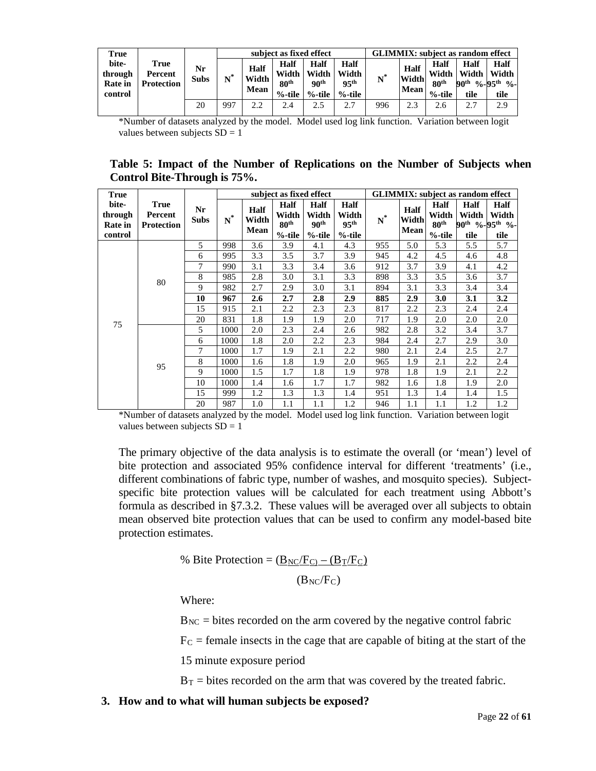| True                                          |                                      |                   | subject as fixed effect |                       |                                                |                                             |                                                | <b>GLIMMIX:</b> subject as random effect |                       |                                             |                       |                                                                 |
|-----------------------------------------------|--------------------------------------|-------------------|-------------------------|-----------------------|------------------------------------------------|---------------------------------------------|------------------------------------------------|------------------------------------------|-----------------------|---------------------------------------------|-----------------------|-----------------------------------------------------------------|
| bite-<br>through<br><b>Rate</b> in<br>control | True<br>Percent<br><b>Protection</b> | Nr<br><b>Subs</b> |                         | Half<br>Width<br>Mean | Half<br>Width<br>80 <sup>th</sup><br>$%$ -tile | Half<br>Width<br>90 <sup>th</sup><br>%-tile | Half<br>Width<br>95 <sup>th</sup><br>$%$ -tile | $N^*$                                    | Half<br>Width<br>Mean | Half<br>Width<br>80 <sup>th</sup><br>%-tile | Half<br>Width<br>tile | Half<br>Width<br>90 <sup>th</sup> %-95 <sup>th</sup> %-<br>tile |
|                                               |                                      |                   |                         |                       |                                                |                                             |                                                |                                          |                       |                                             |                       |                                                                 |
|                                               |                                      | 20                | 997                     | 2.2                   | 2.4                                            | 2.5                                         | つつ                                             | 996                                      | 2.3                   | 2.6                                         |                       | 2.9                                                             |

\*Number of datasets analyzed by the model. Model used log link function. Variation between logit values between subjects  $SD = 1$ 

## **Table 5: Impact of the Number of Replications on the Number of Subjects when Control Bite-Through is 75%.**

| True                                          |                                             |                   | subject as fixed effect |                              |                                                |                                                       |                                                       | <b>GLIMMIX:</b> subject as random effect |                              |                                                       |                              |                                                                        |
|-----------------------------------------------|---------------------------------------------|-------------------|-------------------------|------------------------------|------------------------------------------------|-------------------------------------------------------|-------------------------------------------------------|------------------------------------------|------------------------------|-------------------------------------------------------|------------------------------|------------------------------------------------------------------------|
| bite-<br>through<br><b>Rate in</b><br>control | <b>True</b><br>Percent<br><b>Protection</b> | Nr<br><b>Subs</b> | $N^*$                   | <b>Half</b><br>Width<br>Mean | Half<br>Width<br>80 <sup>th</sup><br>$%$ -tile | <b>Half</b><br>Width<br>90 <sup>th</sup><br>$%$ -tile | <b>Half</b><br>Width<br>95 <sup>th</sup><br>$%$ -tile | $N^*$                                    | <b>Half</b><br>Width<br>Mean | <b>Half</b><br>Width<br>80 <sup>th</sup><br>$%$ -tile | <b>Half</b><br>Width<br>tile | <b>Half</b><br>Width<br>90 <sup>th</sup> %-95 <sup>th</sup> %-<br>tile |
|                                               |                                             | 5                 | 998                     | 3.6                          | 3.9                                            | 4.1                                                   | 4.3                                                   | 955                                      | 5.0                          | 5.3                                                   | 5.5                          | 5.7                                                                    |
|                                               |                                             | 6                 | 995                     | 3.3                          | 3.5                                            | 3.7                                                   | 3.9                                                   | 945                                      | 4.2                          | 4.5                                                   | 4.6                          | 4.8                                                                    |
|                                               |                                             | 7                 | 990                     | 3.1                          | 3.3                                            | 3.4                                                   | 3.6                                                   | 912                                      | 3.7                          | 3.9                                                   | 4.1                          | 4.2                                                                    |
|                                               | 80                                          | 8                 | 985                     | 2.8                          | 3.0                                            | 3.1                                                   | 3.3                                                   | 898                                      | 3.3                          | 3.5                                                   | 3.6                          | 3.7                                                                    |
|                                               |                                             | 9                 | 982                     | 2.7                          | 2.9                                            | 3.0                                                   | 3.1                                                   | 894                                      | 3.1                          | 3.3                                                   | 3.4                          | 3.4                                                                    |
|                                               |                                             | 10                | 967                     | 2.6                          | 2.7                                            | 2.8                                                   | 2.9                                                   | 885                                      | 2.9                          | 3.0                                                   | 3.1                          | 3.2                                                                    |
|                                               |                                             | 15                | 915                     | 2.1                          | 2.2                                            | 2.3                                                   | 2.3                                                   | 817                                      | 2.2                          | 2.3                                                   | 2.4                          | 2.4                                                                    |
| 75                                            |                                             | 20                | 831                     | 1.8                          | 1.9                                            | 1.9                                                   | 2.0                                                   | 717                                      | 1.9                          | 2.0                                                   | 2.0                          | 2.0                                                                    |
|                                               |                                             | 5                 | 1000                    | 2.0                          | 2.3                                            | 2.4                                                   | 2.6                                                   | 982                                      | 2.8                          | 3.2                                                   | 3.4                          | 3.7                                                                    |
|                                               |                                             | 6                 | 1000                    | 1.8                          | 2.0                                            | 2.2                                                   | 2.3                                                   | 984                                      | 2.4                          | 2.7                                                   | 2.9                          | 3.0                                                                    |
|                                               |                                             | 7                 | 1000                    | 1.7                          | 1.9                                            | 2.1                                                   | 2.2                                                   | 980                                      | 2.1                          | 2.4                                                   | 2.5                          | 2.7                                                                    |
|                                               | 95                                          | 8                 | 1000                    | 1.6                          | 1.8                                            | 1.9                                                   | 2.0                                                   | 965                                      | 1.9                          | 2.1                                                   | 2.2                          | 2.4                                                                    |
|                                               |                                             | 9                 | 1000                    | 1.5                          | 1.7                                            | 1.8                                                   | 1.9                                                   | 978                                      | 1.8                          | 1.9                                                   | 2.1                          | 2.2                                                                    |
|                                               |                                             | 10                | 1000                    | 1.4                          | 1.6                                            | 1.7                                                   | 1.7                                                   | 982                                      | 1.6                          | 1.8                                                   | 1.9                          | 2.0                                                                    |
|                                               |                                             | 15                | 999                     | 1.2                          | 1.3                                            | 1.3                                                   | 1.4                                                   | 951                                      | 1.3                          | 1.4                                                   | 1.4                          | 1.5                                                                    |
|                                               |                                             | 20                | 987                     | 1.0                          | 1.1                                            | 1.1                                                   | 1.2                                                   | 946                                      | 1.1                          | 1.1                                                   | 1.2                          | 1.2                                                                    |

\*Number of datasets analyzed by the model. Model used log link function. Variation between logit values between subjects  $SD = 1$ 

The primary objective of the data analysis is to estimate the overall (or 'mean') level of bite protection and associated 95% confidence interval for different 'treatments' (i.e., different combinations of fabric type, number of washes, and mosquito species). Subjectspecific bite protection values will be calculated for each treatment using Abbott's formula as described in §7.3.2. These values will be averaged over all subjects to obtain mean observed bite protection values that can be used to confirm any model-based bite protection estimates.

% Bite Protection = 
$$
\frac{(B_{NC}/F_C) - (B_T/F_C)}{F_C}
$$

 $(B_{NC}/F_C)$ 

Where:

 $B_{NC}$  = bites recorded on the arm covered by the negative control fabric

 $F<sub>C</sub>$  = female insects in the cage that are capable of biting at the start of the

15 minute exposure period

 $B_T$  = bites recorded on the arm that was covered by the treated fabric.

**3. How and to what will human subjects be exposed?**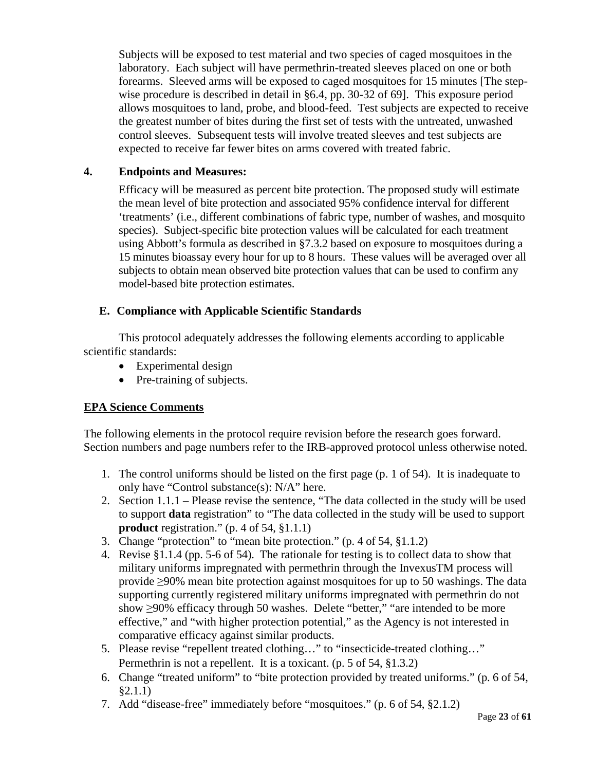Subjects will be exposed to test material and two species of caged mosquitoes in the laboratory. Each subject will have permethrin-treated sleeves placed on one or both forearms. Sleeved arms will be exposed to caged mosquitoes for 15 minutes [The stepwise procedure is described in detail in §6.4, pp. 30-32 of 69]. This exposure period allows mosquitoes to land, probe, and blood-feed. Test subjects are expected to receive the greatest number of bites during the first set of tests with the untreated, unwashed control sleeves. Subsequent tests will involve treated sleeves and test subjects are expected to receive far fewer bites on arms covered with treated fabric.

# **4. Endpoints and Measures:**

Efficacy will be measured as percent bite protection. The proposed study will estimate the mean level of bite protection and associated 95% confidence interval for different 'treatments' (i.e., different combinations of fabric type, number of washes, and mosquito species). Subject-specific bite protection values will be calculated for each treatment using Abbott's formula as described in §7.3.2 based on exposure to mosquitoes during a 15 minutes bioassay every hour for up to 8 hours. These values will be averaged over all subjects to obtain mean observed bite protection values that can be used to confirm any model-based bite protection estimates.

# **E. Compliance with Applicable Scientific Standards**

This protocol adequately addresses the following elements according to applicable scientific standards:

- Experimental design
- Pre-training of subjects.

# **EPA Science Comments**

The following elements in the protocol require revision before the research goes forward. Section numbers and page numbers refer to the IRB-approved protocol unless otherwise noted.

- 1. The control uniforms should be listed on the first page (p. 1 of 54). It is inadequate to only have "Control substance(s): N/A" here.
- 2. Section 1.1.1 Please revise the sentence, "The data collected in the study will be used to support **data** registration" to "The data collected in the study will be used to support **product** registration." (p. 4 of 54, §1.1.1)
- 3. Change "protection" to "mean bite protection." (p. 4 of 54, §1.1.2)
- 4. Revise §1.1.4 (pp. 5-6 of 54). The rationale for testing is to collect data to show that military uniforms impregnated with permethrin through the InvexusTM process will provide ≥90% mean bite protection against mosquitoes for up to 50 washings. The data supporting currently registered military uniforms impregnated with permethrin do not show ≥90% efficacy through 50 washes. Delete "better," "are intended to be more effective," and "with higher protection potential," as the Agency is not interested in comparative efficacy against similar products.
- 5. Please revise "repellent treated clothing…" to "insecticide-treated clothing…" Permethrin is not a repellent. It is a toxicant. (p. 5 of 54, §1.3.2)
- 6. Change "treated uniform" to "bite protection provided by treated uniforms." (p. 6 of 54, §2.1.1)
- 7. Add "disease-free" immediately before "mosquitoes." (p. 6 of 54, §2.1.2)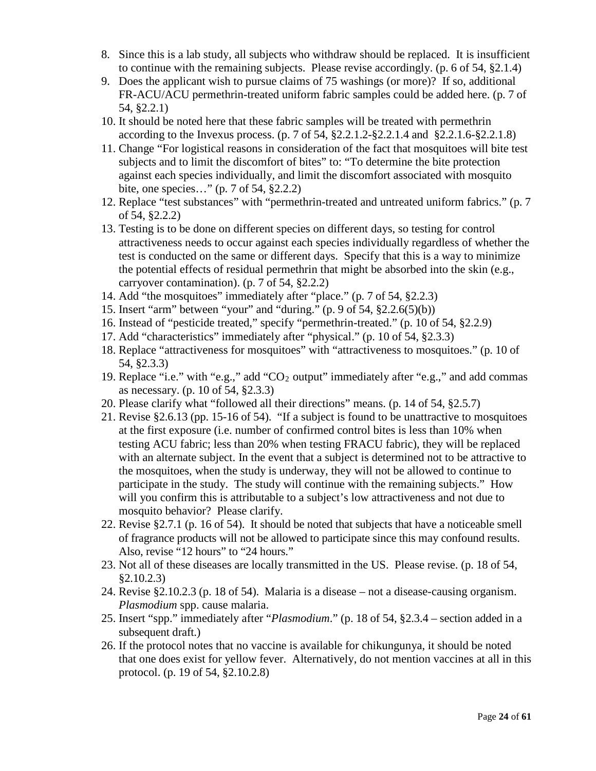- 8. Since this is a lab study, all subjects who withdraw should be replaced. It is insufficient to continue with the remaining subjects. Please revise accordingly. (p. 6 of 54, §2.1.4)
- 9. Does the applicant wish to pursue claims of 75 washings (or more)? If so, additional FR-ACU/ACU permethrin-treated uniform fabric samples could be added here. (p. 7 of 54, §2.2.1)
- 10. It should be noted here that these fabric samples will be treated with permethrin according to the Invexus process. (p. 7 of 54, §2.2.1.2-§2.2.1.4 and §2.2.1.6-§2.2.1.8)
- 11. Change "For logistical reasons in consideration of the fact that mosquitoes will bite test subjects and to limit the discomfort of bites" to: "To determine the bite protection against each species individually, and limit the discomfort associated with mosquito bite, one species…" (p. 7 of 54, §2.2.2)
- 12. Replace "test substances" with "permethrin-treated and untreated uniform fabrics." (p. 7 of 54, §2.2.2)
- 13. Testing is to be done on different species on different days, so testing for control attractiveness needs to occur against each species individually regardless of whether the test is conducted on the same or different days. Specify that this is a way to minimize the potential effects of residual permethrin that might be absorbed into the skin (e.g., carryover contamination). (p. 7 of 54, §2.2.2)
- 14. Add "the mosquitoes" immediately after "place." (p. 7 of 54, §2.2.3)
- 15. Insert "arm" between "your" and "during." (p. 9 of 54, §2.2.6(5)(b))
- 16. Instead of "pesticide treated," specify "permethrin-treated." (p. 10 of 54, §2.2.9)
- 17. Add "characteristics" immediately after "physical." (p. 10 of 54, §2.3.3)
- 18. Replace "attractiveness for mosquitoes" with "attractiveness to mosquitoes." (p. 10 of 54, §2.3.3)
- 19. Replace "i.e." with "e.g.," add "CO2 output" immediately after "e.g.," and add commas as necessary. (p. 10 of 54, §2.3.3)
- 20. Please clarify what "followed all their directions" means. (p. 14 of 54, §2.5.7)
- 21. Revise §2.6.13 (pp. 15-16 of 54). "If a subject is found to be unattractive to mosquitoes at the first exposure (i.e. number of confirmed control bites is less than 10% when testing ACU fabric; less than 20% when testing FRACU fabric), they will be replaced with an alternate subject. In the event that a subject is determined not to be attractive to the mosquitoes, when the study is underway, they will not be allowed to continue to participate in the study. The study will continue with the remaining subjects." How will you confirm this is attributable to a subject's low attractiveness and not due to mosquito behavior? Please clarify.
- 22. Revise §2.7.1 (p. 16 of 54). It should be noted that subjects that have a noticeable smell of fragrance products will not be allowed to participate since this may confound results. Also, revise "12 hours" to "24 hours."
- 23. Not all of these diseases are locally transmitted in the US. Please revise. (p. 18 of 54, §2.10.2.3)
- 24. Revise §2.10.2.3 (p. 18 of 54). Malaria is a disease not a disease-causing organism. *Plasmodium* spp. cause malaria.
- 25. Insert "spp." immediately after "*Plasmodium*." (p. 18 of 54, §2.3.4 section added in a subsequent draft.)
- 26. If the protocol notes that no vaccine is available for chikungunya, it should be noted that one does exist for yellow fever. Alternatively, do not mention vaccines at all in this protocol. (p. 19 of 54, §2.10.2.8)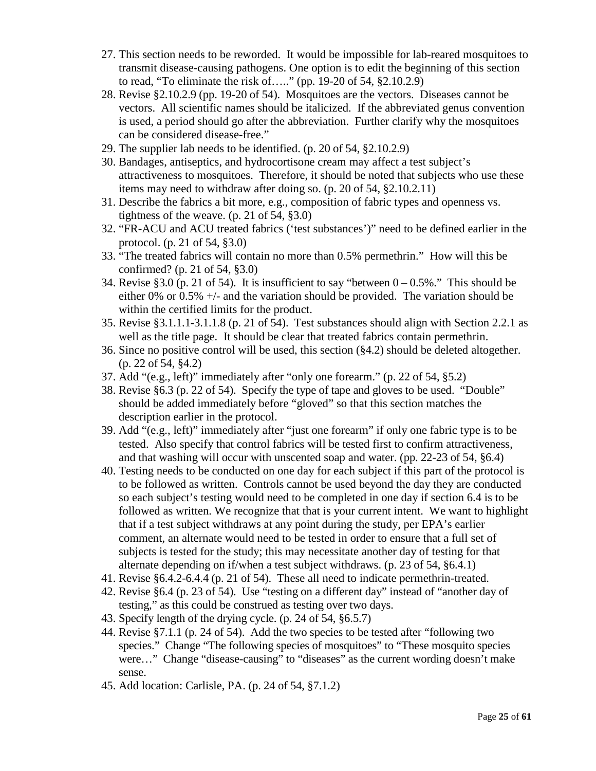- 27. This section needs to be reworded. It would be impossible for lab-reared mosquitoes to transmit disease-causing pathogens. One option is to edit the beginning of this section to read, "To eliminate the risk of….." (pp. 19-20 of 54, §2.10.2.9)
- 28. Revise §2.10.2.9 (pp. 19-20 of 54). Mosquitoes are the vectors. Diseases cannot be vectors. All scientific names should be italicized. If the abbreviated genus convention is used, a period should go after the abbreviation. Further clarify why the mosquitoes can be considered disease-free."
- 29. The supplier lab needs to be identified. (p. 20 of 54, §2.10.2.9)
- 30. Bandages, antiseptics, and hydrocortisone cream may affect a test subject's attractiveness to mosquitoes. Therefore, it should be noted that subjects who use these items may need to withdraw after doing so. (p. 20 of 54, §2.10.2.11)
- 31. Describe the fabrics a bit more, e.g., composition of fabric types and openness vs. tightness of the weave.  $(p. 21 \text{ of } 54, \text{ }$ \$3.0)
- 32. "FR-ACU and ACU treated fabrics ('test substances')" need to be defined earlier in the protocol. (p. 21 of 54, §3.0)
- 33. "The treated fabrics will contain no more than 0.5% permethrin." How will this be confirmed? (p. 21 of 54, §3.0)
- 34. Revise §3.0 (p. 21 of 54). It is insufficient to say "between  $0 0.5\%$ ." This should be either 0% or 0.5% +/- and the variation should be provided. The variation should be within the certified limits for the product.
- 35. Revise §3.1.1.1-3.1.1.8 (p. 21 of 54). Test substances should align with Section 2.2.1 as well as the title page. It should be clear that treated fabrics contain permethrin.
- 36. Since no positive control will be used, this section (§4.2) should be deleted altogether. (p. 22 of 54, §4.2)
- 37. Add "(e.g., left)" immediately after "only one forearm." (p. 22 of 54, §5.2)
- 38. Revise §6.3 (p. 22 of 54). Specify the type of tape and gloves to be used. "Double" should be added immediately before "gloved" so that this section matches the description earlier in the protocol.
- 39. Add "(e.g., left)" immediately after "just one forearm" if only one fabric type is to be tested. Also specify that control fabrics will be tested first to confirm attractiveness, and that washing will occur with unscented soap and water. (pp. 22-23 of 54, §6.4)
- 40. Testing needs to be conducted on one day for each subject if this part of the protocol is to be followed as written. Controls cannot be used beyond the day they are conducted so each subject's testing would need to be completed in one day if section 6.4 is to be followed as written. We recognize that that is your current intent. We want to highlight that if a test subject withdraws at any point during the study, per EPA's earlier comment, an alternate would need to be tested in order to ensure that a full set of subjects is tested for the study; this may necessitate another day of testing for that alternate depending on if/when a test subject withdraws. (p. 23 of 54, §6.4.1)
- 41. Revise §6.4.2-6.4.4 (p. 21 of 54). These all need to indicate permethrin-treated.
- 42. Revise §6.4 (p. 23 of 54). Use "testing on a different day" instead of "another day of testing," as this could be construed as testing over two days.
- 43. Specify length of the drying cycle. (p. 24 of 54, §6.5.7)
- 44. Revise §7.1.1 (p. 24 of 54). Add the two species to be tested after "following two species." Change "The following species of mosquitoes" to "These mosquito species were..." Change "disease-causing" to "diseases" as the current wording doesn't make sense.
- 45. Add location: Carlisle, PA. (p. 24 of 54, §7.1.2)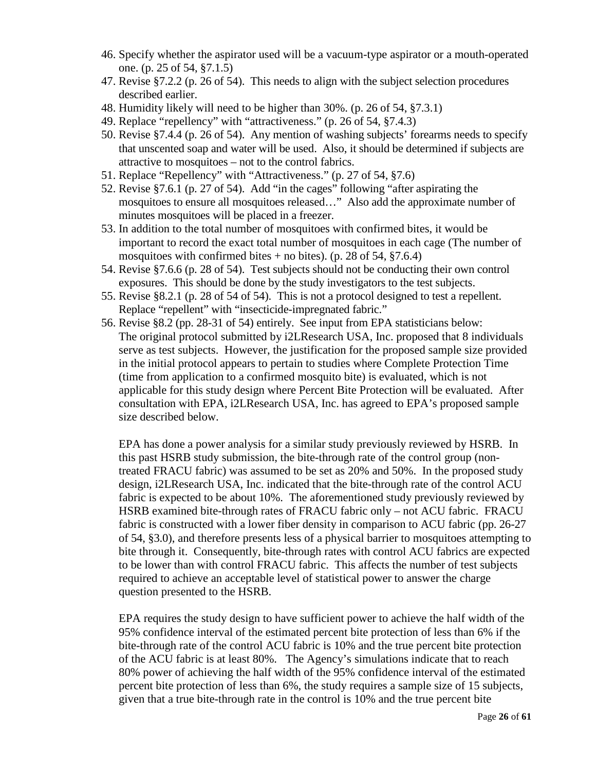- 46. Specify whether the aspirator used will be a vacuum-type aspirator or a mouth-operated one. (p. 25 of 54, §7.1.5)
- 47. Revise §7.2.2 (p. 26 of 54). This needs to align with the subject selection procedures described earlier.
- 48. Humidity likely will need to be higher than 30%. (p. 26 of 54, §7.3.1)
- 49. Replace "repellency" with "attractiveness." (p. 26 of 54, §7.4.3)
- 50. Revise §7.4.4 (p. 26 of 54). Any mention of washing subjects' forearms needs to specify that unscented soap and water will be used. Also, it should be determined if subjects are attractive to mosquitoes – not to the control fabrics.
- 51. Replace "Repellency" with "Attractiveness." (p. 27 of 54, §7.6)
- 52. Revise §7.6.1 (p. 27 of 54). Add "in the cages" following "after aspirating the mosquitoes to ensure all mosquitoes released…" Also add the approximate number of minutes mosquitoes will be placed in a freezer.
- 53. In addition to the total number of mosquitoes with confirmed bites, it would be important to record the exact total number of mosquitoes in each cage (The number of mosquitoes with confirmed bites  $+$  no bites). (p. 28 of 54, §7.6.4)
- 54. Revise §7.6.6 (p. 28 of 54). Test subjects should not be conducting their own control exposures. This should be done by the study investigators to the test subjects.
- 55. Revise §8.2.1 (p. 28 of 54 of 54). This is not a protocol designed to test a repellent. Replace "repellent" with "insecticide-impregnated fabric."
- 56. Revise §8.2 (pp. 28-31 of 54) entirely. See input from EPA statisticians below: The original protocol submitted by i2LResearch USA, Inc. proposed that 8 individuals serve as test subjects. However, the justification for the proposed sample size provided in the initial protocol appears to pertain to studies where Complete Protection Time (time from application to a confirmed mosquito bite) is evaluated, which is not applicable for this study design where Percent Bite Protection will be evaluated. After consultation with EPA, i2LResearch USA, Inc. has agreed to EPA's proposed sample size described below.

EPA has done a power analysis for a similar study previously reviewed by HSRB. In this past HSRB study submission, the bite-through rate of the control group (nontreated FRACU fabric) was assumed to be set as 20% and 50%. In the proposed study design, i2LResearch USA, Inc. indicated that the bite-through rate of the control ACU fabric is expected to be about 10%. The aforementioned study previously reviewed by HSRB examined bite-through rates of FRACU fabric only – not ACU fabric. FRACU fabric is constructed with a lower fiber density in comparison to ACU fabric (pp. 26-27) of 54, §3.0), and therefore presents less of a physical barrier to mosquitoes attempting to bite through it. Consequently, bite-through rates with control ACU fabrics are expected to be lower than with control FRACU fabric. This affects the number of test subjects required to achieve an acceptable level of statistical power to answer the charge question presented to the HSRB.

EPA requires the study design to have sufficient power to achieve the half width of the 95% confidence interval of the estimated percent bite protection of less than 6% if the bite-through rate of the control ACU fabric is 10% and the true percent bite protection of the ACU fabric is at least 80%. The Agency's simulations indicate that to reach 80% power of achieving the half width of the 95% confidence interval of the estimated percent bite protection of less than 6%, the study requires a sample size of 15 subjects, given that a true bite-through rate in the control is 10% and the true percent bite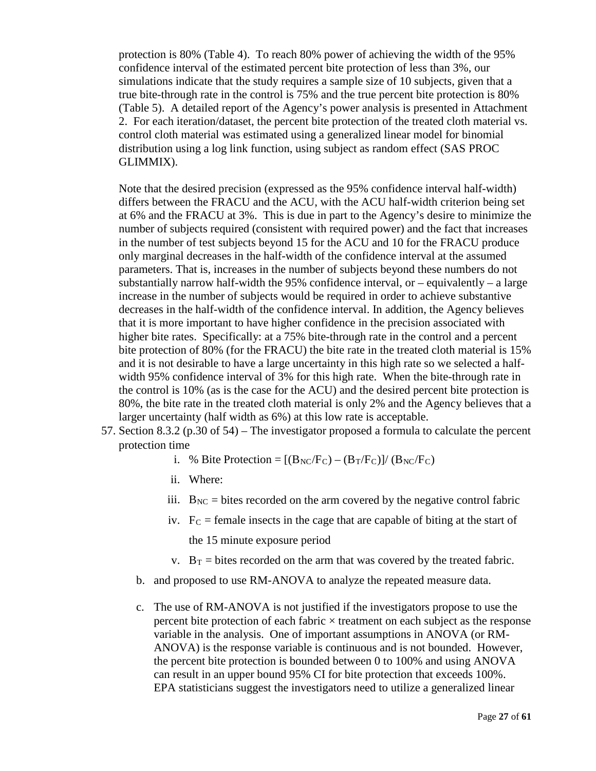protection is 80% (Table 4). To reach 80% power of achieving the width of the 95% confidence interval of the estimated percent bite protection of less than 3%, our simulations indicate that the study requires a sample size of 10 subjects, given that a true bite-through rate in the control is 75% and the true percent bite protection is 80% (Table 5). A detailed report of the Agency's power analysis is presented in Attachment 2. For each iteration/dataset, the percent bite protection of the treated cloth material vs. control cloth material was estimated using a generalized linear model for binomial distribution using a log link function, using subject as random effect (SAS PROC GLIMMIX).

Note that the desired precision (expressed as the 95% confidence interval half-width) differs between the FRACU and the ACU, with the ACU half-width criterion being set at 6% and the FRACU at 3%. This is due in part to the Agency's desire to minimize the number of subjects required (consistent with required power) and the fact that increases in the number of test subjects beyond 15 for the ACU and 10 for the FRACU produce only marginal decreases in the half-width of the confidence interval at the assumed parameters. That is, increases in the number of subjects beyond these numbers do not substantially narrow half-width the  $95\%$  confidence interval, or – equivalently – a large increase in the number of subjects would be required in order to achieve substantive decreases in the half-width of the confidence interval. In addition, the Agency believes that it is more important to have higher confidence in the precision associated with higher bite rates. Specifically: at a 75% bite-through rate in the control and a percent bite protection of 80% (for the FRACU) the bite rate in the treated cloth material is 15% and it is not desirable to have a large uncertainty in this high rate so we selected a halfwidth 95% confidence interval of 3% for this high rate. When the bite-through rate in the control is 10% (as is the case for the ACU) and the desired percent bite protection is 80%, the bite rate in the treated cloth material is only 2% and the Agency believes that a larger uncertainty (half width as 6%) at this low rate is acceptable.

57. Section 8.3.2 (p.30 of 54) – The investigator proposed a formula to calculate the percent protection time

i. % Bite Protection =  $[(B_{NC}/F_C) - (B_T/F_C)]/(B_{NC}/F_C)$ 

- ii. Where:
- iii.  $B_{NC}$  = bites recorded on the arm covered by the negative control fabric
- iv.  $F_C$  = female insects in the cage that are capable of biting at the start of the 15 minute exposure period
- v.  $B_T$  = bites recorded on the arm that was covered by the treated fabric.
- b. and proposed to use RM-ANOVA to analyze the repeated measure data.
- c. The use of RM-ANOVA is not justified if the investigators propose to use the percent bite protection of each fabric  $\times$  treatment on each subject as the response variable in the analysis. One of important assumptions in ANOVA (or RM-ANOVA) is the response variable is continuous and is not bounded. However, the percent bite protection is bounded between 0 to 100% and using ANOVA can result in an upper bound 95% CI for bite protection that exceeds 100%. EPA statisticians suggest the investigators need to utilize a generalized linear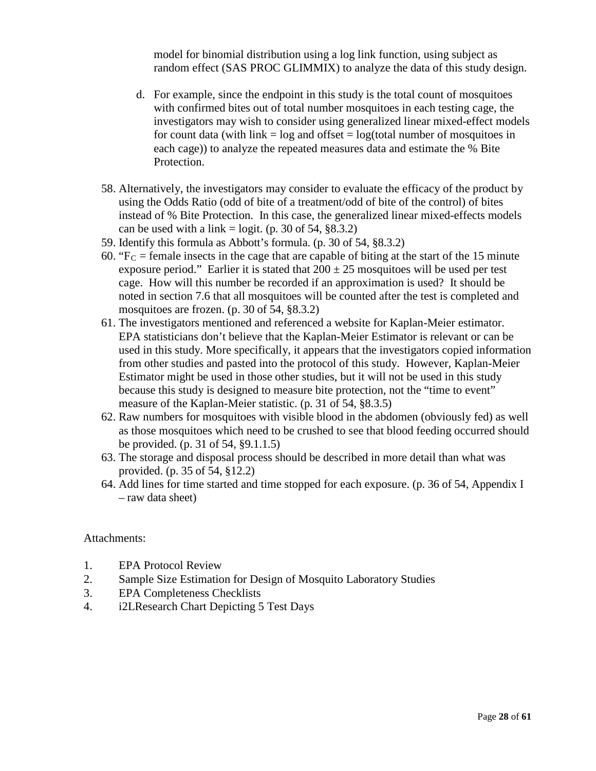model for binomial distribution using a log link function, using subject as random effect (SAS PROC GLIMMIX) to analyze the data of this study design.

- d. For example, since the endpoint in this study is the total count of mosquitoes with confirmed bites out of total number mosquitoes in each testing cage, the investigators may wish to consider using generalized linear mixed-effect models for count data (with link  $=$  log and offset  $=$  log(total number of mosquitoes in each cage)) to analyze the repeated measures data and estimate the % Bite Protection.
- 58. Alternatively, the investigators may consider to evaluate the efficacy of the product by using the Odds Ratio (odd of bite of a treatment/odd of bite of the control) of bites instead of % Bite Protection. In this case, the generalized linear mixed-effects models can be used with a link = logit. (p. 30 of 54,  $\S 8.3.2$ )
- 59. Identify this formula as Abbott's formula. (p. 30 of 54, §8.3.2)
- 60. " $Fc = female$  insects in the cage that are capable of biting at the start of the 15 minute exposure period." Earlier it is stated that  $200 \pm 25$  mosquitoes will be used per test cage. How will this number be recorded if an approximation is used? It should be noted in section 7.6 that all mosquitoes will be counted after the test is completed and mosquitoes are frozen. (p. 30 of 54, §8.3.2)
- 61. The investigators mentioned and referenced a website for Kaplan-Meier estimator. EPA statisticians don't believe that the Kaplan-Meier Estimator is relevant or can be used in this study. More specifically, it appears that the investigators copied information from other studies and pasted into the protocol of this study. However, Kaplan-Meier Estimator might be used in those other studies, but it will not be used in this study because this study is designed to measure bite protection, not the "time to event" measure of the Kaplan-Meier statistic. (p. 31 of 54, §8.3.5)
- 62. Raw numbers for mosquitoes with visible blood in the abdomen (obviously fed) as well as those mosquitoes which need to be crushed to see that blood feeding occurred should be provided. (p. 31 of 54, §9.1.1.5)
- 63. The storage and disposal process should be described in more detail than what was provided. (p. 35 of 54, §12.2)
- 64. Add lines for time started and time stopped for each exposure. (p. 36 of 54, Appendix I – raw data sheet)

#### Attachments:

- 1. EPA Protocol Review
- 2. Sample Size Estimation for Design of Mosquito Laboratory Studies
- 3. EPA Completeness Checklists
- 4. i2LResearch Chart Depicting 5 Test Days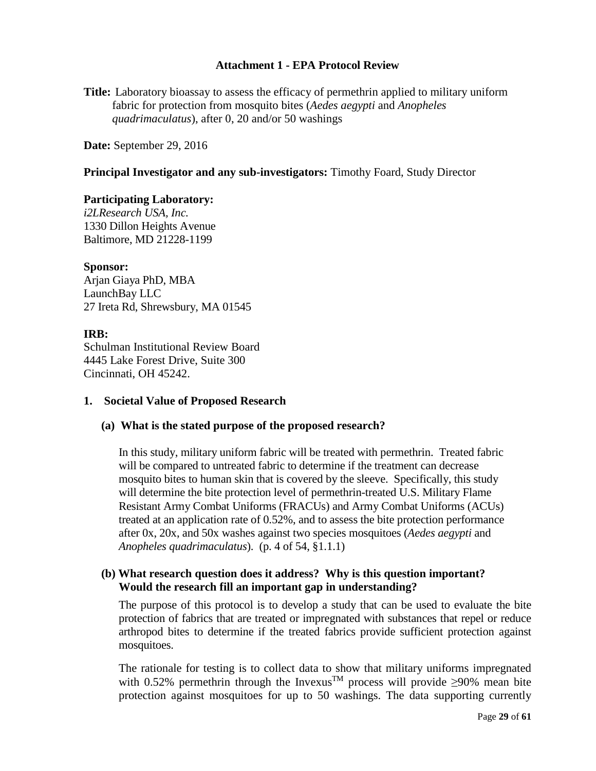## **Attachment 1 - EPA Protocol Review**

**Title:** Laboratory bioassay to assess the efficacy of permethrin applied to military uniform fabric for protection from mosquito bites (*Aedes aegypti* and *Anopheles quadrimaculatus*), after 0, 20 and/or 50 washings

**Date:** September 29, 2016

#### **Principal Investigator and any sub-investigators:** Timothy Foard, Study Director

#### **Participating Laboratory:**

*i2LResearch USA, Inc.* 1330 Dillon Heights Avenue Baltimore, MD 21228-1199

#### **Sponsor:**

Arjan Giaya PhD, MBA LaunchBay LLC 27 Ireta Rd, Shrewsbury, MA 01545

#### **IRB:**

Schulman Institutional Review Board 4445 Lake Forest Drive, Suite 300 Cincinnati, OH 45242.

#### **1. Societal Value of Proposed Research**

## **(a) What is the stated purpose of the proposed research?**

In this study, military uniform fabric will be treated with permethrin. Treated fabric will be compared to untreated fabric to determine if the treatment can decrease mosquito bites to human skin that is covered by the sleeve. Specifically, this study will determine the bite protection level of permethrin-treated U.S. Military Flame Resistant Army Combat Uniforms (FRACUs) and Army Combat Uniforms (ACUs) treated at an application rate of 0.52%, and to assess the bite protection performance after 0x, 20x, and 50x washes against two species mosquitoes (*Aedes aegypti* and *Anopheles quadrimaculatus*). (p. 4 of 54, §1.1.1)

#### **(b) What research question does it address? Why is this question important? Would the research fill an important gap in understanding?**

The purpose of this protocol is to develop a study that can be used to evaluate the bite protection of fabrics that are treated or impregnated with substances that repel or reduce arthropod bites to determine if the treated fabrics provide sufficient protection against mosquitoes.

The rationale for testing is to collect data to show that military uniforms impregnated with 0.52% permethrin through the Invexus<sup>TM</sup> process will provide  $\geq 90\%$  mean bite protection against mosquitoes for up to 50 washings. The data supporting currently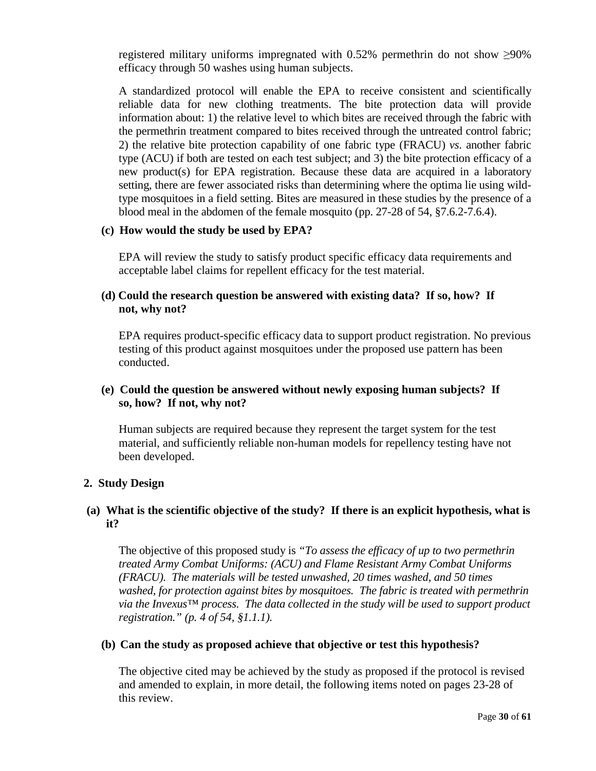registered military uniforms impregnated with  $0.52\%$  permethrin do not show  $\geq 90\%$ efficacy through 50 washes using human subjects.

A standardized protocol will enable the EPA to receive consistent and scientifically reliable data for new clothing treatments. The bite protection data will provide information about: 1) the relative level to which bites are received through the fabric with the permethrin treatment compared to bites received through the untreated control fabric; 2) the relative bite protection capability of one fabric type (FRACU) *vs*. another fabric type (ACU) if both are tested on each test subject; and 3) the bite protection efficacy of a new product(s) for EPA registration. Because these data are acquired in a laboratory setting, there are fewer associated risks than determining where the optima lie using wildtype mosquitoes in a field setting. Bites are measured in these studies by the presence of a blood meal in the abdomen of the female mosquito (pp. 27-28 of 54, §7.6.2-7.6.4).

#### **(c) How would the study be used by EPA?**

EPA will review the study to satisfy product specific efficacy data requirements and acceptable label claims for repellent efficacy for the test material.

## **(d) Could the research question be answered with existing data? If so, how? If not, why not?**

EPA requires product-specific efficacy data to support product registration. No previous testing of this product against mosquitoes under the proposed use pattern has been conducted.

## **(e) Could the question be answered without newly exposing human subjects? If so, how? If not, why not?**

Human subjects are required because they represent the target system for the test material, and sufficiently reliable non-human models for repellency testing have not been developed.

## **2. Study Design**

# **(a) What is the scientific objective of the study? If there is an explicit hypothesis, what is it?**

The objective of this proposed study is *"To assess the efficacy of up to two permethrin treated Army Combat Uniforms: (ACU) and Flame Resistant Army Combat Uniforms (FRACU). The materials will be tested unwashed, 20 times washed, and 50 times washed, for protection against bites by mosquitoes. The fabric is treated with permethrin via the Invexus™ process. The data collected in the study will be used to support product registration." (p. 4 of 54, §1.1.1).*

#### **(b) Can the study as proposed achieve that objective or test this hypothesis?**

The objective cited may be achieved by the study as proposed if the protocol is revised and amended to explain, in more detail, the following items noted on pages 23-28 of this review.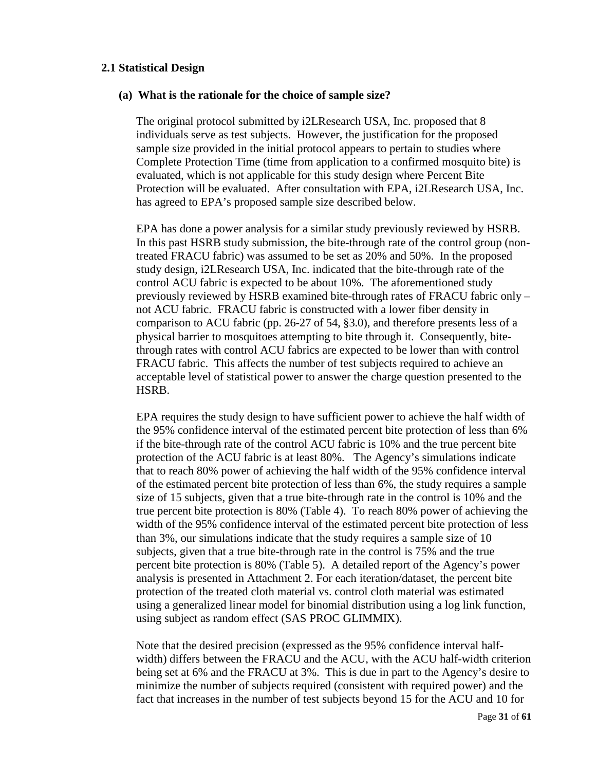#### **2.1 Statistical Design**

#### **(a) What is the rationale for the choice of sample size?**

The original protocol submitted by i2LResearch USA, Inc. proposed that 8 individuals serve as test subjects. However, the justification for the proposed sample size provided in the initial protocol appears to pertain to studies where Complete Protection Time (time from application to a confirmed mosquito bite) is evaluated, which is not applicable for this study design where Percent Bite Protection will be evaluated. After consultation with EPA, i2LResearch USA, Inc. has agreed to EPA's proposed sample size described below.

EPA has done a power analysis for a similar study previously reviewed by HSRB. In this past HSRB study submission, the bite-through rate of the control group (nontreated FRACU fabric) was assumed to be set as 20% and 50%. In the proposed study design, i2LResearch USA, Inc. indicated that the bite-through rate of the control ACU fabric is expected to be about 10%. The aforementioned study previously reviewed by HSRB examined bite-through rates of FRACU fabric only – not ACU fabric. FRACU fabric is constructed with a lower fiber density in comparison to ACU fabric (pp. 26-27 of 54, §3.0), and therefore presents less of a physical barrier to mosquitoes attempting to bite through it. Consequently, bitethrough rates with control ACU fabrics are expected to be lower than with control FRACU fabric. This affects the number of test subjects required to achieve an acceptable level of statistical power to answer the charge question presented to the HSRB.

EPA requires the study design to have sufficient power to achieve the half width of the 95% confidence interval of the estimated percent bite protection of less than 6% if the bite-through rate of the control ACU fabric is 10% and the true percent bite protection of the ACU fabric is at least 80%. The Agency's simulations indicate that to reach 80% power of achieving the half width of the 95% confidence interval of the estimated percent bite protection of less than 6%, the study requires a sample size of 15 subjects, given that a true bite-through rate in the control is 10% and the true percent bite protection is 80% (Table 4). To reach 80% power of achieving the width of the 95% confidence interval of the estimated percent bite protection of less than 3%, our simulations indicate that the study requires a sample size of 10 subjects, given that a true bite-through rate in the control is 75% and the true percent bite protection is 80% (Table 5). A detailed report of the Agency's power analysis is presented in Attachment 2. For each iteration/dataset, the percent bite protection of the treated cloth material vs. control cloth material was estimated using a generalized linear model for binomial distribution using a log link function, using subject as random effect (SAS PROC GLIMMIX).

Note that the desired precision (expressed as the 95% confidence interval halfwidth) differs between the FRACU and the ACU, with the ACU half-width criterion being set at 6% and the FRACU at 3%. This is due in part to the Agency's desire to minimize the number of subjects required (consistent with required power) and the fact that increases in the number of test subjects beyond 15 for the ACU and 10 for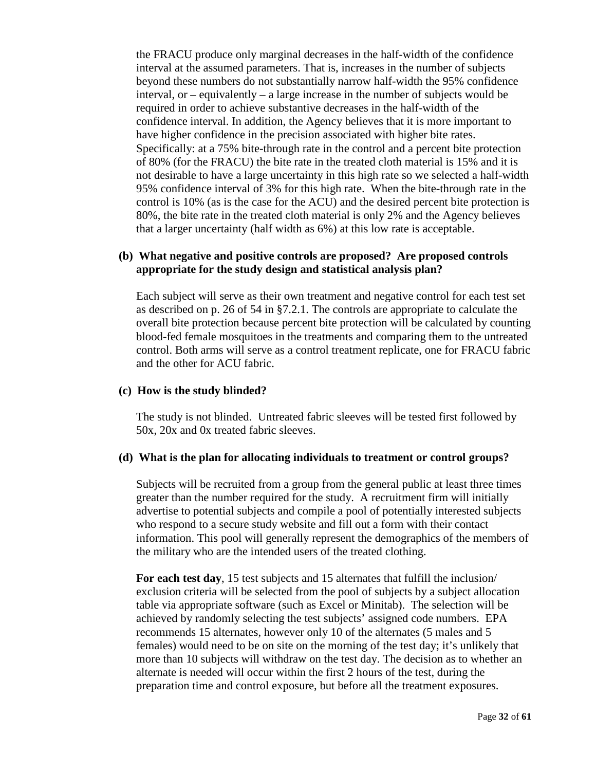the FRACU produce only marginal decreases in the half-width of the confidence interval at the assumed parameters. That is, increases in the number of subjects beyond these numbers do not substantially narrow half-width the 95% confidence interval, or – equivalently – a large increase in the number of subjects would be required in order to achieve substantive decreases in the half-width of the confidence interval. In addition, the Agency believes that it is more important to have higher confidence in the precision associated with higher bite rates. Specifically: at a 75% bite-through rate in the control and a percent bite protection of 80% (for the FRACU) the bite rate in the treated cloth material is 15% and it is not desirable to have a large uncertainty in this high rate so we selected a half-width 95% confidence interval of 3% for this high rate. When the bite-through rate in the control is 10% (as is the case for the ACU) and the desired percent bite protection is 80%, the bite rate in the treated cloth material is only 2% and the Agency believes that a larger uncertainty (half width as 6%) at this low rate is acceptable.

## **(b) What negative and positive controls are proposed? Are proposed controls appropriate for the study design and statistical analysis plan?**

Each subject will serve as their own treatment and negative control for each test set as described on p. 26 of 54 in §7.2.1. The controls are appropriate to calculate the overall bite protection because percent bite protection will be calculated by counting blood-fed female mosquitoes in the treatments and comparing them to the untreated control. Both arms will serve as a control treatment replicate, one for FRACU fabric and the other for ACU fabric.

## **(c) How is the study blinded?**

The study is not blinded. Untreated fabric sleeves will be tested first followed by 50x, 20x and 0x treated fabric sleeves.

## **(d) What is the plan for allocating individuals to treatment or control groups?**

Subjects will be recruited from a group from the general public at least three times greater than the number required for the study. A recruitment firm will initially advertise to potential subjects and compile a pool of potentially interested subjects who respond to a secure study website and fill out a form with their contact information. This pool will generally represent the demographics of the members of the military who are the intended users of the treated clothing.

**For each test day**, 15 test subjects and 15 alternates that fulfill the inclusion/ exclusion criteria will be selected from the pool of subjects by a subject allocation table via appropriate software (such as Excel or Minitab). The selection will be achieved by randomly selecting the test subjects' assigned code numbers. EPA recommends 15 alternates, however only 10 of the alternates (5 males and 5 females) would need to be on site on the morning of the test day; it's unlikely that more than 10 subjects will withdraw on the test day. The decision as to whether an alternate is needed will occur within the first 2 hours of the test, during the preparation time and control exposure, but before all the treatment exposures.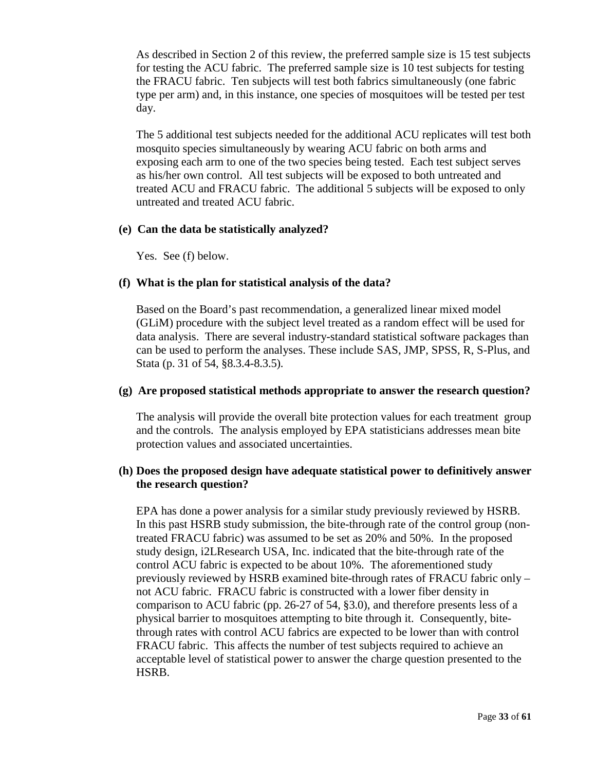As described in Section 2 of this review, the preferred sample size is 15 test subjects for testing the ACU fabric. The preferred sample size is 10 test subjects for testing the FRACU fabric. Ten subjects will test both fabrics simultaneously (one fabric type per arm) and, in this instance, one species of mosquitoes will be tested per test day.

The 5 additional test subjects needed for the additional ACU replicates will test both mosquito species simultaneously by wearing ACU fabric on both arms and exposing each arm to one of the two species being tested. Each test subject serves as his/her own control. All test subjects will be exposed to both untreated and treated ACU and FRACU fabric. The additional 5 subjects will be exposed to only untreated and treated ACU fabric.

#### **(e) Can the data be statistically analyzed?**

Yes. See (f) below.

## **(f) What is the plan for statistical analysis of the data?**

Based on the Board's past recommendation, a generalized linear mixed model (GLiM) procedure with the subject level treated as a random effect will be used for data analysis. There are several industry-standard statistical software packages than can be used to perform the analyses. These include SAS, JMP, SPSS, R, S-Plus, and Stata (p. 31 of 54, §8.3.4-8.3.5).

#### **(g) Are proposed statistical methods appropriate to answer the research question?**

The analysis will provide the overall bite protection values for each treatment group and the controls. The analysis employed by EPA statisticians addresses mean bite protection values and associated uncertainties.

## **(h) Does the proposed design have adequate statistical power to definitively answer the research question?**

EPA has done a power analysis for a similar study previously reviewed by HSRB. In this past HSRB study submission, the bite-through rate of the control group (nontreated FRACU fabric) was assumed to be set as 20% and 50%. In the proposed study design, i2LResearch USA, Inc. indicated that the bite-through rate of the control ACU fabric is expected to be about 10%. The aforementioned study previously reviewed by HSRB examined bite-through rates of FRACU fabric only – not ACU fabric. FRACU fabric is constructed with a lower fiber density in comparison to ACU fabric (pp. 26-27 of 54, §3.0), and therefore presents less of a physical barrier to mosquitoes attempting to bite through it. Consequently, bitethrough rates with control ACU fabrics are expected to be lower than with control FRACU fabric. This affects the number of test subjects required to achieve an acceptable level of statistical power to answer the charge question presented to the HSRB.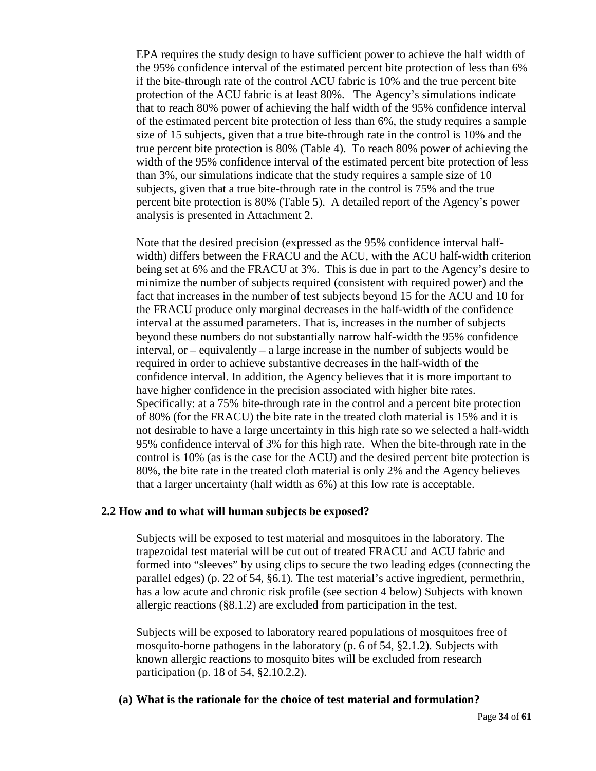EPA requires the study design to have sufficient power to achieve the half width of the 95% confidence interval of the estimated percent bite protection of less than 6% if the bite-through rate of the control ACU fabric is 10% and the true percent bite protection of the ACU fabric is at least 80%. The Agency's simulations indicate that to reach 80% power of achieving the half width of the 95% confidence interval of the estimated percent bite protection of less than 6%, the study requires a sample size of 15 subjects, given that a true bite-through rate in the control is 10% and the true percent bite protection is 80% (Table 4). To reach 80% power of achieving the width of the 95% confidence interval of the estimated percent bite protection of less than 3%, our simulations indicate that the study requires a sample size of 10 subjects, given that a true bite-through rate in the control is 75% and the true percent bite protection is 80% (Table 5). A detailed report of the Agency's power analysis is presented in Attachment 2.

Note that the desired precision (expressed as the 95% confidence interval halfwidth) differs between the FRACU and the ACU, with the ACU half-width criterion being set at 6% and the FRACU at 3%. This is due in part to the Agency's desire to minimize the number of subjects required (consistent with required power) and the fact that increases in the number of test subjects beyond 15 for the ACU and 10 for the FRACU produce only marginal decreases in the half-width of the confidence interval at the assumed parameters. That is, increases in the number of subjects beyond these numbers do not substantially narrow half-width the 95% confidence interval, or – equivalently – a large increase in the number of subjects would be required in order to achieve substantive decreases in the half-width of the confidence interval. In addition, the Agency believes that it is more important to have higher confidence in the precision associated with higher bite rates. Specifically: at a 75% bite-through rate in the control and a percent bite protection of 80% (for the FRACU) the bite rate in the treated cloth material is 15% and it is not desirable to have a large uncertainty in this high rate so we selected a half-width 95% confidence interval of 3% for this high rate. When the bite-through rate in the control is 10% (as is the case for the ACU) and the desired percent bite protection is 80%, the bite rate in the treated cloth material is only 2% and the Agency believes that a larger uncertainty (half width as 6%) at this low rate is acceptable.

## **2.2 How and to what will human subjects be exposed?**

Subjects will be exposed to test material and mosquitoes in the laboratory. The trapezoidal test material will be cut out of treated FRACU and ACU fabric and formed into "sleeves" by using clips to secure the two leading edges (connecting the parallel edges) (p. 22 of 54, §6.1). The test material's active ingredient, permethrin, has a low acute and chronic risk profile (see section 4 below) Subjects with known allergic reactions (§8.1.2) are excluded from participation in the test.

Subjects will be exposed to laboratory reared populations of mosquitoes free of mosquito-borne pathogens in the laboratory (p. 6 of 54, §2.1.2). Subjects with known allergic reactions to mosquito bites will be excluded from research participation (p. 18 of 54, §2.10.2.2).

## **(a) What is the rationale for the choice of test material and formulation?**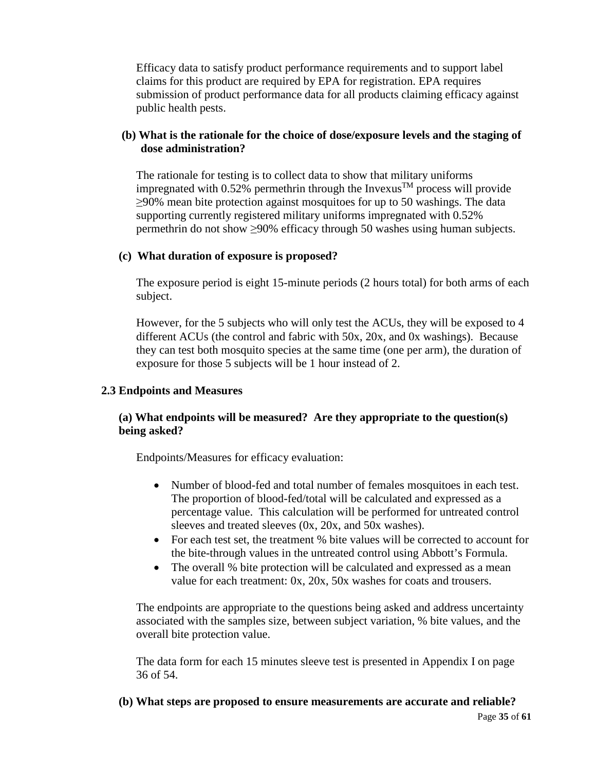Efficacy data to satisfy product performance requirements and to support label claims for this product are required by EPA for registration. EPA requires submission of product performance data for all products claiming efficacy against public health pests.

# **(b) What is the rationale for the choice of dose/exposure levels and the staging of dose administration?**

The rationale for testing is to collect data to show that military uniforms impregnated with 0.52% permethrin through the Invexus<sup>TM</sup> process will provide ≥90% mean bite protection against mosquitoes for up to 50 washings. The data supporting currently registered military uniforms impregnated with 0.52% permethrin do not show ≥90% efficacy through 50 washes using human subjects.

## **(c) What duration of exposure is proposed?**

The exposure period is eight 15-minute periods (2 hours total) for both arms of each subject.

However, for the 5 subjects who will only test the ACUs, they will be exposed to 4 different ACUs (the control and fabric with 50x, 20x, and 0x washings). Because they can test both mosquito species at the same time (one per arm), the duration of exposure for those 5 subjects will be 1 hour instead of 2.

## **2.3 Endpoints and Measures**

# **(a) What endpoints will be measured? Are they appropriate to the question(s) being asked?**

Endpoints/Measures for efficacy evaluation:

- Number of blood-fed and total number of females mosquitoes in each test. The proportion of blood-fed/total will be calculated and expressed as a percentage value. This calculation will be performed for untreated control sleeves and treated sleeves (0x, 20x, and 50x washes).
- For each test set, the treatment % bite values will be corrected to account for the bite-through values in the untreated control using Abbott's Formula.
- The overall % bite protection will be calculated and expressed as a mean value for each treatment: 0x, 20x, 50x washes for coats and trousers.

The endpoints are appropriate to the questions being asked and address uncertainty associated with the samples size, between subject variation, % bite values, and the overall bite protection value.

The data form for each 15 minutes sleeve test is presented in Appendix I on page 36 of 54.

# **(b) What steps are proposed to ensure measurements are accurate and reliable?**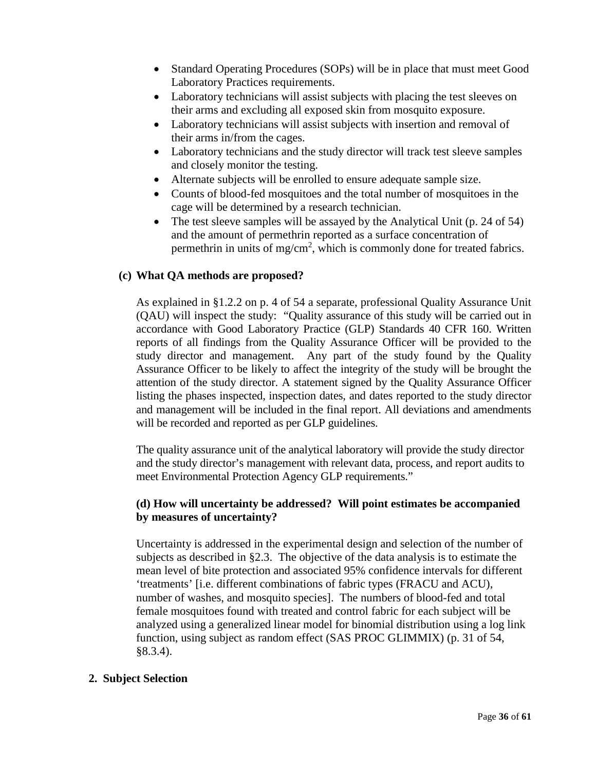- Standard Operating Procedures (SOPs) will be in place that must meet Good Laboratory Practices requirements.
- Laboratory technicians will assist subjects with placing the test sleeves on their arms and excluding all exposed skin from mosquito exposure.
- Laboratory technicians will assist subjects with insertion and removal of their arms in/from the cages.
- Laboratory technicians and the study director will track test sleeve samples and closely monitor the testing.
- Alternate subjects will be enrolled to ensure adequate sample size.
- Counts of blood-fed mosquitoes and the total number of mosquitoes in the cage will be determined by a research technician.
- The test sleeve samples will be assayed by the Analytical Unit (p. 24 of 54) and the amount of permethrin reported as a surface concentration of permethrin in units of mg/cm<sup>2</sup>, which is commonly done for treated fabrics.

# **(c) What QA methods are proposed?**

As explained in §1.2.2 on p. 4 of 54 a separate, professional Quality Assurance Unit (QAU) will inspect the study: "Quality assurance of this study will be carried out in accordance with Good Laboratory Practice (GLP) Standards 40 CFR 160. Written reports of all findings from the Quality Assurance Officer will be provided to the study director and management. Any part of the study found by the Quality Assurance Officer to be likely to affect the integrity of the study will be brought the attention of the study director. A statement signed by the Quality Assurance Officer listing the phases inspected, inspection dates, and dates reported to the study director and management will be included in the final report. All deviations and amendments will be recorded and reported as per GLP guidelines.

The quality assurance unit of the analytical laboratory will provide the study director and the study director's management with relevant data, process, and report audits to meet Environmental Protection Agency GLP requirements."

# **(d) How will uncertainty be addressed? Will point estimates be accompanied by measures of uncertainty?**

Uncertainty is addressed in the experimental design and selection of the number of subjects as described in §2.3. The objective of the data analysis is to estimate the mean level of bite protection and associated 95% confidence intervals for different 'treatments' [i.e. different combinations of fabric types (FRACU and ACU), number of washes, and mosquito species]. The numbers of blood-fed and total female mosquitoes found with treated and control fabric for each subject will be analyzed using a generalized linear model for binomial distribution using a log link function, using subject as random effect (SAS PROC GLIMMIX) (p. 31 of 54, §8.3.4).

# **2. Subject Selection**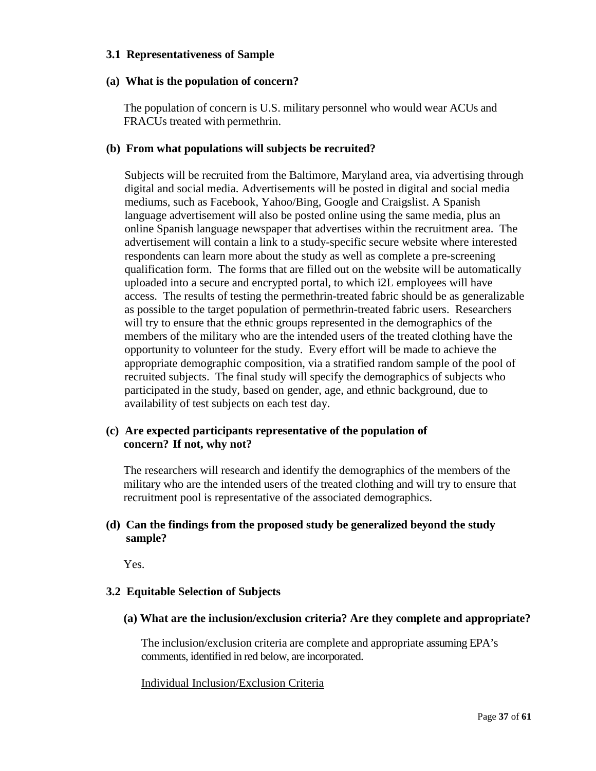#### **3.1 Representativeness of Sample**

#### **(a) What is the population of concern?**

The population of concern is U.S. military personnel who would wear ACUs and FRACUs treated with permethrin.

#### **(b) From what populations will subjects be recruited?**

Subjects will be recruited from the Baltimore, Maryland area, via advertising through digital and social media. Advertisements will be posted in digital and social media mediums, such as Facebook, Yahoo/Bing, Google and Craigslist. A Spanish language advertisement will also be posted online using the same media, plus an online Spanish language newspaper that advertises within the recruitment area. The advertisement will contain a link to a study-specific secure website where interested respondents can learn more about the study as well as complete a pre-screening qualification form. The forms that are filled out on the website will be automatically uploaded into a secure and encrypted portal, to which i2L employees will have access. The results of testing the permethrin-treated fabric should be as generalizable as possible to the target population of permethrin-treated fabric users. Researchers will try to ensure that the ethnic groups represented in the demographics of the members of the military who are the intended users of the treated clothing have the opportunity to volunteer for the study. Every effort will be made to achieve the appropriate demographic composition, via a stratified random sample of the pool of recruited subjects. The final study will specify the demographics of subjects who participated in the study, based on gender, age, and ethnic background, due to availability of test subjects on each test day.

## **(c) Are expected participants representative of the population of concern? If not, why not?**

The researchers will research and identify the demographics of the members of the military who are the intended users of the treated clothing and will try to ensure that recruitment pool is representative of the associated demographics.

## **(d) Can the findings from the proposed study be generalized beyond the study sample?**

Yes.

## **3.2 Equitable Selection of Subjects**

**(a) What are the inclusion/exclusion criteria? Are they complete and appropriate?**

The inclusion/exclusion criteria are complete and appropriate assuming EPA's comments, identified in red below, are incorporated.

Individual Inclusion/Exclusion Criteria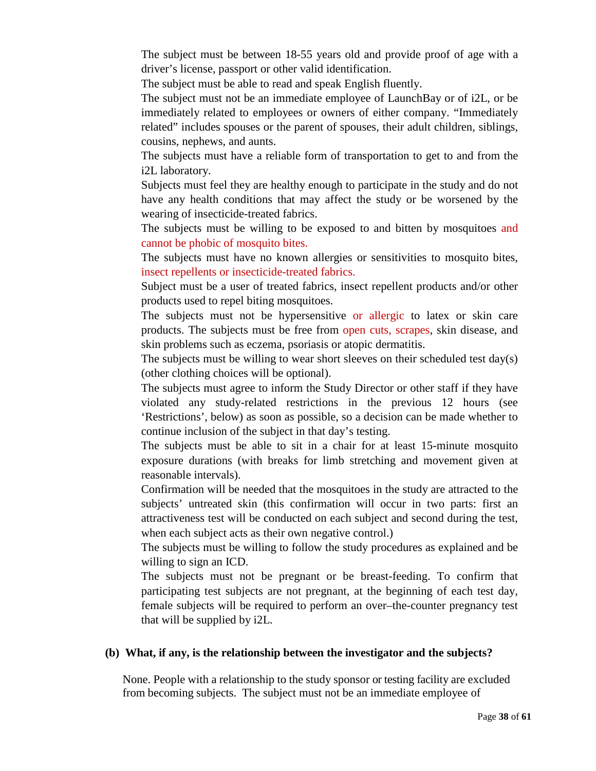The subject must be between 18-55 years old and provide proof of age with a driver's license, passport or other valid identification.

The subject must be able to read and speak English fluently.

The subject must not be an immediate employee of LaunchBay or of i2L, or be immediately related to employees or owners of either company. "Immediately related" includes spouses or the parent of spouses, their adult children, siblings, cousins, nephews, and aunts.

The subjects must have a reliable form of transportation to get to and from the i2L laboratory.

Subjects must feel they are healthy enough to participate in the study and do not have any health conditions that may affect the study or be worsened by the wearing of insecticide-treated fabrics.

The subjects must be willing to be exposed to and bitten by mosquitoes and cannot be phobic of mosquito bites.

The subjects must have no known allergies or sensitivities to mosquito bites, insect repellents or insecticide-treated fabrics.

Subject must be a user of treated fabrics, insect repellent products and/or other products used to repel biting mosquitoes.

The subjects must not be hypersensitive or allergic to latex or skin care products. The subjects must be free from open cuts, scrapes, skin disease, and skin problems such as eczema, psoriasis or atopic dermatitis.

The subjects must be willing to wear short sleeves on their scheduled test day(s) (other clothing choices will be optional).

The subjects must agree to inform the Study Director or other staff if they have violated any study-related restrictions in the previous 12 hours (see 'Restrictions', below) as soon as possible, so a decision can be made whether to continue inclusion of the subject in that day's testing.

The subjects must be able to sit in a chair for at least 15-minute mosquito exposure durations (with breaks for limb stretching and movement given at reasonable intervals).

Confirmation will be needed that the mosquitoes in the study are attracted to the subjects' untreated skin (this confirmation will occur in two parts: first an attractiveness test will be conducted on each subject and second during the test, when each subject acts as their own negative control.)

The subjects must be willing to follow the study procedures as explained and be willing to sign an ICD.

The subjects must not be pregnant or be breast-feeding. To confirm that participating test subjects are not pregnant, at the beginning of each test day, female subjects will be required to perform an over–the-counter pregnancy test that will be supplied by i2L.

#### **(b) What, if any, is the relationship between the investigator and the subjects?**

None. People with a relationship to the study sponsor or testing facility are excluded from becoming subjects. The subject must not be an immediate employee of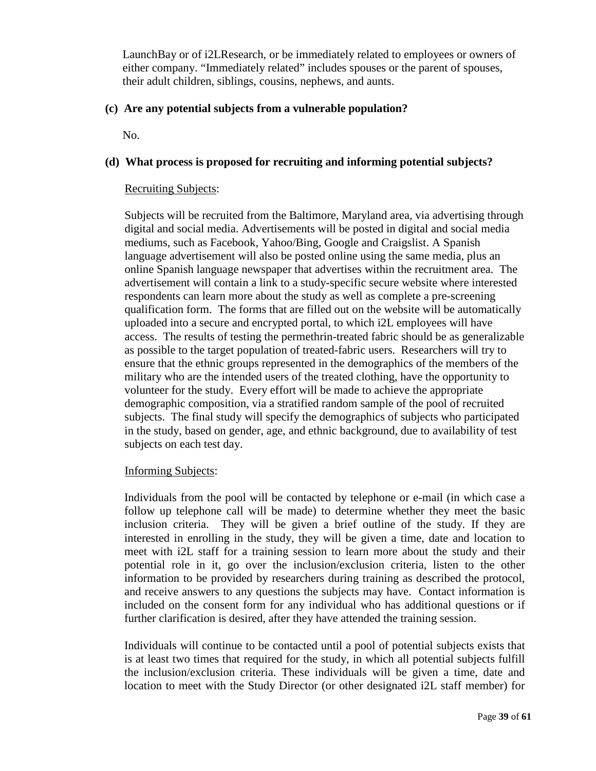LaunchBay or of i2LResearch, or be immediately related to employees or owners of either company. "Immediately related" includes spouses or the parent of spouses, their adult children, siblings, cousins, nephews, and aunts.

# **(c) Are any potential subjects from a vulnerable population?**

No.

# **(d) What process is proposed for recruiting and informing potential subjects?**

#### Recruiting Subjects:

Subjects will be recruited from the Baltimore, Maryland area, via advertising through digital and social media. Advertisements will be posted in digital and social media mediums, such as Facebook, Yahoo/Bing, Google and Craigslist. A Spanish language advertisement will also be posted online using the same media, plus an online Spanish language newspaper that advertises within the recruitment area. The advertisement will contain a link to a study-specific secure website where interested respondents can learn more about the study as well as complete a pre-screening qualification form. The forms that are filled out on the website will be automatically uploaded into a secure and encrypted portal, to which i2L employees will have access. The results of testing the permethrin-treated fabric should be as generalizable as possible to the target population of treated-fabric users. Researchers will try to ensure that the ethnic groups represented in the demographics of the members of the military who are the intended users of the treated clothing, have the opportunity to volunteer for the study. Every effort will be made to achieve the appropriate demographic composition, via a stratified random sample of the pool of recruited subjects. The final study will specify the demographics of subjects who participated in the study, based on gender, age, and ethnic background, due to availability of test subjects on each test day.

## Informing Subjects:

Individuals from the pool will be contacted by telephone or e-mail (in which case a follow up telephone call will be made) to determine whether they meet the basic inclusion criteria. They will be given a brief outline of the study. If they are interested in enrolling in the study, they will be given a time, date and location to meet with i2L staff for a training session to learn more about the study and their potential role in it, go over the inclusion/exclusion criteria, listen to the other information to be provided by researchers during training as described the protocol, and receive answers to any questions the subjects may have. Contact information is included on the consent form for any individual who has additional questions or if further clarification is desired, after they have attended the training session.

Individuals will continue to be contacted until a pool of potential subjects exists that is at least two times that required for the study, in which all potential subjects fulfill the inclusion/exclusion criteria. These individuals will be given a time, date and location to meet with the Study Director (or other designated i2L staff member) for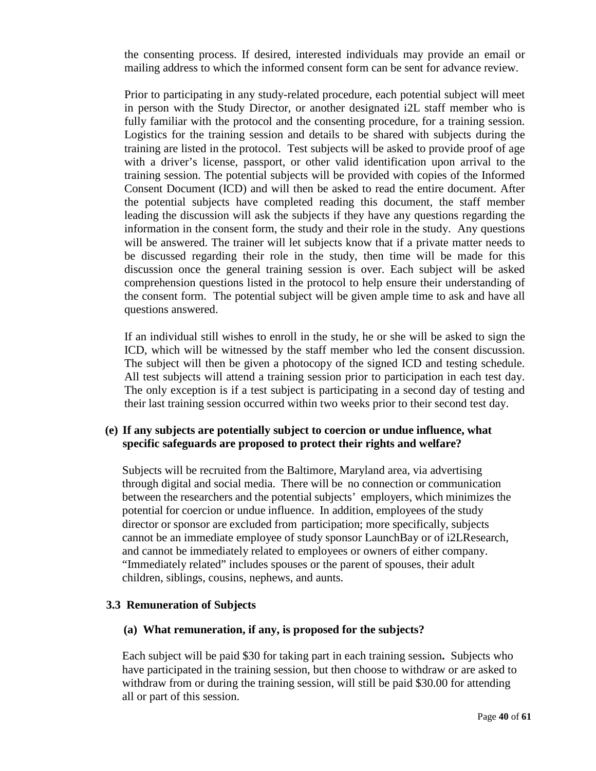the consenting process. If desired, interested individuals may provide an email or mailing address to which the informed consent form can be sent for advance review.

Prior to participating in any study-related procedure, each potential subject will meet in person with the Study Director, or another designated i2L staff member who is fully familiar with the protocol and the consenting procedure, for a training session. Logistics for the training session and details to be shared with subjects during the training are listed in the protocol. Test subjects will be asked to provide proof of age with a driver's license, passport, or other valid identification upon arrival to the training session. The potential subjects will be provided with copies of the Informed Consent Document (ICD) and will then be asked to read the entire document. After the potential subjects have completed reading this document, the staff member leading the discussion will ask the subjects if they have any questions regarding the information in the consent form, the study and their role in the study. Any questions will be answered. The trainer will let subjects know that if a private matter needs to be discussed regarding their role in the study, then time will be made for this discussion once the general training session is over. Each subject will be asked comprehension questions listed in the protocol to help ensure their understanding of the consent form. The potential subject will be given ample time to ask and have all questions answered.

If an individual still wishes to enroll in the study, he or she will be asked to sign the ICD, which will be witnessed by the staff member who led the consent discussion. The subject will then be given a photocopy of the signed ICD and testing schedule. All test subjects will attend a training session prior to participation in each test day. The only exception is if a test subject is participating in a second day of testing and their last training session occurred within two weeks prior to their second test day.

## **(e) If any subjects are potentially subject to coercion or undue influence, what specific safeguards are proposed to protect their rights and welfare?**

Subjects will be recruited from the Baltimore, Maryland area, via advertising through digital and social media. There will be no connection or communication between the researchers and the potential subjects' employers, which minimizes the potential for coercion or undue influence. In addition, employees of the study director or sponsor are excluded from participation; more specifically, subjects cannot be an immediate employee of study sponsor LaunchBay or of i2LResearch, and cannot be immediately related to employees or owners of either company. "Immediately related" includes spouses or the parent of spouses, their adult children, siblings, cousins, nephews, and aunts.

## **3.3 Remuneration of Subjects**

## **(a) What remuneration, if any, is proposed for the subjects?**

Each subject will be paid \$30 for taking part in each training session**.** Subjects who have participated in the training session, but then choose to withdraw or are asked to withdraw from or during the training session, will still be paid \$30.00 for attending all or part of this session.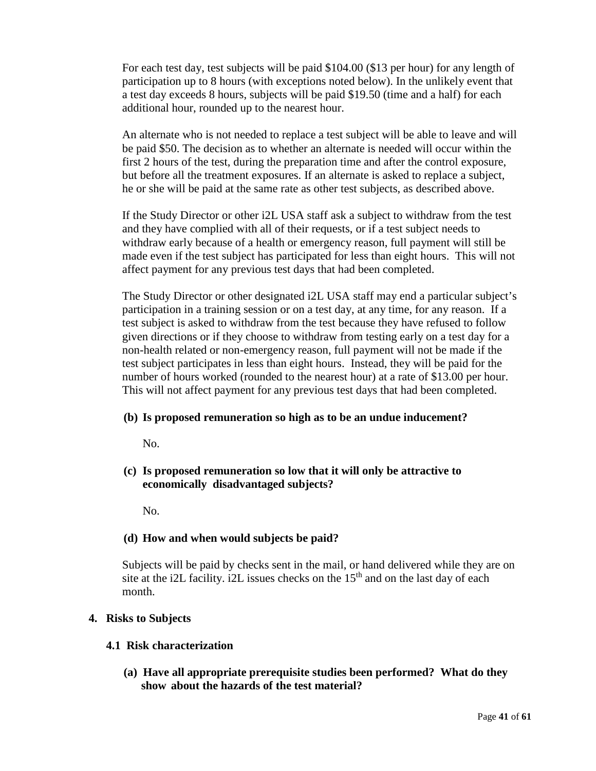For each test day, test subjects will be paid \$104.00 (\$13 per hour) for any length of participation up to 8 hours (with exceptions noted below). In the unlikely event that a test day exceeds 8 hours, subjects will be paid \$19.50 (time and a half) for each additional hour, rounded up to the nearest hour.

An alternate who is not needed to replace a test subject will be able to leave and will be paid \$50. The decision as to whether an alternate is needed will occur within the first 2 hours of the test, during the preparation time and after the control exposure, but before all the treatment exposures. If an alternate is asked to replace a subject, he or she will be paid at the same rate as other test subjects, as described above.

If the Study Director or other i2L USA staff ask a subject to withdraw from the test and they have complied with all of their requests, or if a test subject needs to withdraw early because of a health or emergency reason, full payment will still be made even if the test subject has participated for less than eight hours. This will not affect payment for any previous test days that had been completed.

The Study Director or other designated i2L USA staff may end a particular subject's participation in a training session or on a test day, at any time, for any reason. If a test subject is asked to withdraw from the test because they have refused to follow given directions or if they choose to withdraw from testing early on a test day for a non-health related or non-emergency reason, full payment will not be made if the test subject participates in less than eight hours. Instead, they will be paid for the number of hours worked (rounded to the nearest hour) at a rate of \$13.00 per hour. This will not affect payment for any previous test days that had been completed.

## **(b) Is proposed remuneration so high as to be an undue inducement?**

No.

**(c) Is proposed remuneration so low that it will only be attractive to economically disadvantaged subjects?**

No.

# **(d) How and when would subjects be paid?**

Subjects will be paid by checks sent in the mail, or hand delivered while they are on site at the i2L facility. i2L issues checks on the  $15<sup>th</sup>$  and on the last day of each month.

# **4. Risks to Subjects**

## **4.1 Risk characterization**

**(a) Have all appropriate prerequisite studies been performed? What do they show about the hazards of the test material?**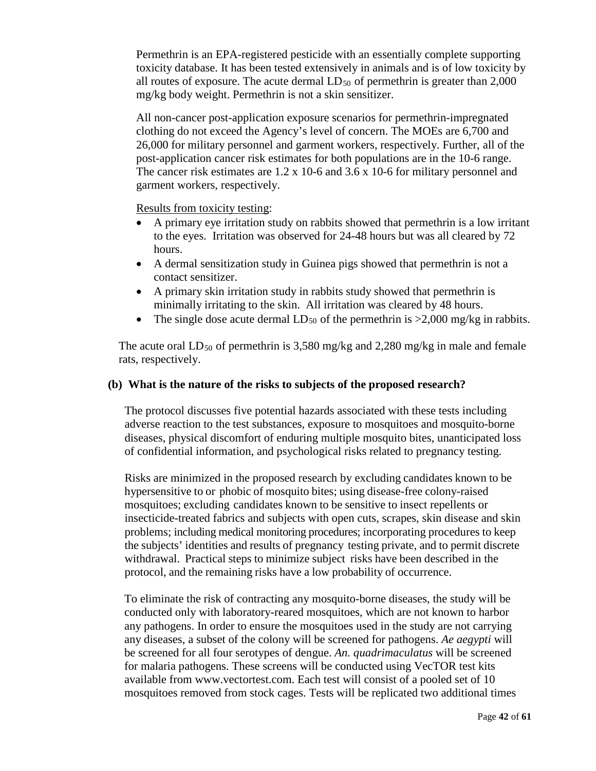Permethrin is an EPA-registered pesticide with an essentially complete supporting toxicity database. It has been tested extensively in animals and is of low toxicity by all routes of exposure. The acute dermal  $LD_{50}$  of permethrin is greater than 2,000 mg/kg body weight. Permethrin is not a skin sensitizer.

All non-cancer post-application exposure scenarios for permethrin-impregnated clothing do not exceed the Agency's level of concern. The MOEs are 6,700 and 26,000 for military personnel and garment workers, respectively. Further, all of the post-application cancer risk estimates for both populations are in the 10-6 range. The cancer risk estimates are 1.2 x 10-6 and 3.6 x 10-6 for military personnel and garment workers, respectively.

Results from toxicity testing:

- A primary eye irritation study on rabbits showed that permethrin is a low irritant to the eyes. Irritation was observed for 24-48 hours but was all cleared by 72 hours.
- A dermal sensitization study in Guinea pigs showed that permethrin is not a contact sensitizer.
- A primary skin irritation study in rabbits study showed that permethrin is minimally irritating to the skin. All irritation was cleared by 48 hours.
- The single dose acute dermal  $LD_{50}$  of the permethrin is  $>2,000$  mg/kg in rabbits.

The acute oral  $LD_{50}$  of permethrin is 3,580 mg/kg and 2,280 mg/kg in male and female rats, respectively.

## **(b) What is the nature of the risks to subjects of the proposed research?**

The protocol discusses five potential hazards associated with these tests including adverse reaction to the test substances, exposure to mosquitoes and mosquito-borne diseases, physical discomfort of enduring multiple mosquito bites, unanticipated loss of confidential information, and psychological risks related to pregnancy testing.

Risks are minimized in the proposed research by excluding candidates known to be hypersensitive to or phobic of mosquito bites; using disease-free colony-raised mosquitoes; excluding candidates known to be sensitive to insect repellents or insecticide-treated fabrics and subjects with open cuts, scrapes, skin disease and skin problems; including medical monitoring procedures; incorporating procedures to keep the subjects' identities and results of pregnancy testing private, and to permit discrete withdrawal. Practical steps to minimize subject risks have been described in the protocol, and the remaining risks have a low probability of occurrence.

To eliminate the risk of contracting any mosquito-borne diseases, the study will be conducted only with laboratory-reared mosquitoes, which are not known to harbor any pathogens. In order to ensure the mosquitoes used in the study are not carrying any diseases, a subset of the colony will be screened for pathogens. *Ae aegypti* will be screened for all four serotypes of dengue. *An. quadrimaculatus* will be screened for malaria pathogens. These screens will be conducted using VecTOR test kits available from www.vectortest.com. Each test will consist of a pooled set of 10 mosquitoes removed from stock cages. Tests will be replicated two additional times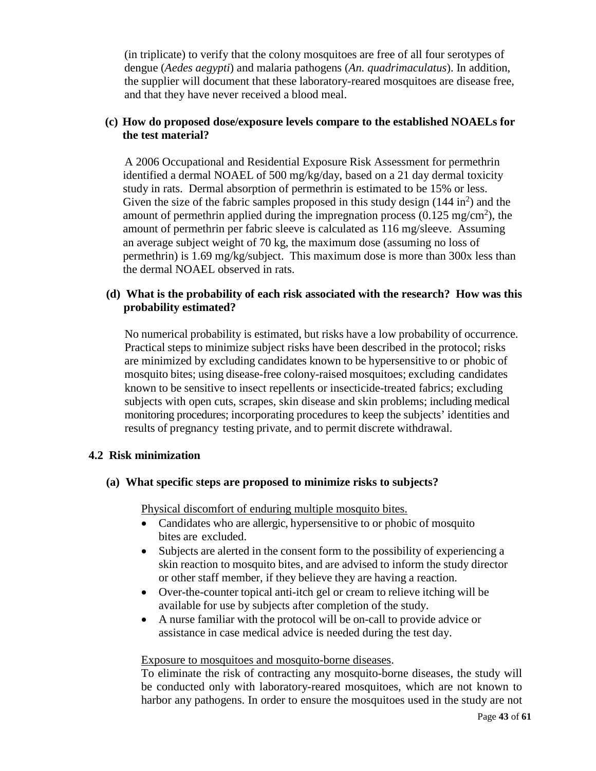(in triplicate) to verify that the colony mosquitoes are free of all four serotypes of dengue (*Aedes aegypti*) and malaria pathogens (*An. quadrimaculatus*). In addition, the supplier will document that these laboratory-reared mosquitoes are disease free, and that they have never received a blood meal.

# **(c) How do proposed dose/exposure levels compare to the established NOAELs for the test material?**

 A 2006 Occupational and Residential Exposure Risk Assessment for permethrin identified a dermal NOAEL of 500 mg/kg/day, based on a 21 day dermal toxicity study in rats. Dermal absorption of permethrin is estimated to be 15% or less. Given the size of the fabric samples proposed in this study design  $(144 \text{ in}^2)$  and the amount of permethrin applied during the impregnation process  $(0.125 \text{ mg/cm}^2)$ , the amount of permethrin per fabric sleeve is calculated as 116 mg/sleeve. Assuming an average subject weight of 70 kg, the maximum dose (assuming no loss of permethrin) is 1.69 mg/kg/subject. This maximum dose is more than 300x less than the dermal NOAEL observed in rats.

# **(d) What is the probability of each risk associated with the research? How was this probability estimated?**

No numerical probability is estimated, but risks have a low probability of occurrence. Practical steps to minimize subject risks have been described in the protocol; risks are minimized by excluding candidates known to be hypersensitive to or phobic of mosquito bites; using disease-free colony-raised mosquitoes; excluding candidates known to be sensitive to insect repellents or insecticide-treated fabrics; excluding subjects with open cuts, scrapes, skin disease and skin problems; including medical monitoring procedures; incorporating procedures to keep the subjects' identities and results of pregnancy testing private, and to permit discrete withdrawal.

## **4.2 Risk minimization**

## **(a) What specific steps are proposed to minimize risks to subjects?**

Physical discomfort of enduring multiple mosquito bites.

- Candidates who are allergic, hypersensitive to or phobic of mosquito bites are excluded.
- Subjects are alerted in the consent form to the possibility of experiencing a skin reaction to mosquito bites, and are advised to inform the study director or other staff member, if they believe they are having a reaction.
- Over-the-counter topical anti-itch gel or cream to relieve itching will be available for use by subjects after completion of the study.
- A nurse familiar with the protocol will be on-call to provide advice or assistance in case medical advice is needed during the test day.

#### Exposure to mosquitoes and mosquito-borne diseases.

To eliminate the risk of contracting any mosquito-borne diseases, the study will be conducted only with laboratory-reared mosquitoes, which are not known to harbor any pathogens. In order to ensure the mosquitoes used in the study are not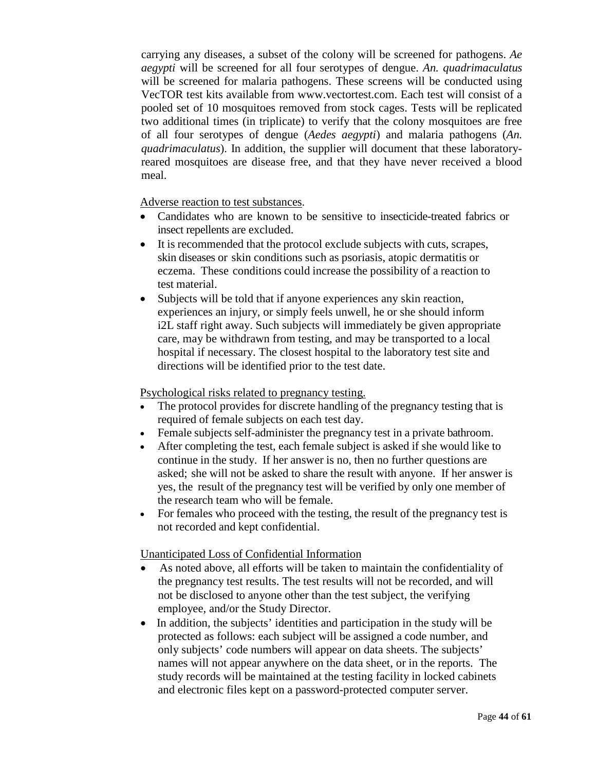carrying any diseases, a subset of the colony will be screened for pathogens. *Ae aegypti* will be screened for all four serotypes of dengue. *An. quadrimaculatus* will be screened for malaria pathogens. These screens will be conducted using VecTOR test kits available from www.vectortest.com. Each test will consist of a pooled set of 10 mosquitoes removed from stock cages. Tests will be replicated two additional times (in triplicate) to verify that the colony mosquitoes are free of all four serotypes of dengue (*Aedes aegypti*) and malaria pathogens (*An. quadrimaculatus*). In addition, the supplier will document that these laboratoryreared mosquitoes are disease free, and that they have never received a blood meal.

Adverse reaction to test substances.

- Candidates who are known to be sensitive to insecticide-treated fabrics or insect repellents are excluded.
- It is recommended that the protocol exclude subjects with cuts, scrapes, skin diseases or skin conditions such as psoriasis, atopic dermatitis or eczema. These conditions could increase the possibility of a reaction to test material.
- Subjects will be told that if anyone experiences any skin reaction, experiences an injury, or simply feels unwell, he or she should inform i2L staff right away. Such subjects will immediately be given appropriate care, may be withdrawn from testing, and may be transported to a local hospital if necessary. The closest hospital to the laboratory test site and directions will be identified prior to the test date.

Psychological risks related to pregnancy testing.

- The protocol provides for discrete handling of the pregnancy testing that is required of female subjects on each test day.
- Female subjects self-administer the pregnancy test in a private bathroom.
- After completing the test, each female subject is asked if she would like to continue in the study. If her answer is no, then no further questions are asked; she will not be asked to share the result with anyone. If her answer is yes, the result of the pregnancy test will be verified by only one member of the research team who will be female.
- For females who proceed with the testing, the result of the pregnancy test is not recorded and kept confidential.

Unanticipated Loss of Confidential Information

- As noted above, all efforts will be taken to maintain the confidentiality of the pregnancy test results. The test results will not be recorded, and will not be disclosed to anyone other than the test subject, the verifying employee, and/or the Study Director.
- In addition, the subjects' identities and participation in the study will be protected as follows: each subject will be assigned a code number, and only subjects' code numbers will appear on data sheets. The subjects' names will not appear anywhere on the data sheet, or in the reports. The study records will be maintained at the testing facility in locked cabinets and electronic files kept on a password-protected computer server.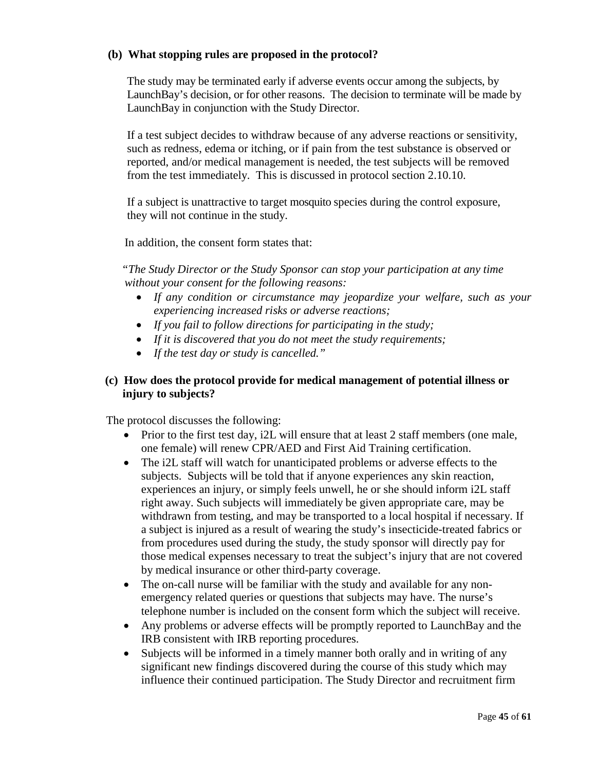## **(b) What stopping rules are proposed in the protocol?**

The study may be terminated early if adverse events occur among the subjects, by LaunchBay's decision, or for other reasons. The decision to terminate will be made by LaunchBay in conjunction with the Study Director.

If a test subject decides to withdraw because of any adverse reactions or sensitivity, such as redness, edema or itching, or if pain from the test substance is observed or reported, and/or medical management is needed, the test subjects will be removed from the test immediately. This is discussed in protocol section 2.10.10.

If a subject is unattractive to target mosquito species during the control exposure, they will not continue in the study.

In addition, the consent form states that:

*"The Study Director or the Study Sponsor can stop your participation at any time without your consent for the following reasons:*

- *If any condition or circumstance may jeopardize your welfare, such as your experiencing increased risks or adverse reactions;*
- *If you fail to follow directions for participating in the study;*
- *If it is discovered that you do not meet the study requirements;*
- *If the test day or study is cancelled."*

# **(c) How does the protocol provide for medical management of potential illness or injury to subjects?**

The protocol discusses the following:

- Prior to the first test day, i2L will ensure that at least 2 staff members (one male, one female) will renew CPR/AED and First Aid Training certification.
- The i2L staff will watch for unanticipated problems or adverse effects to the subjects. Subjects will be told that if anyone experiences any skin reaction, experiences an injury, or simply feels unwell, he or she should inform i2L staff right away. Such subjects will immediately be given appropriate care, may be withdrawn from testing, and may be transported to a local hospital if necessary. If a subject is injured as a result of wearing the study's insecticide-treated fabrics or from procedures used during the study, the study sponsor will directly pay for those medical expenses necessary to treat the subject's injury that are not covered by medical insurance or other third-party coverage.
- The on-call nurse will be familiar with the study and available for any nonemergency related queries or questions that subjects may have. The nurse's telephone number is included on the consent form which the subject will receive.
- Any problems or adverse effects will be promptly reported to LaunchBay and the IRB consistent with IRB reporting procedures.
- Subjects will be informed in a timely manner both orally and in writing of any significant new findings discovered during the course of this study which may influence their continued participation. The Study Director and recruitment firm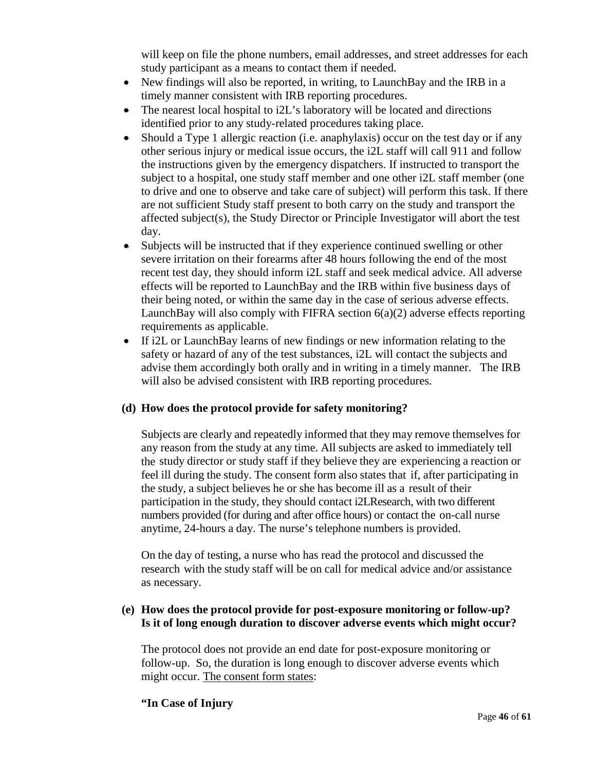will keep on file the phone numbers, email addresses, and street addresses for each study participant as a means to contact them if needed.

- New findings will also be reported, in writing, to LaunchBay and the IRB in a timely manner consistent with IRB reporting procedures.
- The nearest local hospital to i2L's laboratory will be located and directions identified prior to any study-related procedures taking place.
- Should a Type 1 allergic reaction (i.e. anaphylaxis) occur on the test day or if any other serious injury or medical issue occurs, the i2L staff will call 911 and follow the instructions given by the emergency dispatchers. If instructed to transport the subject to a hospital, one study staff member and one other i2L staff member (one to drive and one to observe and take care of subject) will perform this task. If there are not sufficient Study staff present to both carry on the study and transport the affected subject(s), the Study Director or Principle Investigator will abort the test day.
- Subjects will be instructed that if they experience continued swelling or other severe irritation on their forearms after 48 hours following the end of the most recent test day, they should inform i2L staff and seek medical advice. All adverse effects will be reported to LaunchBay and the IRB within five business days of their being noted, or within the same day in the case of serious adverse effects. LaunchBay will also comply with FIFRA section  $6(a)(2)$  adverse effects reporting requirements as applicable.
- If i2L or LaunchBay learns of new findings or new information relating to the safety or hazard of any of the test substances, i2L will contact the subjects and advise them accordingly both orally and in writing in a timely manner. The IRB will also be advised consistent with IRB reporting procedures.

# **(d) How does the protocol provide for safety monitoring?**

Subjects are clearly and repeatedly informed that they may remove themselves for any reason from the study at any time. All subjects are asked to immediately tell the study director or study staff if they believe they are experiencing a reaction or feel ill during the study. The consent form also states that if, after participating in the study, a subject believes he or she has become ill as a result of their participation in the study, they should contact i2LResearch, with two different numbers provided (for during and after office hours) or contact the on-call nurse anytime, 24-hours a day. The nurse's telephone numbers is provided.

On the day of testing, a nurse who has read the protocol and discussed the research with the study staff will be on call for medical advice and/or assistance as necessary.

# **(e) How does the protocol provide for post-exposure monitoring or follow-up? Is it of long enough duration to discover adverse events which might occur?**

The protocol does not provide an end date for post-exposure monitoring or follow-up. So, the duration is long enough to discover adverse events which might occur. The consent form states:

## **"In Case of Injury**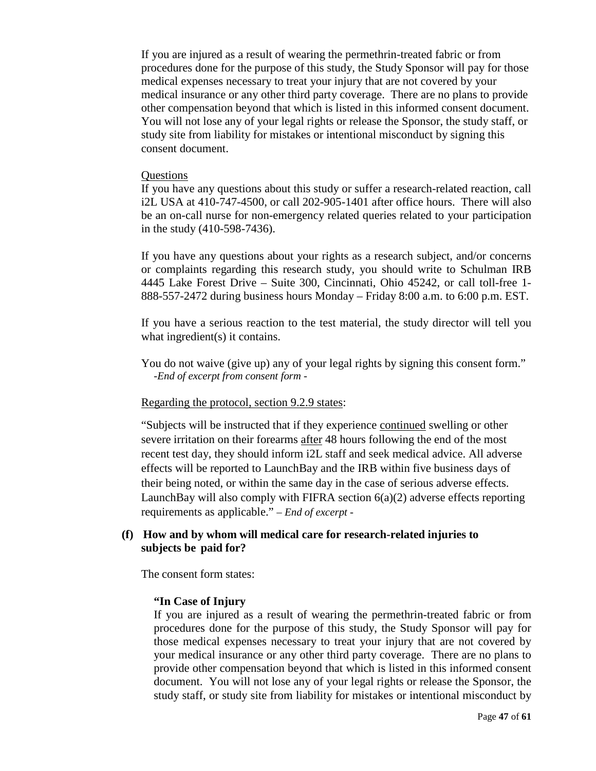If you are injured as a result of wearing the permethrin-treated fabric or from procedures done for the purpose of this study, the Study Sponsor will pay for those medical expenses necessary to treat your injury that are not covered by your medical insurance or any other third party coverage. There are no plans to provide other compensation beyond that which is listed in this informed consent document. You will not lose any of your legal rights or release the Sponsor, the study staff, or study site from liability for mistakes or intentional misconduct by signing this consent document.

#### **Ouestions**

If you have any questions about this study or suffer a research-related reaction, call i2L USA at 410-747-4500, or call 202-905-1401 after office hours. There will also be an on-call nurse for non-emergency related queries related to your participation in the study (410-598-7436).

If you have any questions about your rights as a research subject, and/or concerns or complaints regarding this research study, you should write to Schulman IRB 4445 Lake Forest Drive – Suite 300, Cincinnati, Ohio 45242, or call toll-free 1- 888-557-2472 during business hours Monday – Friday 8:00 a.m. to 6:00 p.m. EST.

If you have a serious reaction to the test material, the study director will tell you what ingredient(s) it contains.

You do not waive (give up) any of your legal rights by signing this consent form." *-End of excerpt from consent form -*

#### Regarding the protocol, section 9.2.9 states:

"Subjects will be instructed that if they experience continued swelling or other severe irritation on their forearms after 48 hours following the end of the most recent test day, they should inform i2L staff and seek medical advice. All adverse effects will be reported to LaunchBay and the IRB within five business days of their being noted, or within the same day in the case of serious adverse effects. LaunchBay will also comply with FIFRA section 6(a)(2) adverse effects reporting requirements as applicable." *– End of excerpt -*

#### **(f) How and by whom will medical care for research-related injuries to subjects be paid for?**

The consent form states:

#### **"In Case of Injury**

If you are injured as a result of wearing the permethrin-treated fabric or from procedures done for the purpose of this study, the Study Sponsor will pay for those medical expenses necessary to treat your injury that are not covered by your medical insurance or any other third party coverage. There are no plans to provide other compensation beyond that which is listed in this informed consent document. You will not lose any of your legal rights or release the Sponsor, the study staff, or study site from liability for mistakes or intentional misconduct by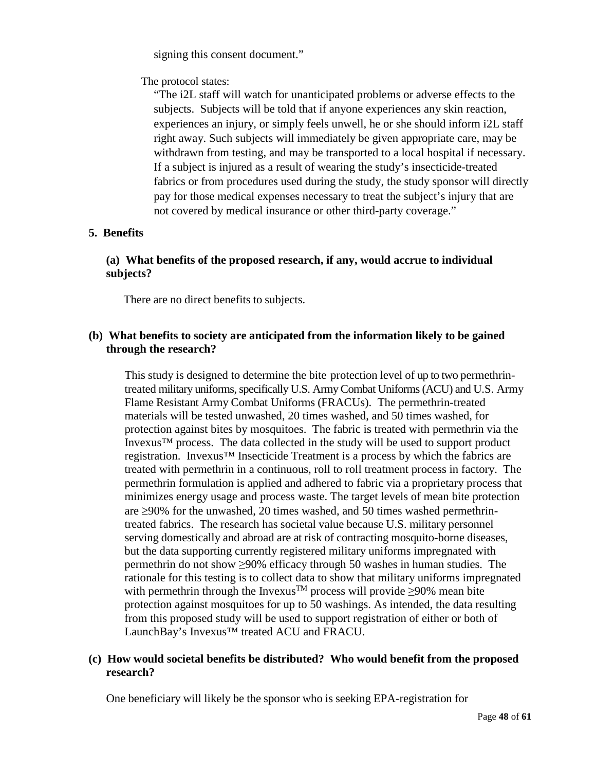signing this consent document."

The protocol states:

"The i2L staff will watch for unanticipated problems or adverse effects to the subjects. Subjects will be told that if anyone experiences any skin reaction, experiences an injury, or simply feels unwell, he or she should inform i2L staff right away. Such subjects will immediately be given appropriate care, may be withdrawn from testing, and may be transported to a local hospital if necessary. If a subject is injured as a result of wearing the study's insecticide-treated fabrics or from procedures used during the study, the study sponsor will directly pay for those medical expenses necessary to treat the subject's injury that are not covered by medical insurance or other third-party coverage."

# **5. Benefits**

# **(a) What benefits of the proposed research, if any, would accrue to individual subjects?**

There are no direct benefits to subjects.

# **(b) What benefits to society are anticipated from the information likely to be gained through the research?**

This study is designed to determine the bite protection level of up to two permethrintreated military uniforms, specifically U.S. ArmyCombat Uniforms (ACU) and U.S. Army Flame Resistant Army Combat Uniforms (FRACUs). The permethrin-treated materials will be tested unwashed, 20 times washed, and 50 times washed, for protection against bites by mosquitoes. The fabric is treated with permethrin via the Invexus<sup>TM</sup> process. The data collected in the study will be used to support product registration. Invexus™ Insecticide Treatment is a process by which the fabrics are treated with permethrin in a continuous, roll to roll treatment process in factory. The permethrin formulation is applied and adhered to fabric via a proprietary process that minimizes energy usage and process waste. The target levels of mean bite protection are ≥90% for the unwashed, 20 times washed, and 50 times washed permethrintreated fabrics. The research has societal value because U.S. military personnel serving domestically and abroad are at risk of contracting mosquito-borne diseases, but the data supporting currently registered military uniforms impregnated with permethrin do not show ≥90% efficacy through 50 washes in human studies. The rationale for this testing is to collect data to show that military uniforms impregnated with permethrin through the Invexus<sup>™</sup> process will provide ≥90% mean bite protection against mosquitoes for up to 50 washings. As intended, the data resulting from this proposed study will be used to support registration of either or both of LaunchBay's Invexus™ treated ACU and FRACU.

## **(c) How would societal benefits be distributed? Who would benefit from the proposed research?**

One beneficiary will likely be the sponsor who is seeking EPA-registration for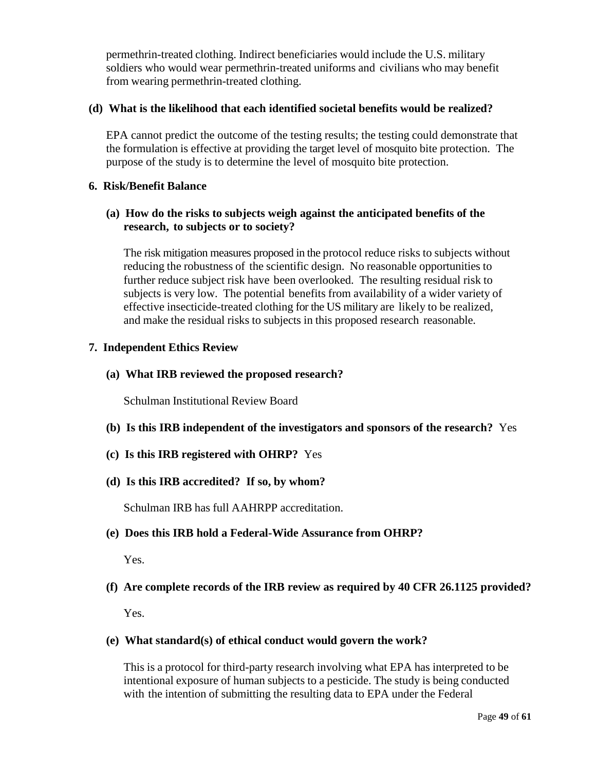permethrin-treated clothing. Indirect beneficiaries would include the U.S. military soldiers who would wear permethrin-treated uniforms and civilians who may benefit from wearing permethrin-treated clothing.

## **(d) What is the likelihood that each identified societal benefits would be realized?**

EPA cannot predict the outcome of the testing results; the testing could demonstrate that the formulation is effective at providing the target level of mosquito bite protection. The purpose of the study is to determine the level of mosquito bite protection.

## **6. Risk/Benefit Balance**

# **(a) How do the risks to subjects weigh against the anticipated benefits of the research, to subjects or to society?**

The risk mitigation measures proposed in the protocol reduce risks to subjects without reducing the robustness of the scientific design. No reasonable opportunities to further reduce subject risk have been overlooked. The resulting residual risk to subjects is very low. The potential benefits from availability of a wider variety of effective insecticide-treated clothing for the US military are likely to be realized, and make the residual risks to subjects in this proposed research reasonable.

## **7. Independent Ethics Review**

# **(a) What IRB reviewed the proposed research?**

Schulman Institutional Review Board

- **(b) Is this IRB independent of the investigators and sponsors of the research?** Yes
- **(c) Is this IRB registered with OHRP?** Yes

# **(d) Is this IRB accredited? If so, by whom?**

Schulman IRB has full AAHRPP accreditation.

# **(e) Does this IRB hold a Federal-Wide Assurance from OHRP?**

Yes.

# **(f) Are complete records of the IRB review as required by 40 CFR 26.1125 provided?**

Yes.

# **(e) What standard(s) of ethical conduct would govern the work?**

This is a protocol for third-party research involving what EPA has interpreted to be intentional exposure of human subjects to a pesticide. The study is being conducted with the intention of submitting the resulting data to EPA under the Federal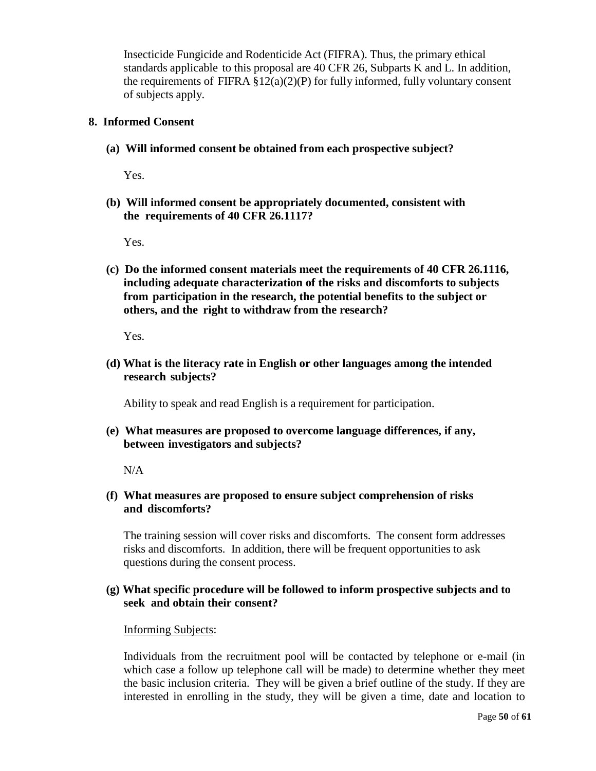Insecticide Fungicide and Rodenticide Act (FIFRA). Thus, the primary ethical standards applicable to this proposal are 40 CFR 26, Subparts K and L. In addition, the requirements of FIFRA  $\S 12(a)(2)(P)$  for fully informed, fully voluntary consent of subjects apply.

#### **8. Informed Consent**

**(a) Will informed consent be obtained from each prospective subject?**

Yes.

**(b) Will informed consent be appropriately documented, consistent with the requirements of 40 CFR 26.1117?**

Yes.

**(c) Do the informed consent materials meet the requirements of 40 CFR 26.1116, including adequate characterization of the risks and discomforts to subjects from participation in the research, the potential benefits to the subject or others, and the right to withdraw from the research?**

Yes.

**(d) What is the literacy rate in English or other languages among the intended research subjects?**

Ability to speak and read English is a requirement for participation.

**(e) What measures are proposed to overcome language differences, if any, between investigators and subjects?**

 $N/A$ 

## **(f) What measures are proposed to ensure subject comprehension of risks and discomforts?**

The training session will cover risks and discomforts. The consent form addresses risks and discomforts. In addition, there will be frequent opportunities to ask questions during the consent process.

## **(g) What specific procedure will be followed to inform prospective subjects and to seek and obtain their consent?**

#### Informing Subjects:

Individuals from the recruitment pool will be contacted by telephone or e-mail (in which case a follow up telephone call will be made) to determine whether they meet the basic inclusion criteria. They will be given a brief outline of the study. If they are interested in enrolling in the study, they will be given a time, date and location to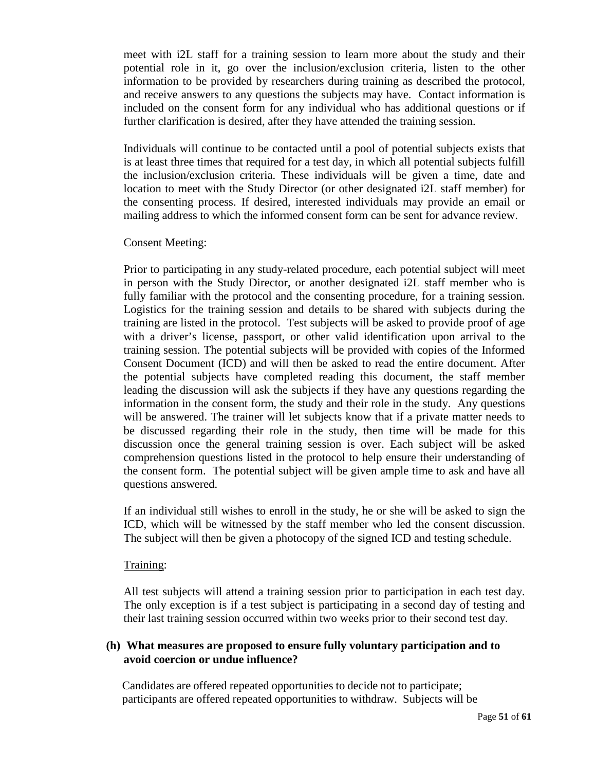meet with i2L staff for a training session to learn more about the study and their potential role in it, go over the inclusion/exclusion criteria, listen to the other information to be provided by researchers during training as described the protocol, and receive answers to any questions the subjects may have. Contact information is included on the consent form for any individual who has additional questions or if further clarification is desired, after they have attended the training session.

Individuals will continue to be contacted until a pool of potential subjects exists that is at least three times that required for a test day, in which all potential subjects fulfill the inclusion/exclusion criteria. These individuals will be given a time, date and location to meet with the Study Director (or other designated i2L staff member) for the consenting process. If desired, interested individuals may provide an email or mailing address to which the informed consent form can be sent for advance review.

#### Consent Meeting:

Prior to participating in any study-related procedure, each potential subject will meet in person with the Study Director, or another designated i2L staff member who is fully familiar with the protocol and the consenting procedure, for a training session. Logistics for the training session and details to be shared with subjects during the training are listed in the protocol. Test subjects will be asked to provide proof of age with a driver's license, passport, or other valid identification upon arrival to the training session. The potential subjects will be provided with copies of the Informed Consent Document (ICD) and will then be asked to read the entire document. After the potential subjects have completed reading this document, the staff member leading the discussion will ask the subjects if they have any questions regarding the information in the consent form, the study and their role in the study. Any questions will be answered. The trainer will let subjects know that if a private matter needs to be discussed regarding their role in the study, then time will be made for this discussion once the general training session is over. Each subject will be asked comprehension questions listed in the protocol to help ensure their understanding of the consent form. The potential subject will be given ample time to ask and have all questions answered.

If an individual still wishes to enroll in the study, he or she will be asked to sign the ICD, which will be witnessed by the staff member who led the consent discussion. The subject will then be given a photocopy of the signed ICD and testing schedule.

#### Training:

All test subjects will attend a training session prior to participation in each test day. The only exception is if a test subject is participating in a second day of testing and their last training session occurred within two weeks prior to their second test day.

## **(h) What measures are proposed to ensure fully voluntary participation and to avoid coercion or undue influence?**

Candidates are offered repeated opportunities to decide not to participate; participants are offered repeated opportunities to withdraw. Subjects will be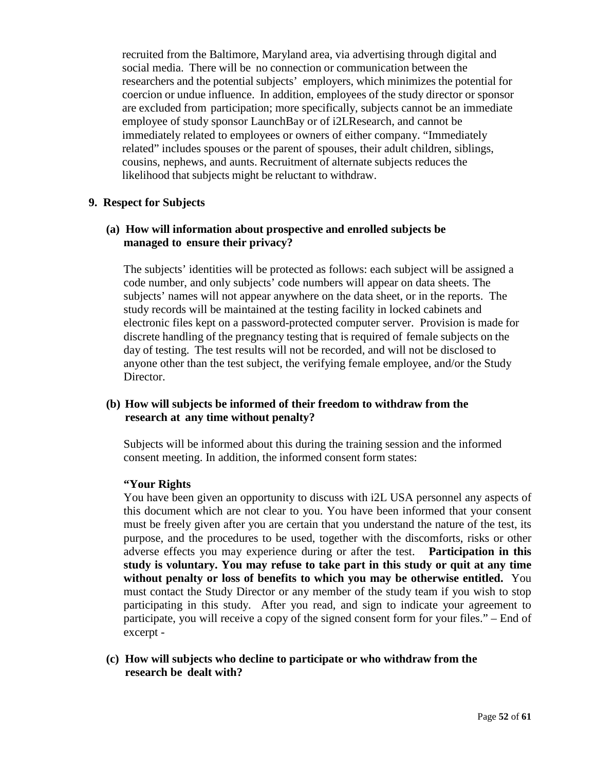recruited from the Baltimore, Maryland area, via advertising through digital and social media. There will be no connection or communication between the researchers and the potential subjects' employers, which minimizes the potential for coercion or undue influence. In addition, employees of the study director or sponsor are excluded from participation; more specifically, subjects cannot be an immediate employee of study sponsor LaunchBay or of i2LResearch, and cannot be immediately related to employees or owners of either company. "Immediately related" includes spouses or the parent of spouses, their adult children, siblings, cousins, nephews, and aunts. Recruitment of alternate subjects reduces the likelihood that subjects might be reluctant to withdraw.

#### **9. Respect for Subjects**

# **(a) How will information about prospective and enrolled subjects be managed to ensure their privacy?**

The subjects' identities will be protected as follows: each subject will be assigned a code number, and only subjects' code numbers will appear on data sheets. The subjects' names will not appear anywhere on the data sheet, or in the reports. The study records will be maintained at the testing facility in locked cabinets and electronic files kept on a password-protected computer server. Provision is made for discrete handling of the pregnancy testing that is required of female subjects on the day of testing. The test results will not be recorded, and will not be disclosed to anyone other than the test subject, the verifying female employee, and/or the Study Director.

## **(b) How will subjects be informed of their freedom to withdraw from the research at any time without penalty?**

Subjects will be informed about this during the training session and the informed consent meeting. In addition, the informed consent form states:

## **"Your Rights**

You have been given an opportunity to discuss with i2L USA personnel any aspects of this document which are not clear to you. You have been informed that your consent must be freely given after you are certain that you understand the nature of the test, its purpose, and the procedures to be used, together with the discomforts, risks or other adverse effects you may experience during or after the test. **Participation in this study is voluntary. You may refuse to take part in this study or quit at any time without penalty or loss of benefits to which you may be otherwise entitled.** You must contact the Study Director or any member of the study team if you wish to stop participating in this study. After you read, and sign to indicate your agreement to participate, you will receive a copy of the signed consent form for your files." – End of excerpt -

## **(c) How will subjects who decline to participate or who withdraw from the research be dealt with?**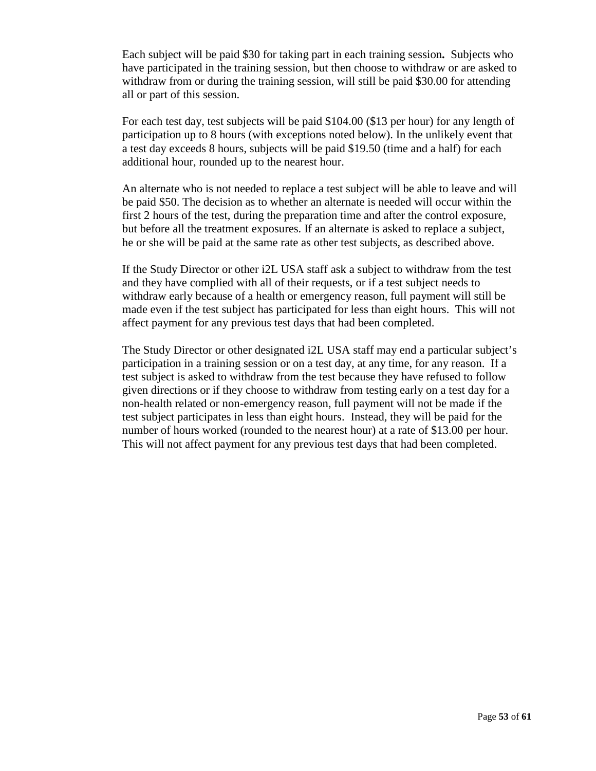Each subject will be paid \$30 for taking part in each training session**.** Subjects who have participated in the training session, but then choose to withdraw or are asked to withdraw from or during the training session, will still be paid \$30.00 for attending all or part of this session.

For each test day, test subjects will be paid \$104.00 (\$13 per hour) for any length of participation up to 8 hours (with exceptions noted below). In the unlikely event that a test day exceeds 8 hours, subjects will be paid \$19.50 (time and a half) for each additional hour, rounded up to the nearest hour.

An alternate who is not needed to replace a test subject will be able to leave and will be paid \$50. The decision as to whether an alternate is needed will occur within the first 2 hours of the test, during the preparation time and after the control exposure, but before all the treatment exposures. If an alternate is asked to replace a subject, he or she will be paid at the same rate as other test subjects, as described above.

If the Study Director or other i2L USA staff ask a subject to withdraw from the test and they have complied with all of their requests, or if a test subject needs to withdraw early because of a health or emergency reason, full payment will still be made even if the test subject has participated for less than eight hours. This will not affect payment for any previous test days that had been completed.

The Study Director or other designated i2L USA staff may end a particular subject's participation in a training session or on a test day, at any time, for any reason. If a test subject is asked to withdraw from the test because they have refused to follow given directions or if they choose to withdraw from testing early on a test day for a non-health related or non-emergency reason, full payment will not be made if the test subject participates in less than eight hours. Instead, they will be paid for the number of hours worked (rounded to the nearest hour) at a rate of \$13.00 per hour. This will not affect payment for any previous test days that had been completed.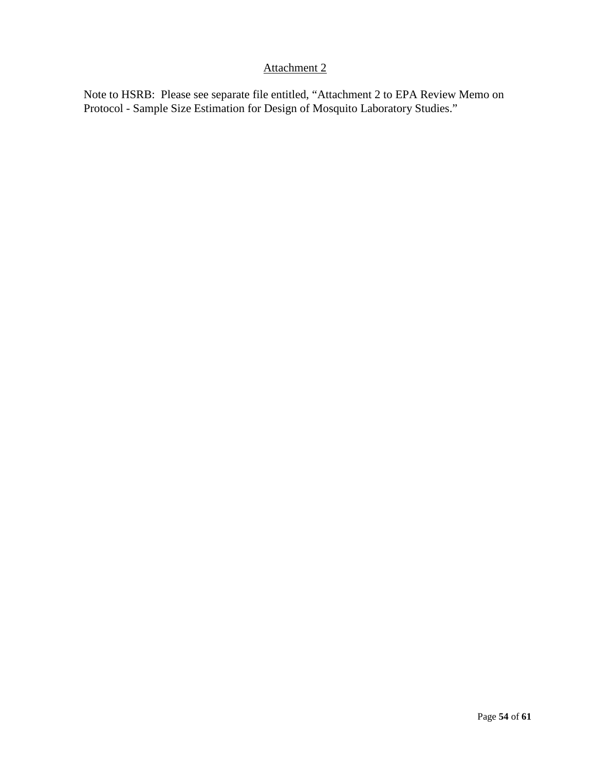# Attachment 2

Note to HSRB: Please see separate file entitled, "Attachment 2 to EPA Review Memo on Protocol - Sample Size Estimation for Design of Mosquito Laboratory Studies."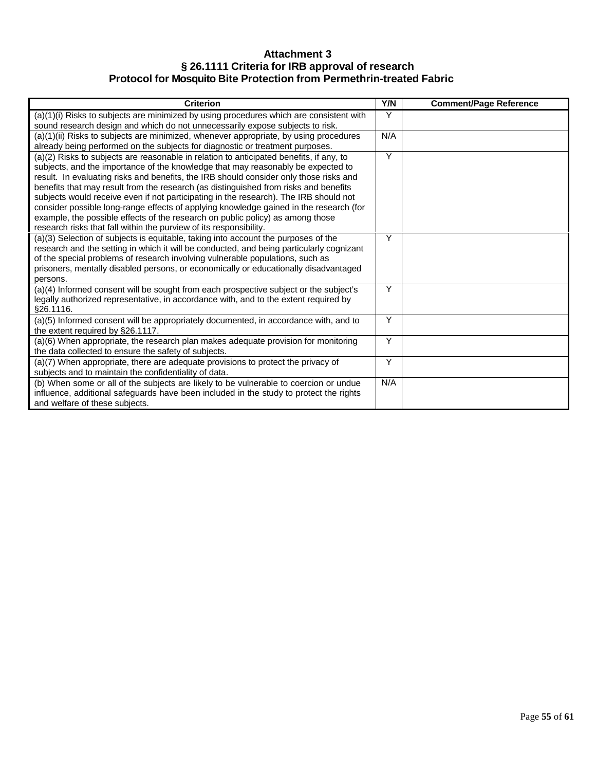## **Attachment 3 § 26.1111 Criteria for IRB approval of research Protocol for Mosquito Bite Protection from Permethrin-treated Fabric**

| <b>Criterion</b>                                                                                                                                                                                                                                                                                                                                                                                                                                                                                                                                                                                                                                                                                         | Y/N | <b>Comment/Page Reference</b> |
|----------------------------------------------------------------------------------------------------------------------------------------------------------------------------------------------------------------------------------------------------------------------------------------------------------------------------------------------------------------------------------------------------------------------------------------------------------------------------------------------------------------------------------------------------------------------------------------------------------------------------------------------------------------------------------------------------------|-----|-------------------------------|
| (a)(1)(i) Risks to subjects are minimized by using procedures which are consistent with<br>sound research design and which do not unnecessarily expose subjects to risk.                                                                                                                                                                                                                                                                                                                                                                                                                                                                                                                                 | Y   |                               |
| $\overline{a}$ )(1)(ii) Risks to subjects are minimized, whenever appropriate, by using procedures<br>already being performed on the subjects for diagnostic or treatment purposes.                                                                                                                                                                                                                                                                                                                                                                                                                                                                                                                      | N/A |                               |
| (a)(2) Risks to subjects are reasonable in relation to anticipated benefits, if any, to<br>subjects, and the importance of the knowledge that may reasonably be expected to<br>result. In evaluating risks and benefits, the IRB should consider only those risks and<br>benefits that may result from the research (as distinguished from risks and benefits<br>subjects would receive even if not participating in the research). The IRB should not<br>consider possible long-range effects of applying knowledge gained in the research (for<br>example, the possible effects of the research on public policy) as among those<br>research risks that fall within the purview of its responsibility. | Y   |                               |
| (a)(3) Selection of subjects is equitable, taking into account the purposes of the<br>research and the setting in which it will be conducted, and being particularly cognizant<br>of the special problems of research involving vulnerable populations, such as<br>prisoners, mentally disabled persons, or economically or educationally disadvantaged<br>persons.                                                                                                                                                                                                                                                                                                                                      | Υ   |                               |
| (a)(4) Informed consent will be sought from each prospective subject or the subject's<br>legally authorized representative, in accordance with, and to the extent required by<br>§26.1116.                                                                                                                                                                                                                                                                                                                                                                                                                                                                                                               | Y   |                               |
| (a)(5) Informed consent will be appropriately documented, in accordance with, and to<br>the extent required by §26.1117.                                                                                                                                                                                                                                                                                                                                                                                                                                                                                                                                                                                 | Y   |                               |
| (a)(6) When appropriate, the research plan makes adequate provision for monitoring<br>the data collected to ensure the safety of subjects.                                                                                                                                                                                                                                                                                                                                                                                                                                                                                                                                                               | Y   |                               |
| (a)(7) When appropriate, there are adequate provisions to protect the privacy of<br>subjects and to maintain the confidentiality of data.                                                                                                                                                                                                                                                                                                                                                                                                                                                                                                                                                                | Y   |                               |
| (b) When some or all of the subjects are likely to be vulnerable to coercion or undue<br>influence, additional safeguards have been included in the study to protect the rights<br>and welfare of these subjects.                                                                                                                                                                                                                                                                                                                                                                                                                                                                                        | N/A |                               |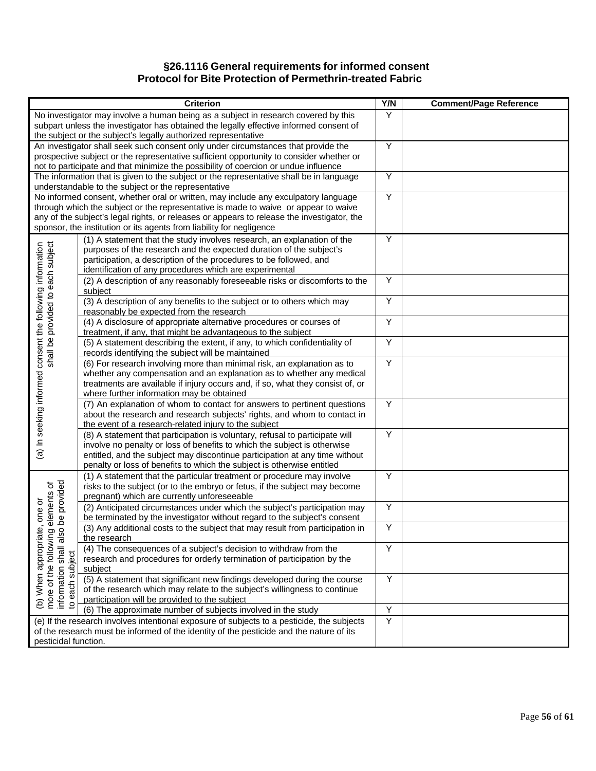#### **§26.1116 General requirements for informed consent Protocol for Bite Protection of Permethrin-treated Fabric**

|                                                                                                                 | <b>Criterion</b>                                                                                                                                                                                                                                                                                                                                | Y/N | <b>Comment/Page Reference</b> |
|-----------------------------------------------------------------------------------------------------------------|-------------------------------------------------------------------------------------------------------------------------------------------------------------------------------------------------------------------------------------------------------------------------------------------------------------------------------------------------|-----|-------------------------------|
|                                                                                                                 | No investigator may involve a human being as a subject in research covered by this<br>subpart unless the investigator has obtained the legally effective informed consent of<br>the subject or the subject's legally authorized representative                                                                                                  | Y   |                               |
|                                                                                                                 | An investigator shall seek such consent only under circumstances that provide the<br>prospective subject or the representative sufficient opportunity to consider whether or<br>not to participate and that minimize the possibility of coercion or undue influence                                                                             | Y   |                               |
|                                                                                                                 | The information that is given to the subject or the representative shall be in language<br>understandable to the subject or the representative                                                                                                                                                                                                  | Y   |                               |
|                                                                                                                 | No informed consent, whether oral or written, may include any exculpatory language<br>through which the subject or the representative is made to waive or appear to waive<br>any of the subject's legal rights, or releases or appears to release the investigator, the<br>sponsor, the institution or its agents from liability for negligence | Y   |                               |
|                                                                                                                 | (1) A statement that the study involves research, an explanation of the<br>purposes of the research and the expected duration of the subject's<br>participation, a description of the procedures to be followed, and<br>identification of any procedures which are experimental                                                                 | Y   |                               |
|                                                                                                                 | (2) A description of any reasonably foreseeable risks or discomforts to the<br>subject                                                                                                                                                                                                                                                          | Y   |                               |
|                                                                                                                 | (3) A description of any benefits to the subject or to others which may<br>reasonably be expected from the research                                                                                                                                                                                                                             | Υ   |                               |
|                                                                                                                 | (4) A disclosure of appropriate alternative procedures or courses of<br>treatment, if any, that might be advantageous to the subject                                                                                                                                                                                                            | Y   |                               |
|                                                                                                                 | (5) A statement describing the extent, if any, to which confidentiality of<br>records identifying the subject will be maintained                                                                                                                                                                                                                | Y   |                               |
| (a) In seeking informed consent the following information<br>shall be provided to each subject                  | (6) For research involving more than minimal risk, an explanation as to<br>whether any compensation and an explanation as to whether any medical<br>treatments are available if injury occurs and, if so, what they consist of, or<br>where further information may be obtained                                                                 | Y   |                               |
|                                                                                                                 | (7) An explanation of whom to contact for answers to pertinent questions<br>about the research and research subjects' rights, and whom to contact in<br>the event of a research-related injury to the subject                                                                                                                                   | Υ   |                               |
|                                                                                                                 | (8) A statement that participation is voluntary, refusal to participate will<br>involve no penalty or loss of benefits to which the subject is otherwise<br>entitled, and the subject may discontinue participation at any time without<br>penalty or loss of benefits to which the subject is otherwise entitled                               | Y   |                               |
| be provided<br>elements of                                                                                      | (1) A statement that the particular treatment or procedure may involve<br>risks to the subject (or to the embryo or fetus, if the subject may become<br>pregnant) which are currently unforeseeable                                                                                                                                             | Υ   |                               |
|                                                                                                                 | (2) Anticipated circumstances under which the subject's participation may<br>be terminated by the investigator without regard to the subject's consent                                                                                                                                                                                          | Y   |                               |
| $\Omega$<br>ais                                                                                                 | (3) Any additional costs to the subject that may result from participation in<br>the research                                                                                                                                                                                                                                                   | Υ   |                               |
| (b) When appropriate, one or<br>more of the following elemen<br>information shall<br>to each subject<br>subject | (4) The consequences of a subject's decision to withdraw from the<br>research and procedures for orderly termination of participation by the<br>subject                                                                                                                                                                                         | Y   |                               |
| each :                                                                                                          | (5) A statement that significant new findings developed during the course<br>of the research which may relate to the subject's willingness to continue<br>participation will be provided to the subject                                                                                                                                         | Υ   |                               |
|                                                                                                                 | (6) The approximate number of subjects involved in the study                                                                                                                                                                                                                                                                                    | Y   |                               |
| pesticidal function.                                                                                            | (e) If the research involves intentional exposure of subjects to a pesticide, the subjects<br>of the research must be informed of the identity of the pesticide and the nature of its                                                                                                                                                           | Y   |                               |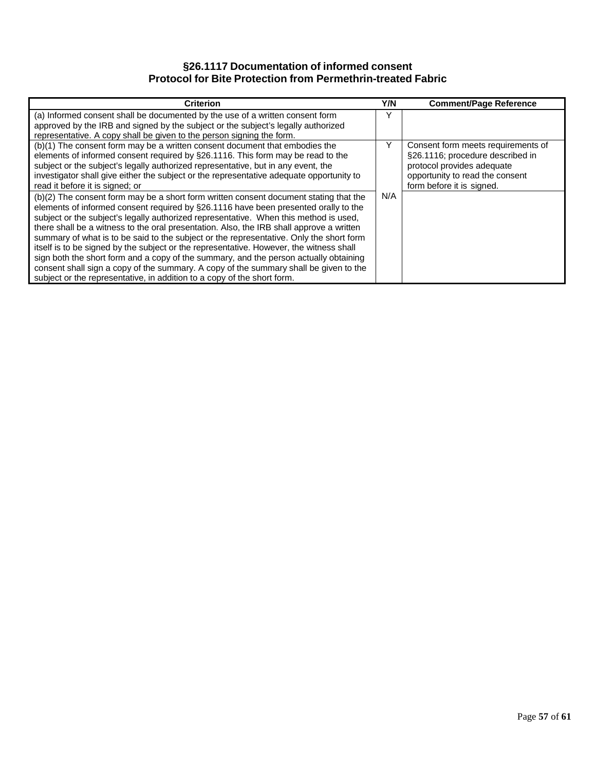## **§26.1117 Documentation of informed consent Protocol for Bite Protection from Permethrin-treated Fabric**

| <b>Criterion</b>                                                                         | Y/N | <b>Comment/Page Reference</b>      |
|------------------------------------------------------------------------------------------|-----|------------------------------------|
| (a) Informed consent shall be documented by the use of a written consent form            | Y   |                                    |
| approved by the IRB and signed by the subject or the subject's legally authorized        |     |                                    |
| representative. A copy shall be given to the person signing the form.                    |     |                                    |
| (b)(1) The consent form may be a written consent document that embodies the              | Y   | Consent form meets requirements of |
| elements of informed consent required by §26.1116. This form may be read to the          |     | §26.1116; procedure described in   |
| subject or the subject's legally authorized representative, but in any event, the        |     | protocol provides adequate         |
| investigator shall give either the subject or the representative adequate opportunity to |     | opportunity to read the consent    |
| read it before it is signed; or                                                          |     | form before it is signed.          |
| (b)(2) The consent form may be a short form written consent document stating that the    | N/A |                                    |
| elements of informed consent required by §26.1116 have been presented orally to the      |     |                                    |
| subject or the subject's legally authorized representative. When this method is used,    |     |                                    |
| there shall be a witness to the oral presentation. Also, the IRB shall approve a written |     |                                    |
| summary of what is to be said to the subject or the representative. Only the short form  |     |                                    |
| itself is to be signed by the subject or the representative. However, the witness shall  |     |                                    |
| sign both the short form and a copy of the summary, and the person actually obtaining    |     |                                    |
| consent shall sign a copy of the summary. A copy of the summary shall be given to the    |     |                                    |
| subject or the representative, in addition to a copy of the short form.                  |     |                                    |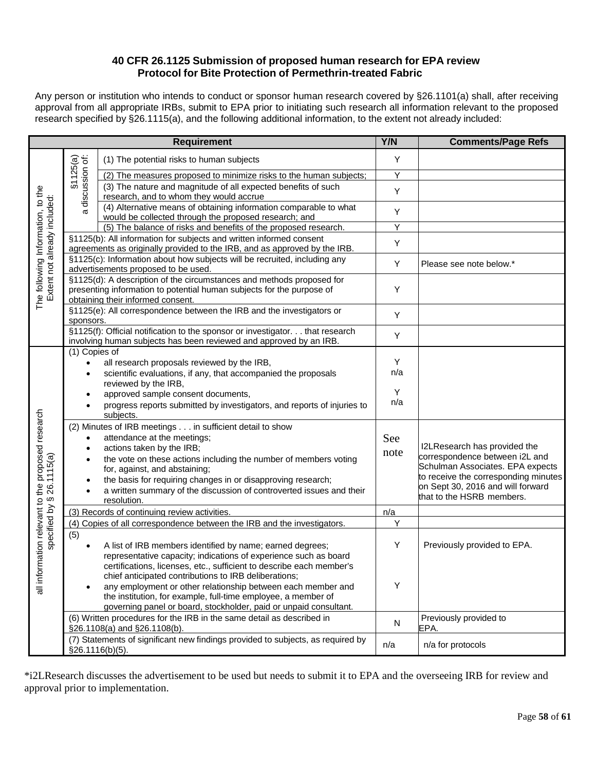#### **40 CFR 26.1125 Submission of proposed human research for EPA review Protocol for Bite Protection of Permethrin-treated Fabric**

Any person or institution who intends to conduct or sponsor human research covered by §26.1101(a) shall, after receiving approval from all appropriate IRBs, submit to EPA prior to initiating such research all information relevant to the proposed research specified by §26.1115(a), and the following additional information, to the extent not already included:

|                                                                   |                                         | <b>Requirement</b>                                                                                                                                                                  | Y/N      | <b>Comments/Page Refs</b>                                      |
|-------------------------------------------------------------------|-----------------------------------------|-------------------------------------------------------------------------------------------------------------------------------------------------------------------------------------|----------|----------------------------------------------------------------|
|                                                                   |                                         | (1) The potential risks to human subjects                                                                                                                                           | Y        |                                                                |
| The following Information, to the                                 |                                         | (2) The measures proposed to minimize risks to the human subjects;                                                                                                                  | Y        |                                                                |
|                                                                   | \$1125(a)<br>discussion of:             | (3) The nature and magnitude of all expected benefits of such<br>research, and to whom they would accrue                                                                            | Y        |                                                                |
|                                                                   | σ                                       | (4) Alternative means of obtaining information comparable to what<br>would be collected through the proposed research; and                                                          | Y        |                                                                |
|                                                                   |                                         | (5) The balance of risks and benefits of the proposed research.                                                                                                                     | Y        |                                                                |
|                                                                   |                                         | §1125(b): All information for subjects and written informed consent<br>agreements as originally provided to the IRB, and as approved by the IRB.                                    | Y        |                                                                |
|                                                                   |                                         | §1125(c): Information about how subjects will be recruited, including any<br>advertisements proposed to be used.                                                                    | Υ        | Please see note below.*                                        |
| Extent not already included:                                      |                                         | §1125(d): A description of the circumstances and methods proposed for<br>presenting information to potential human subjects for the purpose of<br>obtaining their informed consent. | Υ        |                                                                |
|                                                                   | sponsors.                               | §1125(e): All correspondence between the IRB and the investigators or                                                                                                               | Y        |                                                                |
|                                                                   |                                         | §1125(f): Official notification to the sponsor or investigator. that research<br>involving human subjects has been reviewed and approved by an IRB.                                 | Υ        |                                                                |
|                                                                   | (1) Copies of<br>$\bullet$<br>$\bullet$ | all research proposals reviewed by the IRB,<br>scientific evaluations, if any, that accompanied the proposals                                                                       | Y<br>n/a |                                                                |
|                                                                   |                                         | reviewed by the IRB,                                                                                                                                                                |          |                                                                |
|                                                                   | $\bullet$                               | approved sample consent documents,                                                                                                                                                  | Y<br>n/a |                                                                |
|                                                                   |                                         | progress reports submitted by investigators, and reports of injuries to<br>subjects.                                                                                                |          |                                                                |
|                                                                   |                                         | (2) Minutes of IRB meetings in sufficient detail to show                                                                                                                            |          |                                                                |
|                                                                   | $\bullet$<br>$\bullet$                  | attendance at the meetings;<br>actions taken by the IRB;                                                                                                                            | See      | I2LResearch has provided the                                   |
|                                                                   | $\bullet$                               | the vote on these actions including the number of members voting                                                                                                                    | note     | correspondence between i2L and                                 |
|                                                                   |                                         | for, against, and abstaining;                                                                                                                                                       |          | Schulman Associates. EPA expects                               |
|                                                                   | ٠                                       | the basis for requiring changes in or disapproving research;                                                                                                                        |          | to receive the corresponding minutes                           |
| all information relevant to the proposed research<br>\$26.1115(a) |                                         | a written summary of the discussion of controverted issues and their<br>resolution.                                                                                                 |          | on Sept 30, 2016 and will forward<br>that to the HSRB members. |
| specified by                                                      |                                         | (3) Records of continuing review activities.                                                                                                                                        | n/a      |                                                                |
|                                                                   |                                         | (4) Copies of all correspondence between the IRB and the investigators.                                                                                                             | Y        |                                                                |
|                                                                   | (5)                                     |                                                                                                                                                                                     |          |                                                                |
|                                                                   | $\bullet$                               | A list of IRB members identified by name; earned degrees;                                                                                                                           | Υ        | Previously provided to EPA.                                    |
|                                                                   |                                         | representative capacity; indications of experience such as board<br>certifications, licenses, etc., sufficient to describe each member's                                            |          |                                                                |
|                                                                   |                                         | chief anticipated contributions to IRB deliberations;                                                                                                                               |          |                                                                |
|                                                                   |                                         | any employment or other relationship between each member and                                                                                                                        | Y        |                                                                |
|                                                                   |                                         | the institution, for example, full-time employee, a member of                                                                                                                       |          |                                                                |
|                                                                   |                                         | governing panel or board, stockholder, paid or unpaid consultant.                                                                                                                   |          |                                                                |
|                                                                   |                                         | (6) Written procedures for the IRB in the same detail as described in<br>§26.1108(a) and §26.1108(b).                                                                               | N        | Previously provided to<br>EPA.                                 |
|                                                                   |                                         | (7) Statements of significant new findings provided to subjects, as required by                                                                                                     |          |                                                                |
|                                                                   | §26.1116(b)(5).                         |                                                                                                                                                                                     | n/a      | n/a for protocols                                              |

\*i2LResearch discusses the advertisement to be used but needs to submit it to EPA and the overseeing IRB for review and approval prior to implementation.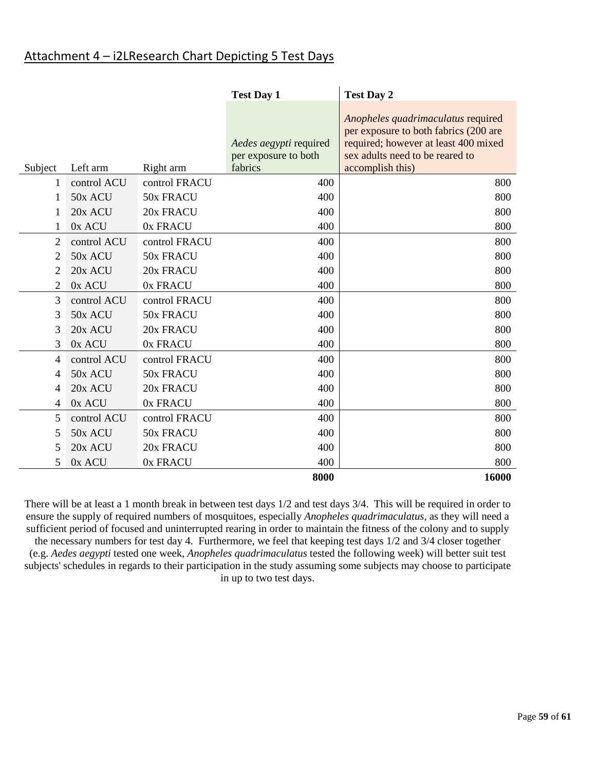| Attachment 4 - i2LResearch Chart Depicting 5 Test Days |
|--------------------------------------------------------|
|--------------------------------------------------------|

|         |             |               | <b>Test Day 1</b>                                         | <b>Test Day 2</b>                                                                                                                                                          |
|---------|-------------|---------------|-----------------------------------------------------------|----------------------------------------------------------------------------------------------------------------------------------------------------------------------------|
| Subject | Left arm    | Right arm     | Aedes aegypti required<br>per exposure to both<br>fabrics | Anopheles quadrimaculatus required<br>per exposure to both fabrics (200 are<br>required; however at least 400 mixed<br>sex adults need to be reared to<br>accomplish this) |
| 1       | control ACU | control FRACU | 400                                                       | 800                                                                                                                                                                        |
| 1       | 50x ACU     | 50x FRACU     | 400                                                       | 800                                                                                                                                                                        |
| 1       | 20x ACU     | 20x FRACU     | 400                                                       | 800                                                                                                                                                                        |
| 1       | 0x ACU      | 0x FRACU      | 400                                                       | 800                                                                                                                                                                        |
| 2       | control ACU | control FRACU | 400                                                       | 800                                                                                                                                                                        |
| 2       | 50x ACU     | 50x FRACU     | 400                                                       | 800                                                                                                                                                                        |
| 2       | 20x ACU     | 20x FRACU     | 400                                                       | 800                                                                                                                                                                        |
| 2       | 0x ACU      | 0x FRACU      | 400                                                       | 800                                                                                                                                                                        |
| 3       | control ACU | control FRACU | 400                                                       | 800                                                                                                                                                                        |
| 3       | 50x ACU     | 50x FRACU     | 400                                                       | 800                                                                                                                                                                        |
| 3       | 20x ACU     | 20x FRACU     | 400                                                       | 800                                                                                                                                                                        |
| 3       | 0x ACU      | 0x FRACU      | 400                                                       | 800                                                                                                                                                                        |
| 4       | control ACU | control FRACU | 400                                                       | 800                                                                                                                                                                        |
| 4       | 50x ACU     | 50x FRACU     | 400                                                       | 800                                                                                                                                                                        |
| 4       | 20x ACU     | 20x FRACU     | 400                                                       | 800                                                                                                                                                                        |
| 4       | 0x ACU      | 0x FRACU      | 400                                                       | 800                                                                                                                                                                        |
| 5       | control ACU | control FRACU | 400                                                       | 800                                                                                                                                                                        |
| 5       | 50x ACU     | 50x FRACU     | 400                                                       | 800                                                                                                                                                                        |
| 5       | 20x ACU     | 20x FRACU     | 400                                                       | 800                                                                                                                                                                        |
| 5       | 0x ACU      | 0x FRACU      | 400                                                       | 800                                                                                                                                                                        |
|         |             |               | 8000                                                      | 16000                                                                                                                                                                      |

There will be at least a 1 month break in between test days 1/2 and test days 3/4. This will be required in order to ensure the supply of required numbers of mosquitoes, especially *Anopheles quadrimaculatus*, as they will need a sufficient period of focused and uninterrupted rearing in order to maintain the fitness of the colony and to supply the necessary numbers for test day 4. Furthermore, we feel that keeping test days 1/2 and 3/4 closer together (e.g. *Aedes aegypti* tested one week, *Anopheles quadrimaculatus* tested the following week) will better suit test subjects' schedules in regards to their participation in the study assuming some subjects may choose to participate in up to two test days.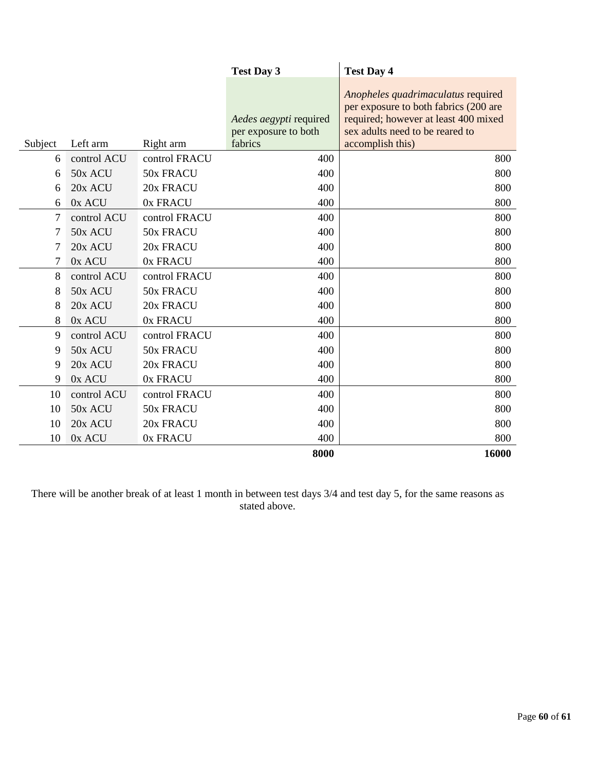|                |             |               | <b>Test Day 3</b>                              | <b>Test Day 4</b>                                                                                                                                      |
|----------------|-------------|---------------|------------------------------------------------|--------------------------------------------------------------------------------------------------------------------------------------------------------|
|                |             |               | Aedes aegypti required<br>per exposure to both | Anopheles quadrimaculatus required<br>per exposure to both fabrics (200 are<br>required; however at least 400 mixed<br>sex adults need to be reared to |
| Subject        | Left arm    | Right arm     | fabrics                                        | accomplish this)                                                                                                                                       |
| 6              | control ACU | control FRACU | 400                                            | 800                                                                                                                                                    |
| 6              | 50x ACU     | 50x FRACU     | 400                                            | 800                                                                                                                                                    |
| 6              | 20x ACU     | 20x FRACU     | 400                                            | 800                                                                                                                                                    |
| 6              | 0x ACU      | 0x FRACU      | 400                                            | 800                                                                                                                                                    |
| 7              | control ACU | control FRACU | 400                                            | 800                                                                                                                                                    |
| 7              | 50x ACU     | 50x FRACU     | 400                                            | 800                                                                                                                                                    |
| 7              | 20x ACU     | 20x FRACU     | 400                                            | 800                                                                                                                                                    |
| $\overline{7}$ | 0x ACU      | 0x FRACU      | 400                                            | 800                                                                                                                                                    |
| 8              | control ACU | control FRACU | 400                                            | 800                                                                                                                                                    |
| 8              | 50x ACU     | 50x FRACU     | 400                                            | 800                                                                                                                                                    |
| 8              | 20x ACU     | 20x FRACU     | 400                                            | 800                                                                                                                                                    |
| 8              | 0x ACU      | 0x FRACU      | 400                                            | 800                                                                                                                                                    |
| 9              | control ACU | control FRACU | 400                                            | 800                                                                                                                                                    |
| 9              | 50x ACU     | 50x FRACU     | 400                                            | 800                                                                                                                                                    |
| 9              | 20x ACU     | 20x FRACU     | 400                                            | 800                                                                                                                                                    |
| 9              | 0x ACU      | 0x FRACU      | 400                                            | 800                                                                                                                                                    |
| 10             | control ACU | control FRACU | 400                                            | 800                                                                                                                                                    |
| 10             | 50x ACU     | 50x FRACU     | 400                                            | 800                                                                                                                                                    |
| 10             | 20x ACU     | 20x FRACU     | 400                                            | 800                                                                                                                                                    |
| 10             | 0x ACU      | 0x FRACU      | 400                                            | 800                                                                                                                                                    |
|                |             |               | 8000                                           | 16000                                                                                                                                                  |

There will be another break of at least 1 month in between test days 3/4 and test day 5, for the same reasons as stated above.